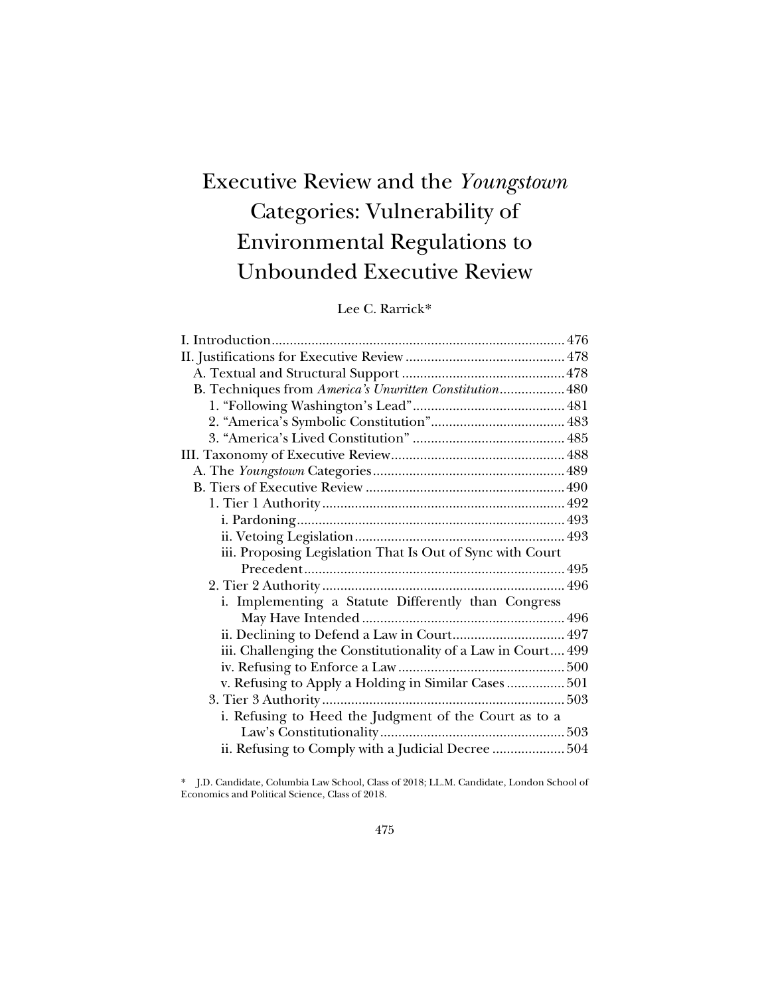# Executive Review and the *Youngstown* Categories: Vulnerability of Environmental Regulations to Unbounded Executive Review

# Lee C. Rarrick[\\*](#page-0-0)

| B. Techniques from America's Unwritten Constitution 480      |  |
|--------------------------------------------------------------|--|
|                                                              |  |
|                                                              |  |
|                                                              |  |
|                                                              |  |
|                                                              |  |
|                                                              |  |
|                                                              |  |
|                                                              |  |
|                                                              |  |
| iii. Proposing Legislation That Is Out of Sync with Court    |  |
|                                                              |  |
|                                                              |  |
| i. Implementing a Statute Differently than Congress          |  |
|                                                              |  |
| ii. Declining to Defend a Law in Court 497                   |  |
| iii. Challenging the Constitutionality of a Law in Court 499 |  |
|                                                              |  |
| v. Refusing to Apply a Holding in Similar Cases  501         |  |
|                                                              |  |
| i. Refusing to Heed the Judgment of the Court as to a        |  |
|                                                              |  |
| ii. Refusing to Comply with a Judicial Decree  504           |  |
|                                                              |  |

<span id="page-0-0"></span>\* J.D. Candidate, Columbia Law School, Class of 2018; LL.M. Candidate, London School of Economics and Political Science, Class of 2018.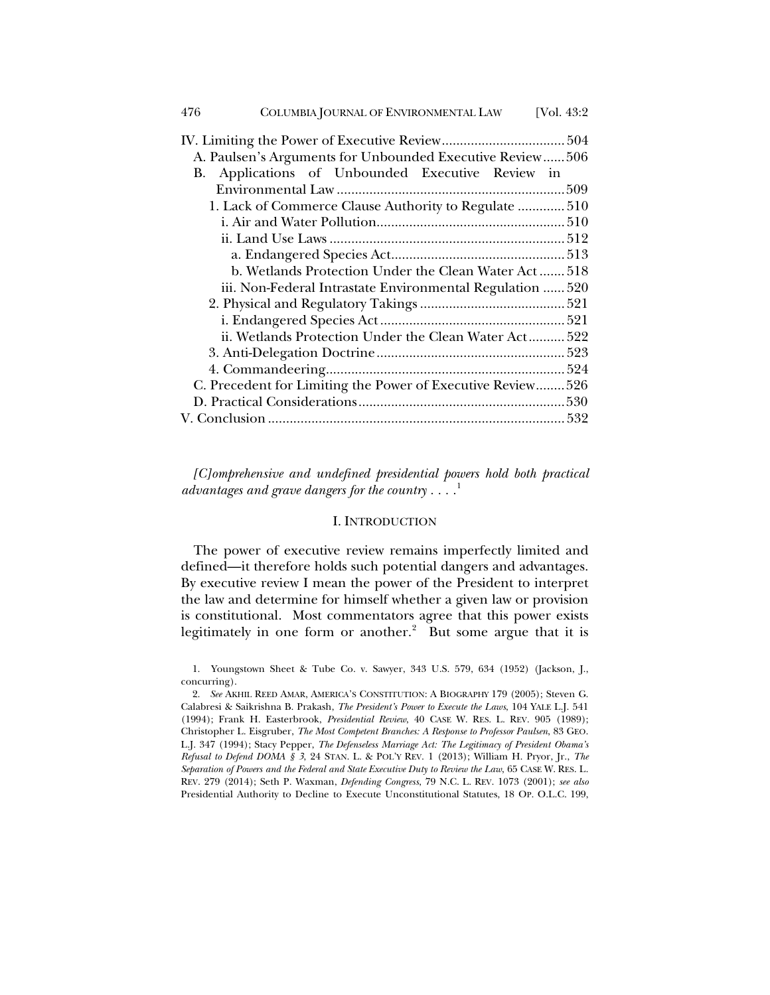| 476<br>COLUMBIA JOURNAL OF ENVIRONMENTAL LAW                | [Vol. $43:2$ ] |
|-------------------------------------------------------------|----------------|
|                                                             |                |
| A. Paulsen's Arguments for Unbounded Executive Review506    |                |
| Applications of Unbounded Executive Review in<br>В.         |                |
|                                                             |                |
| 1. Lack of Commerce Clause Authority to Regulate  510       |                |
|                                                             |                |
|                                                             |                |
|                                                             |                |
| b. Wetlands Protection Under the Clean Water Act 518        |                |
| iii. Non-Federal Intrastate Environmental Regulation  520   |                |
|                                                             |                |
|                                                             |                |
| ii. Wetlands Protection Under the Clean Water Act 522       |                |
|                                                             |                |
|                                                             |                |
| C. Precedent for Limiting the Power of Executive Review 526 |                |
|                                                             |                |
|                                                             |                |

*[C]omprehensive and undefined presidential powers hold both practical advantages and grave dangers for the country . . . .* [1](#page-1-0)

## <span id="page-1-3"></span><span id="page-1-2"></span>I. INTRODUCTION

The power of executive review remains imperfectly limited and defined—it therefore holds such potential dangers and advantages. By executive review I mean the power of the President to interpret the law and determine for himself whether a given law or provision is constitutional. Most commentators agree that this power exists legitimately in one form or another. $2$  But some argue that it is

<span id="page-1-1"></span>2. *See* AKHIL REED AMAR, AMERICA'S CONSTITUTION: A BIOGRAPHY 179 (2005); Steven G. Calabresi & Saikrishna B. Prakash, *The President's Power to Execute the Laws*, 104 YALE L.J. 541 (1994); Frank H. Easterbrook, *Presidential Review*, 40 CASE W. RES. L. REV. 905 (1989); Christopher L. Eisgruber, *The Most Competent Branches: A Response to Professor Paulsen*, 83 GEO. L.J. 347 (1994); Stacy Pepper, *The Defenseless Marriage Act: The Legitimacy of President Obama's Refusal to Defend DOMA § 3*, 24 STAN. L. & POL'Y REV. 1 (2013); William H. Pryor, Jr., *The Separation of Powers and the Federal and State Executive Duty to Review the Law*, 65 CASE W. RES. L. REV. 279 (2014); Seth P. Waxman, *Defending Congress*, 79 N.C. L. REV. 1073 (2001); *see also*  Presidential Authority to Decline to Execute Unconstitutional Statutes, 18 OP. O.L.C. 199,

<span id="page-1-0"></span><sup>1.</sup> Youngstown Sheet & Tube Co. v. Sawyer, 343 U.S. 579, 634 (1952) (Jackson, J., concurring).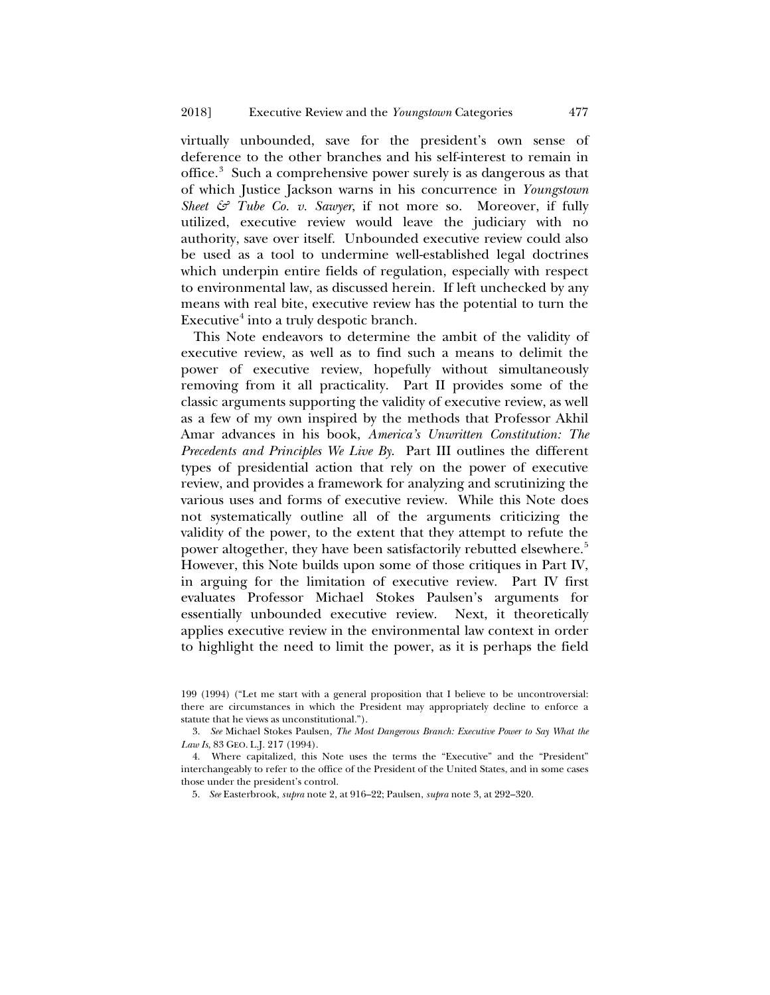<span id="page-2-0"></span>virtually unbounded, save for the president's own sense of deference to the other branches and his self-interest to remain in office.<sup>[3](#page-2-1)</sup> Such a comprehensive power surely is as dangerous as that of which Justice Jackson warns in his concurrence in *Youngstown Sheet & Tube Co. v. Sawyer*, if not more so. Moreover, if fully utilized, executive review would leave the judiciary with no authority, save over itself. Unbounded executive review could also be used as a tool to undermine well-established legal doctrines which underpin entire fields of regulation, especially with respect to environmental law, as discussed herein. If left unchecked by any means with real bite, executive review has the potential to turn the Executive $<sup>4</sup>$  $<sup>4</sup>$  $<sup>4</sup>$  into a truly despotic branch.</sup>

This Note endeavors to determine the ambit of the validity of executive review, as well as to find such a means to delimit the power of executive review, hopefully without simultaneously removing from it all practicality. Part II provides some of the classic arguments supporting the validity of executive review, as well as a few of my own inspired by the methods that Professor Akhil Amar advances in his book, *America's Unwritten Constitution: The Precedents and Principles We Live By*. Part III outlines the different types of presidential action that rely on the power of executive review, and provides a framework for analyzing and scrutinizing the various uses and forms of executive review. While this Note does not systematically outline all of the arguments criticizing the validity of the power, to the extent that they attempt to refute the power altogether, they have been satisfactorily rebutted elsewhere.<sup>[5](#page-2-3)</sup> However, this Note builds upon some of those critiques in Part IV, in arguing for the limitation of executive review. Part IV first evaluates Professor Michael Stokes Paulsen's arguments for essentially unbounded executive review. Next, it theoretically applies executive review in the environmental law context in order to highlight the need to limit the power, as it is perhaps the field

<span id="page-2-1"></span>3. *See* Michael Stokes Paulsen, *The Most Dangerous Branch: Executive Power to Say What the Law Is*, 83 GEO. L.J. 217 (1994).

<span id="page-2-3"></span><span id="page-2-2"></span>4. Where capitalized, this Note uses the terms the "Executive" and the "President" interchangeably to refer to the office of the President of the United States, and in some cases those under the president's control.

5. *See* Easterbrook, *supra* note [2,](#page-1-2) at 916–22; Paulsen, *supra* not[e 3,](#page-2-0) at 292–320.

<sup>199</sup> (1994) ("Let me start with a general proposition that I believe to be uncontroversial: there are circumstances in which the President may appropriately decline to enforce a statute that he views as unconstitutional.").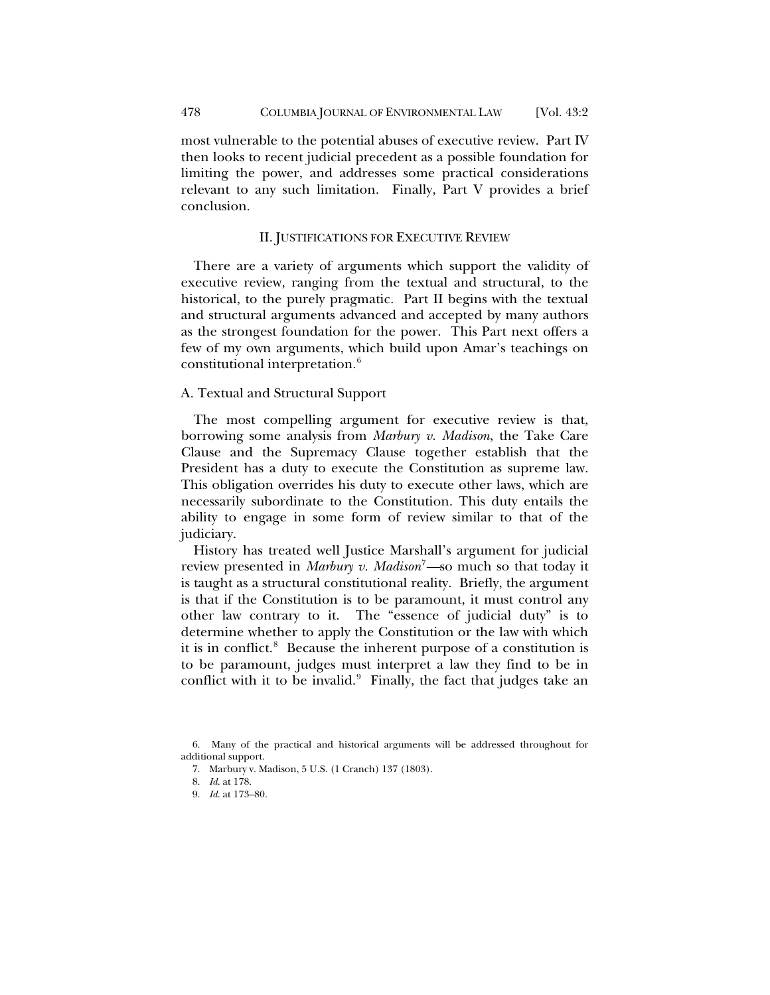most vulnerable to the potential abuses of executive review. Part IV then looks to recent judicial precedent as a possible foundation for limiting the power, and addresses some practical considerations relevant to any such limitation. Finally, Part V provides a brief conclusion.

## II. JUSTIFICATIONS FOR EXECUTIVE REVIEW

There are a variety of arguments which support the validity of executive review, ranging from the textual and structural, to the historical, to the purely pragmatic. Part II begins with the textual and structural arguments advanced and accepted by many authors as the strongest foundation for the power. This Part next offers a few of my own arguments, which build upon Amar's teachings on constitutional interpretation.<sup>[6](#page-3-0)</sup>

## A. Textual and Structural Support

The most compelling argument for executive review is that, borrowing some analysis from *Marbury v. Madison*, the Take Care Clause and the Supremacy Clause together establish that the President has a duty to execute the Constitution as supreme law. This obligation overrides his duty to execute other laws, which are necessarily subordinate to the Constitution. This duty entails the ability to engage in some form of review similar to that of the judiciary.

History has treated well Justice Marshall's argument for judicial review presented in *Marbury v. Madison*[7](#page-3-1) *—*so much so that today it is taught as a structural constitutional reality. Briefly, the argument is that if the Constitution is to be paramount, it must control any other law contrary to it. The "essence of judicial duty" is to determine whether to apply the Constitution or the law with which it is in conflict.<sup>[8](#page-3-2)</sup> Because the inherent purpose of a constitution is to be paramount, judges must interpret a law they find to be in conflict with it to be invalid. $9$  Finally, the fact that judges take an

<span id="page-3-3"></span><span id="page-3-2"></span><span id="page-3-1"></span><span id="page-3-0"></span><sup>6.</sup> Many of the practical and historical arguments will be addressed throughout for additional support.

<sup>7.</sup> Marbury v. Madison, 5 U.S. (1 Cranch) 137 (1803).

<sup>8.</sup> *Id*. at 178.

<sup>9.</sup> *Id*. at 173–80.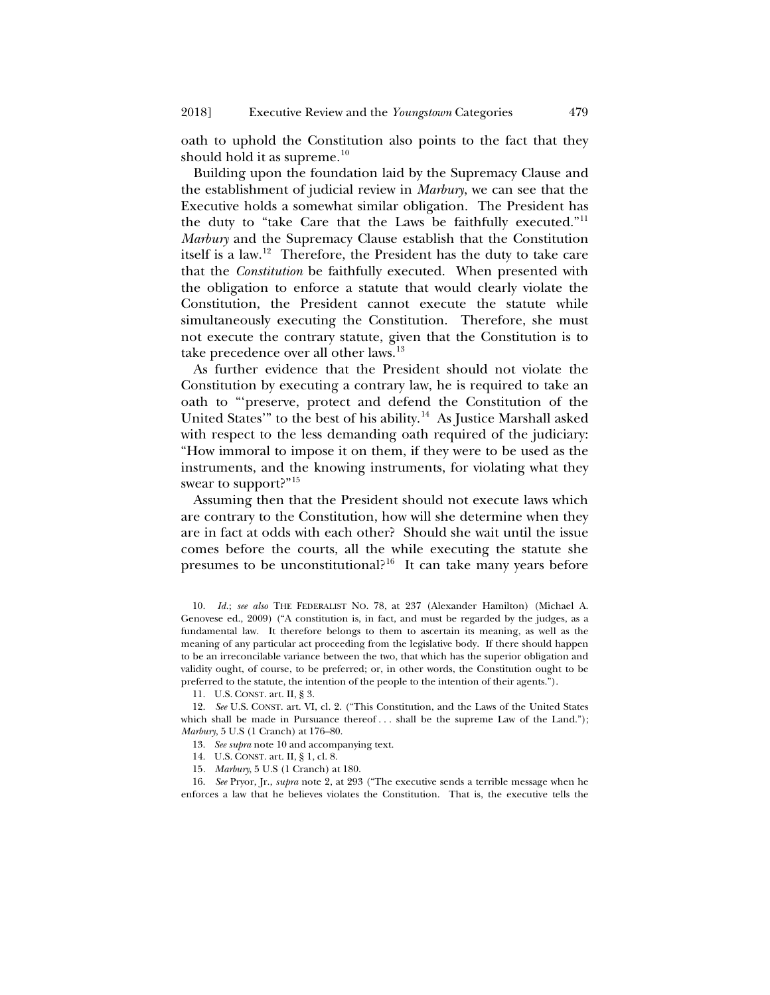<span id="page-4-0"></span>oath to uphold the Constitution also points to the fact that they should hold it as supreme. $10$ 

Building upon the foundation laid by the Supremacy Clause and the establishment of judicial review in *Marbury*, we can see that the Executive holds a somewhat similar obligation. The President has the duty to "take Care that the Laws be faithfully executed."<sup>[11](#page-4-2)</sup> *Marbury* and the Supremacy Clause establish that the Constitution itself is a law.[12](#page-4-3) Therefore, the President has the duty to take care that the *Constitution* be faithfully executed. When presented with the obligation to enforce a statute that would clearly violate the Constitution, the President cannot execute the statute while simultaneously executing the Constitution. Therefore, she must not execute the contrary statute, given that the Constitution is to take precedence over all other laws.<sup>[13](#page-4-4)</sup>

As further evidence that the President should not violate the Constitution by executing a contrary law, he is required to take an oath to "'preserve, protect and defend the Constitution of the United States'" to the best of his ability.<sup>14</sup> As Justice Marshall asked with respect to the less demanding oath required of the judiciary: "How immoral to impose it on them, if they were to be used as the instruments, and the knowing instruments, for violating what they swear to support?"<sup>[15](#page-4-6)</sup>

<span id="page-4-9"></span>Assuming then that the President should not execute laws which are contrary to the Constitution, how will she determine when they are in fact at odds with each other? Should she wait until the issue comes before the courts, all the while executing the statute she presumes to be unconstitutional?<sup>16</sup> It can take many years before

11. U.S. CONST. art. II, § 3.

15*. Marbury*, 5 U.S (1 Cranch) at 180.

<span id="page-4-7"></span><span id="page-4-6"></span><span id="page-4-5"></span>16. *See* Pryor, Jr., *supra* note [2,](#page-1-2) at 293 ("The executive sends a terrible message when he enforces a law that he believes violates the Constitution. That is, the executive tells the

<span id="page-4-8"></span><span id="page-4-1"></span><sup>10.</sup> *Id.*; *see also* THE FEDERALIST NO. 78, at 237 (Alexander Hamilton) (Michael A. Genovese ed., 2009) ("A constitution is, in fact, and must be regarded by the judges, as a fundamental law. It therefore belongs to them to ascertain its meaning, as well as the meaning of any particular act proceeding from the legislative body. If there should happen to be an irreconcilable variance between the two, that which has the superior obligation and validity ought, of course, to be preferred; or, in other words, the Constitution ought to be preferred to the statute, the intention of the people to the intention of their agents.").

<span id="page-4-4"></span><span id="page-4-3"></span><span id="page-4-2"></span><sup>12.</sup> *See* U.S. CONST. art. VI, cl. 2. ("This Constitution, and the Laws of the United States which shall be made in Pursuance thereof ... shall be the supreme Law of the Land."); *Marbury*, 5 U.S (1 Cranch) at 176–80.

<sup>13.</sup> *See supra* not[e 10](#page-4-0) and accompanying text.

<sup>14.</sup> U.S. CONST. art. II, § 1, cl. 8.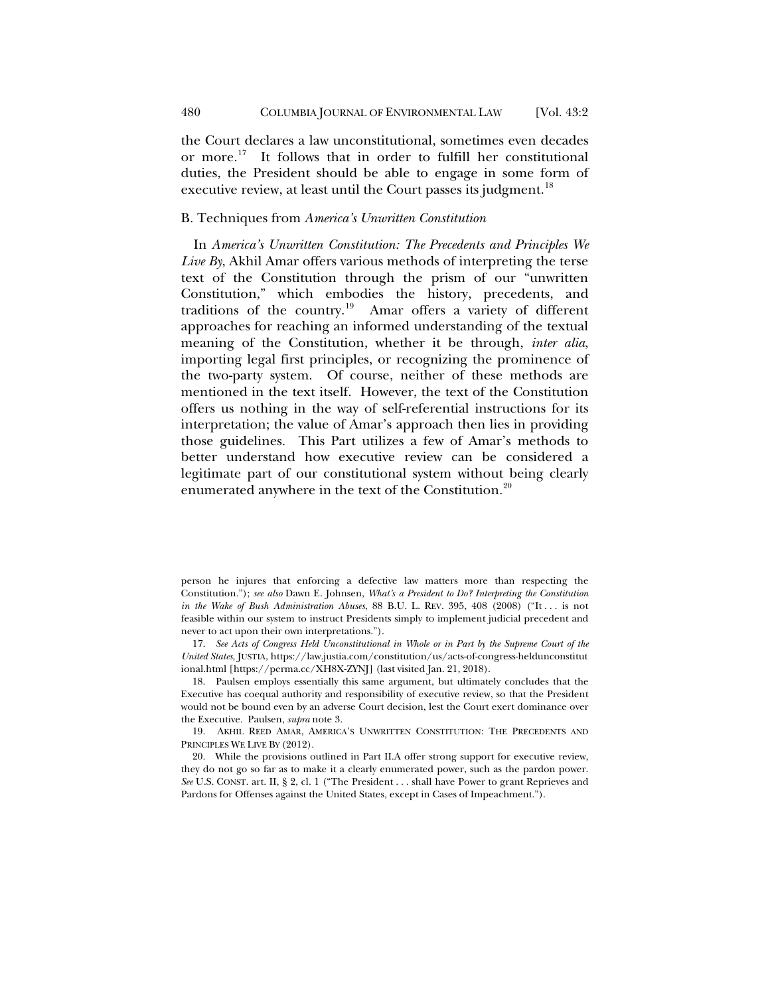the Court declares a law unconstitutional, sometimes even decades or more.[17](#page-5-0) It follows that in order to fulfill her constitutional duties, the President should be able to engage in some form of executive review, at least until the Court passes its judgment.<sup>[18](#page-5-1)</sup>

## B. Techniques from *America's Unwritten Constitution*

<span id="page-5-4"></span>In *America's Unwritten Constitution: The Precedents and Principles We Live By*, Akhil Amar offers various methods of interpreting the terse text of the Constitution through the prism of our "unwritten Constitution," which embodies the history, precedents, and traditions of the country.[19](#page-5-2) Amar offers a variety of different approaches for reaching an informed understanding of the textual meaning of the Constitution, whether it be through, *inter alia*, importing legal first principles, or recognizing the prominence of the two-party system. Of course, neither of these methods are mentioned in the text itself. However, the text of the Constitution offers us nothing in the way of self-referential instructions for its interpretation; the value of Amar's approach then lies in providing those guidelines. This Part utilizes a few of Amar's methods to better understand how executive review can be considered a legitimate part of our constitutional system without being clearly enumerated anywhere in the text of the Constitution.<sup>[20](#page-5-3)</sup>

<span id="page-5-0"></span>17. *See Acts of Congress Held Unconstitutional in Whole or in Part by the Supreme Court of the United States*, JUSTIA, https://law.justia.com/constitution/us/acts-of-congress-heldunconstitut ional.html [https://perma.cc/XH8X-ZYNJ] (last visited Jan. 21, 2018).

<span id="page-5-1"></span>18. Paulsen employs essentially this same argument, but ultimately concludes that the Executive has coequal authority and responsibility of executive review, so that the President would not be bound even by an adverse Court decision, lest the Court exert dominance over the Executive. Paulsen, *supra* not[e 3.](#page-2-0)

<span id="page-5-2"></span>19. AKHIL REED AMAR, AMERICA'S UNWRITTEN CONSTITUTION: THE PRECEDENTS AND PRINCIPLES WE LIVE BY (2012).

<span id="page-5-3"></span>20. While the provisions outlined in Part II.A offer strong support for executive review, they do not go so far as to make it a clearly enumerated power, such as the pardon power. *See* U.S. CONST. art. II, § 2, cl. 1 ("The President . . . shall have Power to grant Reprieves and Pardons for Offenses against the United States, except in Cases of Impeachment.").

person he injures that enforcing a defective law matters more than respecting the Constitution."); *see also* Dawn E. Johnsen, *What's a President to Do? Interpreting the Constitution in the Wake of Bush Administration Abuses*, 88 B.U. L. REV. 395, 408 (2008) ("It . . . is not feasible within our system to instruct Presidents simply to implement judicial precedent and never to act upon their own interpretations.").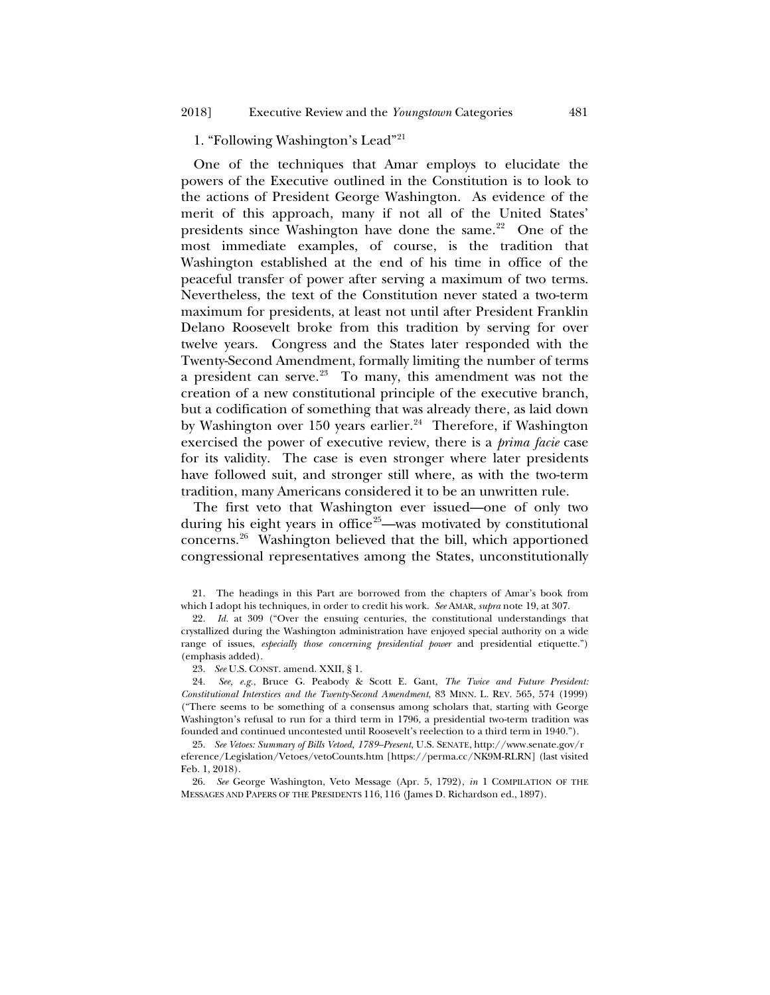# 1. "Following Washington's Lead"[21](#page-6-0)

One of the techniques that Amar employs to elucidate the powers of the Executive outlined in the Constitution is to look to the actions of President George Washington. As evidence of the merit of this approach, many if not all of the United States' presidents since Washington have done the same. $22$  One of the most immediate examples, of course, is the tradition that Washington established at the end of his time in office of the peaceful transfer of power after serving a maximum of two terms. Nevertheless, the text of the Constitution never stated a two-term maximum for presidents, at least not until after President Franklin Delano Roosevelt broke from this tradition by serving for over twelve years. Congress and the States later responded with the Twenty-Second Amendment, formally limiting the number of terms a president can serve. $23$  To many, this amendment was not the creation of a new constitutional principle of the executive branch, but a codification of something that was already there, as laid down by Washington over 150 years earlier. $24$  Therefore, if Washington exercised the power of executive review, there is a *prima facie* case for its validity. The case is even stronger where later presidents have followed suit, and stronger still where, as with the two-term tradition, many Americans considered it to be an unwritten rule.

<span id="page-6-7"></span><span id="page-6-6"></span>The first veto that Washington ever issued—one of only two during his eight years in office<sup>25</sup>—was motivated by constitutional concerns.[26](#page-6-5) Washington believed that the bill, which apportioned congressional representatives among the States, unconstitutionally

<span id="page-6-0"></span>21. The headings in this Part are borrowed from the chapters of Amar's book from which I adopt his techniques, in order to credit his work. *See* AMAR, *supra* note [19,](#page-5-4) at 307.

<span id="page-6-1"></span>22. *Id.* at 309 ("Over the ensuing centuries, the constitutional understandings that crystallized during the Washington administration have enjoyed special authority on a wide range of issues, *especially those concerning presidential power* and presidential etiquette.") (emphasis added).

23. *See* U.S. CONST. amend. XXII, § 1.

<span id="page-6-3"></span><span id="page-6-2"></span>24. *See, e.g.*, Bruce G. Peabody & Scott E. Gant, *The Twice and Future President: Constitutional Interstices and the Twenty-Second Amendment*, 83 MINN. L. REV. 565, 574 (1999) ("There seems to be something of a consensus among scholars that, starting with George Washington's refusal to run for a third term in 1796, a presidential two-term tradition was founded and continued uncontested until Roosevelt's reelection to a third term in 1940.").

<span id="page-6-4"></span>25. *See Vetoes: Summary of Bills Vetoed, 1789–Present*, U.S. SENATE, http://www.senate.gov/r eference/Legislation/Vetoes/vetoCounts.htm [https://perma.cc/NK9M-RLRN] (last visited Feb. 1, 2018).

<span id="page-6-5"></span>26. *See* George Washington, Veto Message (Apr. 5, 1792), *in* 1 COMPILATION OF THE MESSAGES AND PAPERS OF THE PRESIDENTS 116, 116 (James D. Richardson ed., 1897).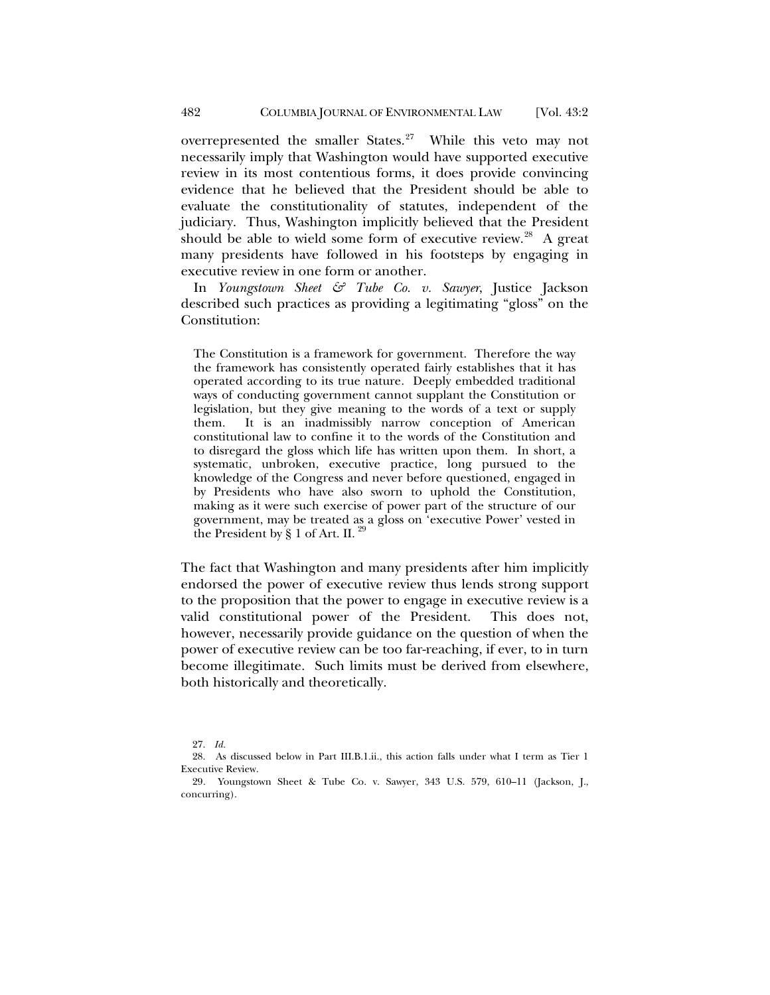overrepresented the smaller States. $27$  While this veto may not necessarily imply that Washington would have supported executive review in its most contentious forms, it does provide convincing evidence that he believed that the President should be able to evaluate the constitutionality of statutes, independent of the judiciary. Thus, Washington implicitly believed that the President should be able to wield some form of executive review.<sup>28</sup> A great many presidents have followed in his footsteps by engaging in executive review in one form or another.

In *Youngstown Sheet & Tube Co. v. Sawyer*, Justice Jackson described such practices as providing a legitimating "gloss" on the Constitution:

The Constitution is a framework for government. Therefore the way the framework has consistently operated fairly establishes that it has operated according to its true nature. Deeply embedded traditional ways of conducting government cannot supplant the Constitution or legislation, but they give meaning to the words of a text or supply them. It is an inadmissibly narrow conception of American constitutional law to confine it to the words of the Constitution and to disregard the gloss which life has written upon them. In short, a systematic, unbroken, executive practice, long pursued to the knowledge of the Congress and never before questioned, engaged in by Presidents who have also sworn to uphold the Constitution, making as it were such exercise of power part of the structure of our government, may be treated as a gloss on 'executive Power' vested in the President by § 1 of Art. II.  $^{29}$  $^{29}$  $^{29}$ 

The fact that Washington and many presidents after him implicitly endorsed the power of executive review thus lends strong support to the proposition that the power to engage in executive review is a valid constitutional power of the President. This does not, however, necessarily provide guidance on the question of when the power of executive review can be too far-reaching, if ever, to in turn become illegitimate. Such limits must be derived from elsewhere, both historically and theoretically.

<sup>27.</sup> *Id.*

<span id="page-7-1"></span><span id="page-7-0"></span><sup>28.</sup> As discussed below in Part III.B.1.ii., this action falls under what I term as Tier 1 Executive Review.

<span id="page-7-2"></span><sup>29</sup>*.* Youngstown Sheet & Tube Co. v. Sawyer, 343 U.S. 579, 610–11 (Jackson, J., concurring).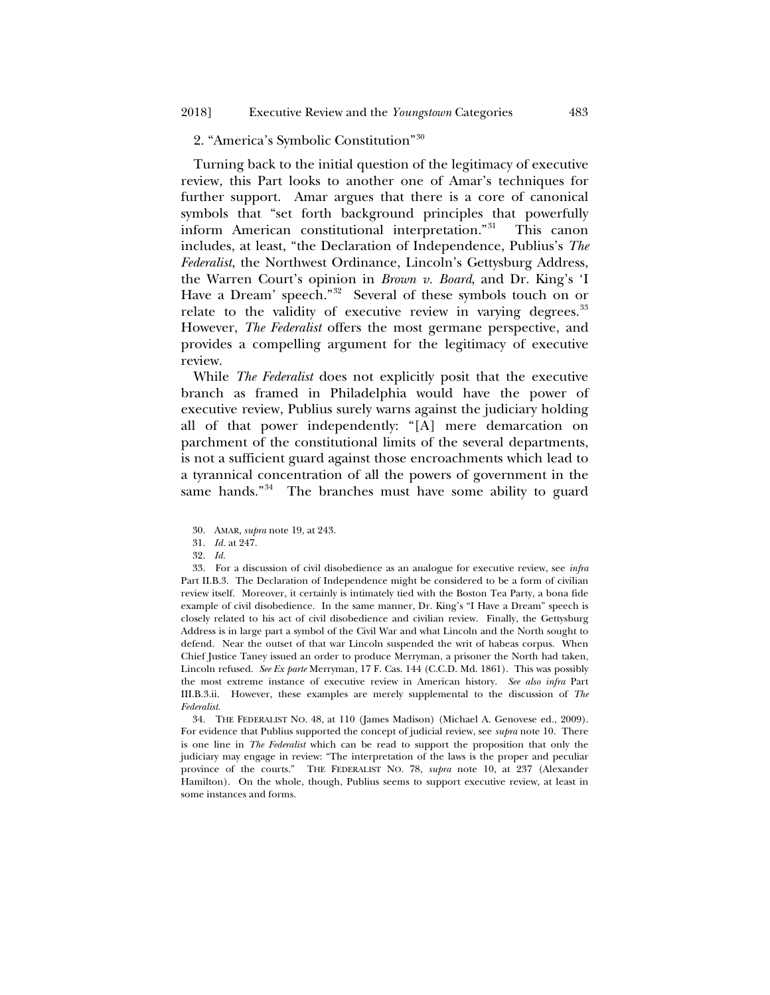# 2. "America's Symbolic Constitution"[30](#page-8-0)

Turning back to the initial question of the legitimacy of executive review, this Part looks to another one of Amar's techniques for further support. Amar argues that there is a core of canonical symbols that "set forth background principles that powerfully inform American constitutional interpretation."[31](#page-8-1) This canon includes, at least, "the Declaration of Independence, Publius's *The Federalist*, the Northwest Ordinance, Lincoln's Gettysburg Address, the Warren Court's opinion in *Brown v. Board*, and Dr. King's 'I Have a Dream' speech."<sup>32</sup> Several of these symbols touch on or relate to the validity of executive review in varying degrees.<sup>[33](#page-8-3)</sup> However, *The Federalist* offers the most germane perspective, and provides a compelling argument for the legitimacy of executive review.

While *The Federalist* does not explicitly posit that the executive branch as framed in Philadelphia would have the power of executive review, Publius surely warns against the judiciary holding all of that power independently: "[A] mere demarcation on parchment of the constitutional limits of the several departments, is not a sufficient guard against those encroachments which lead to a tyrannical concentration of all the powers of government in the same hands."<sup>[34](#page-8-4)</sup> The branches must have some ability to guard

- 30. AMAR, *supra* not[e 19,](#page-5-4) at 243.
- 31. *Id.* at 247.
- 32. *Id.*

<span id="page-8-3"></span><span id="page-8-2"></span><span id="page-8-1"></span><span id="page-8-0"></span>33. For a discussion of civil disobedience as an analogue for executive review, see *infra*  Part II.B.3. The Declaration of Independence might be considered to be a form of civilian review itself. Moreover, it certainly is intimately tied with the Boston Tea Party, a bona fide example of civil disobedience. In the same manner, Dr. King's "I Have a Dream" speech is closely related to his act of civil disobedience and civilian review. Finally, the Gettysburg Address is in large part a symbol of the Civil War and what Lincoln and the North sought to defend. Near the outset of that war Lincoln suspended the writ of habeas corpus. When Chief Justice Taney issued an order to produce Merryman, a prisoner the North had taken, Lincoln refused. *See Ex parte* Merryman, 17 F. Cas. 144 (C.C.D. Md. 1861). This was possibly the most extreme instance of executive review in American history. *See also infra* Part III.B.3.ii. However, these examples are merely supplemental to the discussion of *The Federalist*.

<span id="page-8-4"></span>34. THE FEDERALIST NO. 48, at 110 (James Madison) (Michael A. Genovese ed., 2009). For evidence that Publius supported the concept of judicial review, see *supra* note [10.](#page-4-0) There is one line in *The Federalist* which can be read to support the proposition that only the judiciary may engage in review: "The interpretation of the laws is the proper and peculiar province of the courts." THE FEDERALIST NO. 78, *supra* note [10,](#page-4-0) at 237 (Alexander Hamilton). On the whole, though, Publius seems to support executive review, at least in some instances and forms.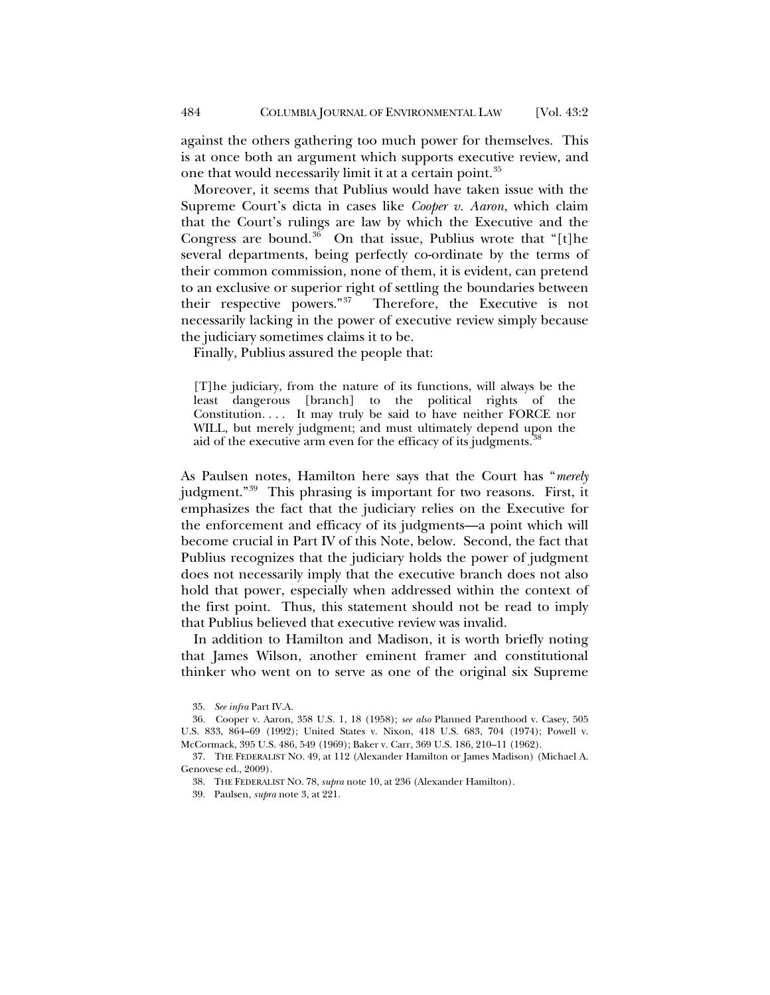against the others gathering too much power for themselves. This is at once both an argument which supports executive review, and one that would necessarily limit it at a certain point.<sup>[35](#page-9-0)</sup>

Moreover, it seems that Publius would have taken issue with the Supreme Court's dicta in cases like *Cooper v. Aaron*, which claim that the Court's rulings are law by which the Executive and the Congress are bound.<sup>[36](#page-9-1)</sup> On that issue, Publius wrote that "[t]he several departments, being perfectly co-ordinate by the terms of their common commission, none of them, it is evident, can pretend to an exclusive or superior right of settling the boundaries between their respective powers."[37](#page-9-2) Therefore, the Executive is not necessarily lacking in the power of executive review simply because the judiciary sometimes claims it to be.

Finally, Publius assured the people that:

<span id="page-9-5"></span>[T]he judiciary, from the nature of its functions, will always be the least dangerous [branch] to the political rights of the Constitution. . . . It may truly be said to have neither FORCE nor WILL, but merely judgment; and must ultimately depend upon the aid of the executive arm even for the efficacy of its judgments.<sup>[38](#page-9-3)</sup>

As Paulsen notes, Hamilton here says that the Court has "*merely* judgment."<sup>39</sup> This phrasing is important for two reasons. First, it emphasizes the fact that the judiciary relies on the Executive for the enforcement and efficacy of its judgments—a point which will become crucial in Part IV of this Note, below. Second, the fact that Publius recognizes that the judiciary holds the power of judgment does not necessarily imply that the executive branch does not also hold that power, especially when addressed within the context of the first point. Thus, this statement should not be read to imply that Publius believed that executive review was invalid.

In addition to Hamilton and Madison, it is worth briefly noting that James Wilson, another eminent framer and constitutional thinker who went on to serve as one of the original six Supreme

<sup>35.</sup> *See infra* Part IV.A.

<span id="page-9-1"></span><span id="page-9-0"></span><sup>36.</sup> Cooper v. Aaron, 358 U.S. 1, 18 (1958); *see also* Planned Parenthood v. Casey, 505 U.S. 833, 864–69 (1992); United States v. Nixon, 418 U.S. 683, 704 (1974); Powell v. McCormack, 395 U.S. 486, 549 (1969); Baker v. Carr, 369 U.S. 186, 210–11 (1962).

<span id="page-9-4"></span><span id="page-9-3"></span><span id="page-9-2"></span><sup>37.</sup> THE FEDERALIST NO. 49, at 112 (Alexander Hamilton or James Madison) (Michael A. Genovese ed., 2009).

<sup>38.</sup> THE FEDERALIST NO. 78, *supra* not[e 10,](#page-4-0) at 236 (Alexander Hamilton).

<sup>39.</sup> Paulsen, *supra* not[e 3,](#page-2-0) at 221.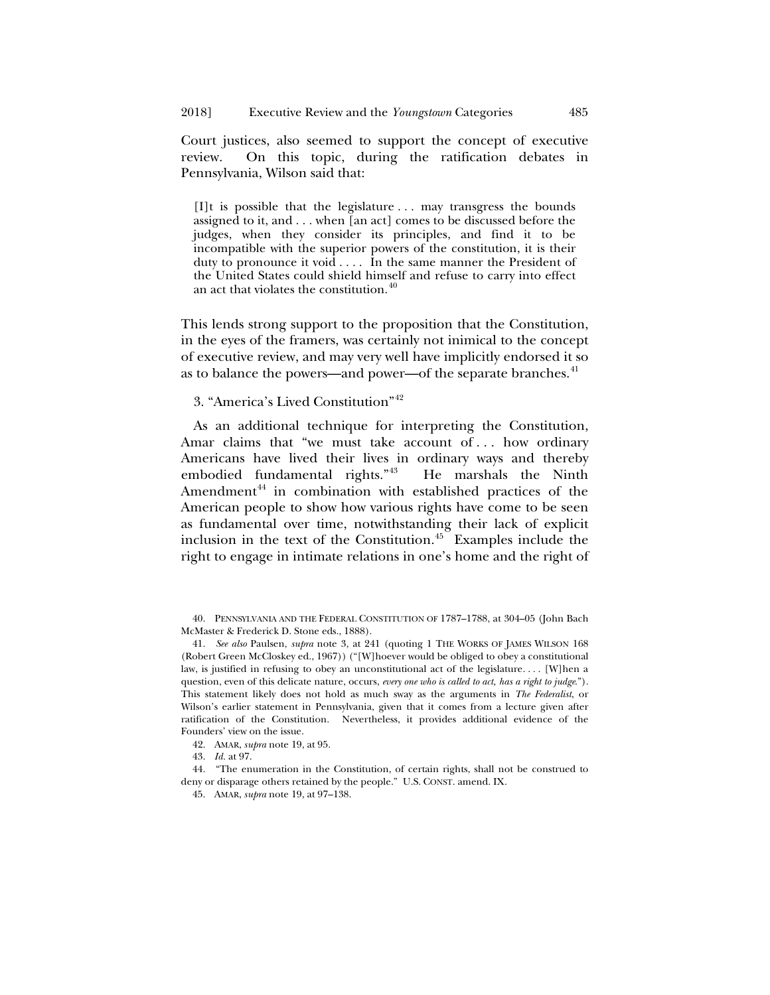Court justices, also seemed to support the concept of executive review. On this topic, during the ratification debates in Pennsylvania, Wilson said that:

[I]t is possible that the legislature . . . may transgress the bounds assigned to it, and . . . when [an act] comes to be discussed before the judges, when they consider its principles, and find it to be incompatible with the superior powers of the constitution, it is their duty to pronounce it void . . . . In the same manner the President of the United States could shield himself and refuse to carry into effect an act that violates the constitution.<sup>[40](#page-10-0)</sup>

This lends strong support to the proposition that the Constitution, in the eyes of the framers, was certainly not inimical to the concept of executive review, and may very well have implicitly endorsed it so as to balance the powers—and power—of the separate branches.<sup>[41](#page-10-1)</sup>

# 3. "America's Lived Constitution"[42](#page-10-2)

As an additional technique for interpreting the Constitution, Amar claims that "we must take account of ... how ordinary Americans have lived their lives in ordinary ways and thereby embodied fundamental rights."[43](#page-10-3) He marshals the Ninth Amendment $44$  in combination with established practices of the American people to show how various rights have come to be seen as fundamental over time, notwithstanding their lack of explicit inclusion in the text of the Constitution. $45$  Examples include the right to engage in intimate relations in one's home and the right of

<span id="page-10-0"></span>40. PENNSYLVANIA AND THE FEDERAL CONSTITUTION OF 1787–1788, at 304–05 (John Bach McMaster & Frederick D. Stone eds., 1888).

<span id="page-10-1"></span>41. *See also* Paulsen, *supra* note [3,](#page-2-0) at 241 (quoting 1 THE WORKS OF JAMES WILSON 168 (Robert Green McCloskey ed., 1967)) ("[W]hoever would be obliged to obey a constitutional law, is justified in refusing to obey an unconstitutional act of the legislature. . . . [W]hen a question, even of this delicate nature, occurs, *every one who is called to act, has a right to judge*."). This statement likely does not hold as much sway as the arguments in *The Federalist*, or Wilson's earlier statement in Pennsylvania, given that it comes from a lecture given after ratification of the Constitution. Nevertheless, it provides additional evidence of the Founders' view on the issue.

- 42. AMAR, *supra* not[e 19,](#page-5-4) at 95.
- 43. *Id.* at 97.

<span id="page-10-5"></span><span id="page-10-4"></span><span id="page-10-3"></span><span id="page-10-2"></span>44. "The enumeration in the Constitution, of certain rights, shall not be construed to deny or disparage others retained by the people." U.S. CONST. amend. IX.

<sup>45.</sup> AMAR, *supra* not[e 19,](#page-5-4) at 97–138.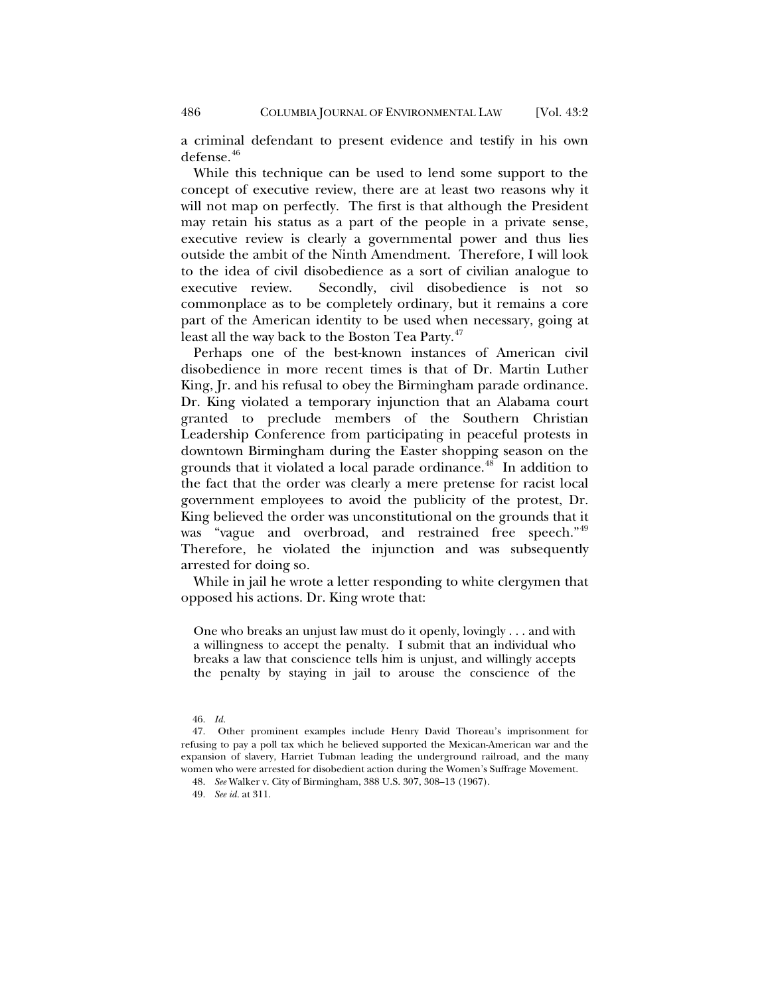a criminal defendant to present evidence and testify in his own defense.[46](#page-11-0)

While this technique can be used to lend some support to the concept of executive review, there are at least two reasons why it will not map on perfectly. The first is that although the President may retain his status as a part of the people in a private sense, executive review is clearly a governmental power and thus lies outside the ambit of the Ninth Amendment. Therefore, I will look to the idea of civil disobedience as a sort of civilian analogue to executive review. Secondly, civil disobedience is not so commonplace as to be completely ordinary, but it remains a core part of the American identity to be used when necessary, going at least all the way back to the Boston Tea Party.<sup>[47](#page-11-1)</sup>

Perhaps one of the best-known instances of American civil disobedience in more recent times is that of Dr. Martin Luther King, Jr. and his refusal to obey the Birmingham parade ordinance. Dr. King violated a temporary injunction that an Alabama court granted to preclude members of the Southern Christian Leadership Conference from participating in peaceful protests in downtown Birmingham during the Easter shopping season on the grounds that it violated a local parade ordinance.<sup>48</sup> In addition to the fact that the order was clearly a mere pretense for racist local government employees to avoid the publicity of the protest, Dr. King believed the order was unconstitutional on the grounds that it was "vague and overbroad, and restrained free speech."<sup>[49](#page-11-3)</sup> Therefore, he violated the injunction and was subsequently arrested for doing so.

While in jail he wrote a letter responding to white clergymen that opposed his actions. Dr. King wrote that:

One who breaks an unjust law must do it openly, lovingly . . . and with a willingness to accept the penalty. I submit that an individual who breaks a law that conscience tells him is unjust, and willingly accepts the penalty by staying in jail to arouse the conscience of the

<sup>46.</sup> *Id.*

<span id="page-11-3"></span><span id="page-11-2"></span><span id="page-11-1"></span><span id="page-11-0"></span><sup>47.</sup> Other prominent examples include Henry David Thoreau's imprisonment for refusing to pay a poll tax which he believed supported the Mexican-American war and the expansion of slavery, Harriet Tubman leading the underground railroad, and the many women who were arrested for disobedient action during the Women's Suffrage Movement.

<sup>48.</sup> *See* Walker v. City of Birmingham, 388 U.S. 307, 308–13 (1967).

<sup>49.</sup> *See id.* at 311.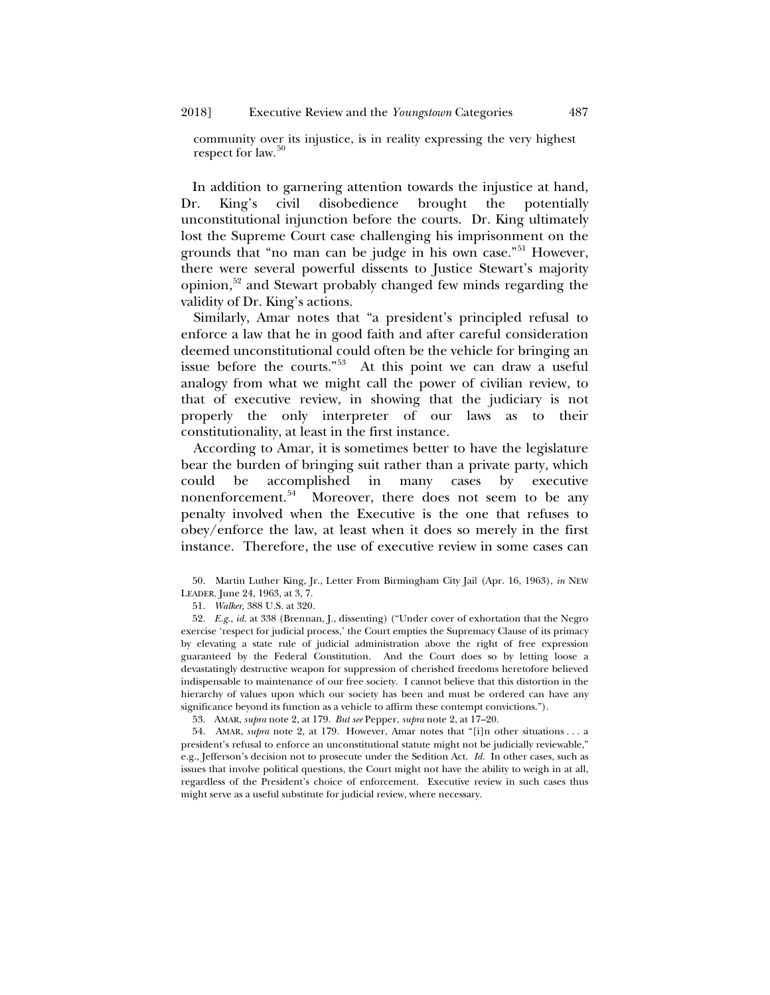#### 2018] Executive Review and the *Youngstown* Categories 487

community over its injustice, is in reality expressing the very highest respect for law.<sup>5</sup>

In addition to garnering attention towards the injustice at hand, Dr. King's civil disobedience brought the potentially unconstitutional injunction before the courts. Dr. King ultimately lost the Supreme Court case challenging his imprisonment on the grounds that "no man can be judge in his own case."<sup>[51](#page-12-1)</sup> However, there were several powerful dissents to Justice Stewart's majority opinion[,52](#page-12-2) and Stewart probably changed few minds regarding the validity of Dr. King's actions.

Similarly, Amar notes that "a president's principled refusal to enforce a law that he in good faith and after careful consideration deemed unconstitutional could often be the vehicle for bringing an issue before the courts."[53](#page-12-3) At this point we can draw a useful analogy from what we might call the power of civilian review, to that of executive review, in showing that the judiciary is not properly the only interpreter of our laws as to their constitutionality, at least in the first instance.

According to Amar, it is sometimes better to have the legislature bear the burden of bringing suit rather than a private party, which could be accomplished in many cases by executive nonenforcement.<sup>[54](#page-12-4)</sup> Moreover, there does not seem to be any penalty involved when the Executive is the one that refuses to obey/enforce the law, at least when it does so merely in the first instance. Therefore, the use of executive review in some cases can

<span id="page-12-2"></span><span id="page-12-1"></span>52. *E.g.*, *id.* at 338 (Brennan, J., dissenting) ("Under cover of exhortation that the Negro exercise 'respect for judicial process,' the Court empties the Supremacy Clause of its primacy by elevating a state rule of judicial administration above the right of free expression guaranteed by the Federal Constitution. And the Court does so by letting loose a devastatingly destructive weapon for suppression of cherished freedoms heretofore believed indispensable to maintenance of our free society. I cannot believe that this distortion in the hierarchy of values upon which our society has been and must be ordered can have any significance beyond its function as a vehicle to affirm these contempt convictions.").

53. AMAR, *supra* not[e 2,](#page-1-2) at 179. *But see* Pepper, *supra* not[e 2,](#page-1-2) at 17–20.

<span id="page-12-4"></span><span id="page-12-3"></span>54. AMAR, *supra* note [2,](#page-1-2) at 179. However, Amar notes that "[i]n other situations . . . a president's refusal to enforce an unconstitutional statute might not be judicially reviewable," e.g., Jefferson's decision not to prosecute under the Sedition Act. *Id.* In other cases, such as issues that involve political questions, the Court might not have the ability to weigh in at all, regardless of the President's choice of enforcement. Executive review in such cases thus might serve as a useful substitute for judicial review, where necessary.

<span id="page-12-0"></span><sup>50.</sup> Martin Luther King, Jr., Letter From Birmingham City Jail (Apr. 16, 1963), *in* NEW LEADER, June 24, 1963, at 3, 7.

<sup>51.</sup> *Walker*, 388 U.S. at 320.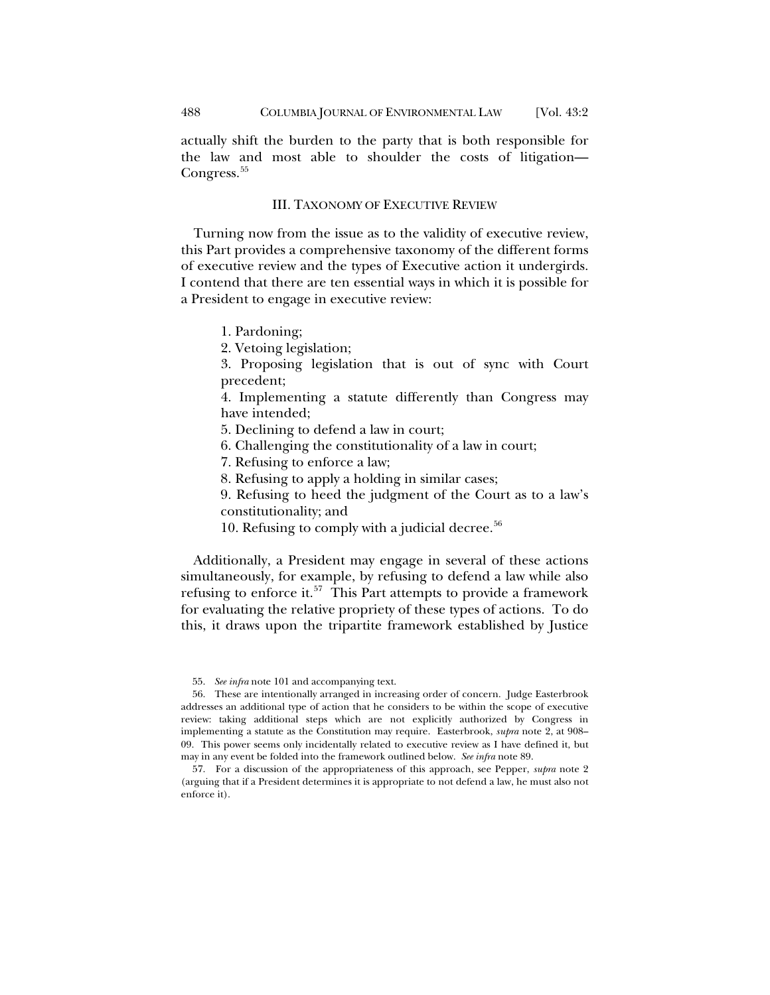actually shift the burden to the party that is both responsible for the law and most able to shoulder the costs of litigation— Congress.<sup>[55](#page-13-0)</sup>

## III. TAXONOMY OF EXECUTIVE REVIEW

Turning now from the issue as to the validity of executive review, this Part provides a comprehensive taxonomy of the different forms of executive review and the types of Executive action it undergirds. I contend that there are ten essential ways in which it is possible for a President to engage in executive review:

1. Pardoning;

2. Vetoing legislation;

3. Proposing legislation that is out of sync with Court precedent;

4. Implementing a statute differently than Congress may have intended;

5. Declining to defend a law in court;

6. Challenging the constitutionality of a law in court;

7. Refusing to enforce a law;

8. Refusing to apply a holding in similar cases;

9. Refusing to heed the judgment of the Court as to a law's constitutionality; and

10. Refusing to comply with a judicial decree. $56$ 

Additionally, a President may engage in several of these actions simultaneously, for example, by refusing to defend a law while also refusing to enforce it.<sup>[57](#page-13-2)</sup> This Part attempts to provide a framework for evaluating the relative propriety of these types of actions. To do this, it draws upon the tripartite framework established by Justice

<sup>55.</sup> *See infra* not[e 101](#page-24-0) and accompanying text.

<span id="page-13-1"></span><span id="page-13-0"></span><sup>56.</sup> These are intentionally arranged in increasing order of concern. Judge Easterbrook addresses an additional type of action that he considers to be within the scope of executive review: taking additional steps which are not explicitly authorized by Congress in implementing a statute as the Constitution may require. Easterbrook, *supra* note [2,](#page-1-2) at 908– 09. This power seems only incidentally related to executive review as I have defined it, but may in any event be folded into the framework outlined below. *See infra* note [89.](#page-21-0)

<span id="page-13-2"></span><sup>57.</sup> For a discussion of the appropriateness of this approach, see Pepper, *supra* note [2](#page-1-2) (arguing that if a President determines it is appropriate to not defend a law, he must also not enforce it).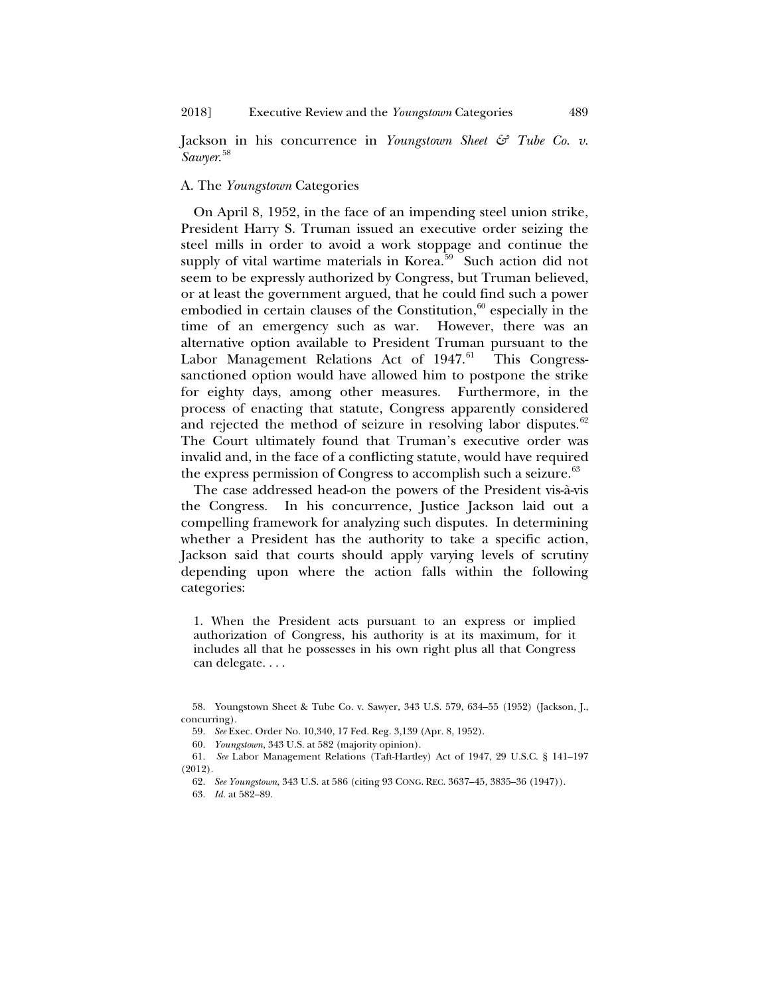Jackson in his concurrence in *Youngstown Sheet & Tube Co. v. Sawyer*. [58](#page-14-0)

# A. The *Youngstown* Categories

On April 8, 1952, in the face of an impending steel union strike, President Harry S. Truman issued an executive order seizing the steel mills in order to avoid a work stoppage and continue the supply of vital wartime materials in Korea. $59$  Such action did not seem to be expressly authorized by Congress, but Truman believed, or at least the government argued, that he could find such a power embodied in certain clauses of the Constitution, $60$  especially in the time of an emergency such as war. However, there was an alternative option available to President Truman pursuant to the Labor Management Relations Act of 1947.<sup>[61](#page-14-3)</sup> This Congresssanctioned option would have allowed him to postpone the strike for eighty days, among other measures. Furthermore, in the process of enacting that statute, Congress apparently considered and rejected the method of seizure in resolving labor disputes. $62$ The Court ultimately found that Truman's executive order was invalid and, in the face of a conflicting statute, would have required the express permission of Congress to accomplish such a seizure.<sup>[63](#page-14-5)</sup>

The case addressed head-on the powers of the President vis-à-vis the Congress. In his concurrence, Justice Jackson laid out a compelling framework for analyzing such disputes. In determining whether a President has the authority to take a specific action, Jackson said that courts should apply varying levels of scrutiny depending upon where the action falls within the following categories:

1. When the President acts pursuant to an express or implied authorization of Congress, his authority is at its maximum, for it includes all that he possesses in his own right plus all that Congress can delegate. . . .

60. *Youngstown*, 343 U.S. at 582 (majority opinion).

<span id="page-14-1"></span><span id="page-14-0"></span><sup>58.</sup> Youngstown Sheet & Tube Co. v. Sawyer, 343 U.S. 579, 634–55 (1952) (Jackson, J., concurring).

<sup>59.</sup> *See* Exec. Order No. 10,340, 17 Fed. Reg. 3,139 (Apr. 8, 1952).

<span id="page-14-5"></span><span id="page-14-4"></span><span id="page-14-3"></span><span id="page-14-2"></span><sup>61.</sup> *See* Labor Management Relations (Taft-Hartley) Act of 1947, 29 U.S.C. § 141–197 (2012).

<sup>62.</sup> *See Youngstown*, 343 U.S. at 586 (citing 93 CONG. REC. 3637–45, 3835–36 (1947)).

<sup>63.</sup> *Id.* at 582–89.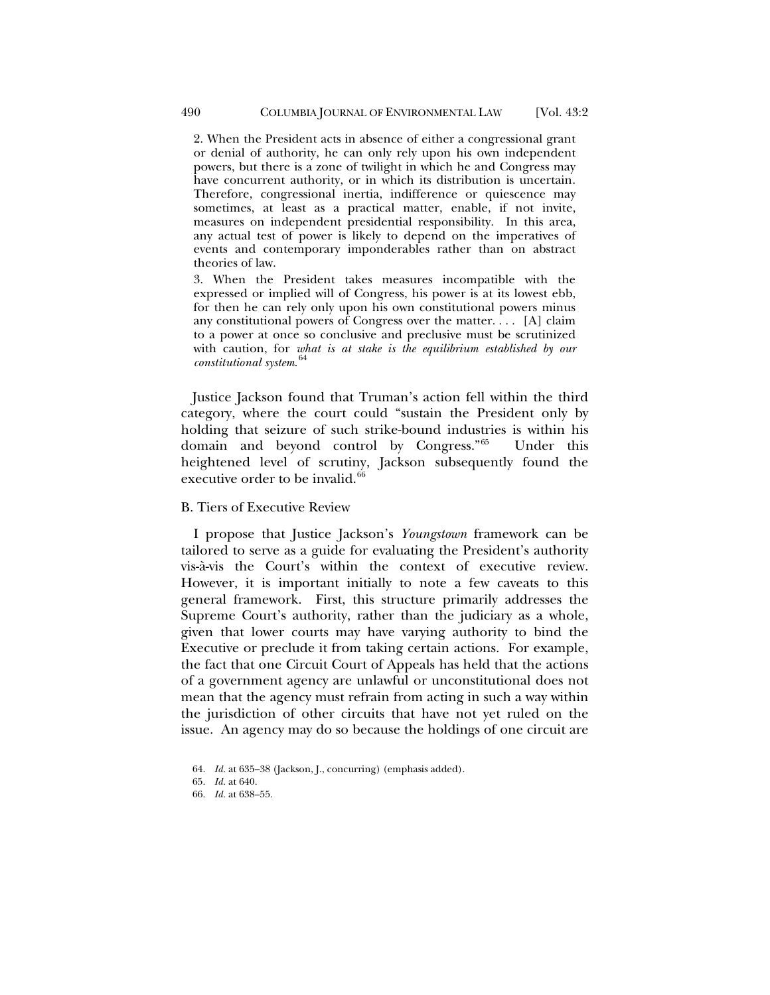2. When the President acts in absence of either a congressional grant or denial of authority, he can only rely upon his own independent powers, but there is a zone of twilight in which he and Congress may have concurrent authority, or in which its distribution is uncertain. Therefore, congressional inertia, indifference or quiescence may sometimes, at least as a practical matter, enable, if not invite, measures on independent presidential responsibility. In this area, any actual test of power is likely to depend on the imperatives of events and contemporary imponderables rather than on abstract theories of law.

3. When the President takes measures incompatible with the expressed or implied will of Congress, his power is at its lowest ebb, for then he can rely only upon his own constitutional powers minus any constitutional powers of Congress over the matter.... [A] claim to a power at once so conclusive and preclusive must be scrutinized with caution, for *what is at stake is the equilibrium established by our constitutional system*. [64](#page-15-0)

Justice Jackson found that Truman's action fell within the third category, where the court could "sustain the President only by holding that seizure of such strike-bound industries is within his domain and beyond control by Congress.["65](#page-15-1) Under this heightened level of scrutiny, Jackson subsequently found the executive order to be invalid.<sup>[66](#page-15-2)</sup>

## B. Tiers of Executive Review

I propose that Justice Jackson's *Youngstown* framework can be tailored to serve as a guide for evaluating the President's authority vis-à-vis the Court's within the context of executive review. However, it is important initially to note a few caveats to this general framework. First, this structure primarily addresses the Supreme Court's authority, rather than the judiciary as a whole, given that lower courts may have varying authority to bind the Executive or preclude it from taking certain actions. For example, the fact that one Circuit Court of Appeals has held that the actions of a government agency are unlawful or unconstitutional does not mean that the agency must refrain from acting in such a way within the jurisdiction of other circuits that have not yet ruled on the issue. An agency may do so because the holdings of one circuit are

<sup>64.</sup> *Id.* at 635–38 (Jackson, J., concurring) (emphasis added).

<span id="page-15-1"></span><span id="page-15-0"></span><sup>65.</sup> *Id.* at 640.

<span id="page-15-2"></span><sup>66.</sup> *Id.* at 638–55.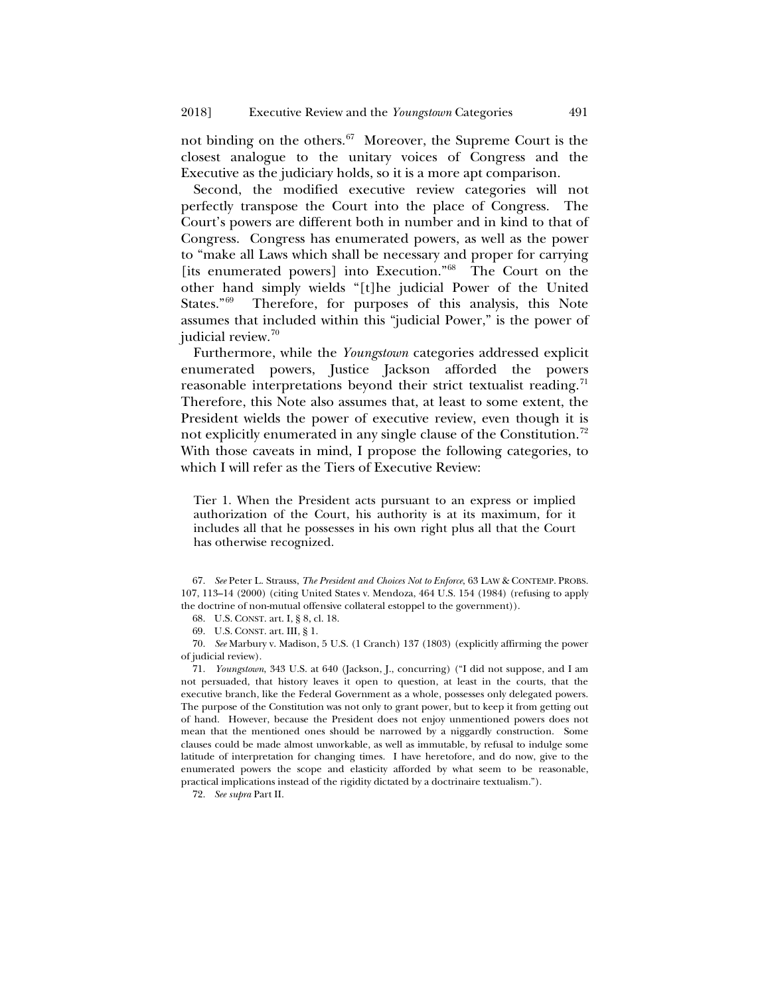<span id="page-16-6"></span>not binding on the others.[67](#page-16-0) Moreover, the Supreme Court is the closest analogue to the unitary voices of Congress and the Executive as the judiciary holds, so it is a more apt comparison.

Second, the modified executive review categories will not perfectly transpose the Court into the place of Congress. The Court's powers are different both in number and in kind to that of Congress. Congress has enumerated powers, as well as the power to "make all Laws which shall be necessary and proper for carrying [its enumerated powers] into Execution."<sup>68</sup> The Court on the other hand simply wields "[t]he judicial Power of the United States."[69](#page-16-2) Therefore, for purposes of this analysis, this Note assumes that included within this "judicial Power," is the power of judicial review.<sup>[70](#page-16-3)</sup>

Furthermore, while the *Youngstown* categories addressed explicit enumerated powers, Justice Jackson afforded the powers reasonable interpretations beyond their strict textualist reading.<sup>[71](#page-16-4)</sup> Therefore, this Note also assumes that, at least to some extent, the President wields the power of executive review, even though it is not explicitly enumerated in any single clause of the Constitution.<sup>[72](#page-16-5)</sup> With those caveats in mind, I propose the following categories, to which I will refer as the Tiers of Executive Review:

Tier 1. When the President acts pursuant to an express or implied authorization of the Court, his authority is at its maximum, for it includes all that he possesses in his own right plus all that the Court has otherwise recognized.

<span id="page-16-0"></span>67. *See* Peter L. Strauss, *The President and Choices Not to Enforce*, 63 LAW & CONTEMP. PROBS. 107, 113–14 (2000) (citing United States v. Mendoza, 464 U.S. 154 (1984) (refusing to apply the doctrine of non-mutual offensive collateral estoppel to the government)).

68. U.S. CONST. art. I, § 8, cl. 18.

69. U.S. CONST. art. III, § 1.

<span id="page-16-3"></span><span id="page-16-2"></span><span id="page-16-1"></span>70. *See* Marbury v. Madison, 5 U.S. (1 Cranch) 137 (1803) (explicitly affirming the power of judicial review).

<span id="page-16-4"></span>71. *Youngstown*, 343 U.S. at 640 (Jackson, J., concurring) ("I did not suppose, and I am not persuaded, that history leaves it open to question, at least in the courts, that the executive branch, like the Federal Government as a whole, possesses only delegated powers. The purpose of the Constitution was not only to grant power, but to keep it from getting out of hand. However, because the President does not enjoy unmentioned powers does not mean that the mentioned ones should be narrowed by a niggardly construction. Some clauses could be made almost unworkable, as well as immutable, by refusal to indulge some latitude of interpretation for changing times. I have heretofore, and do now, give to the enumerated powers the scope and elasticity afforded by what seem to be reasonable, practical implications instead of the rigidity dictated by a doctrinaire textualism.").

<span id="page-16-5"></span>72. *See supra* Part II.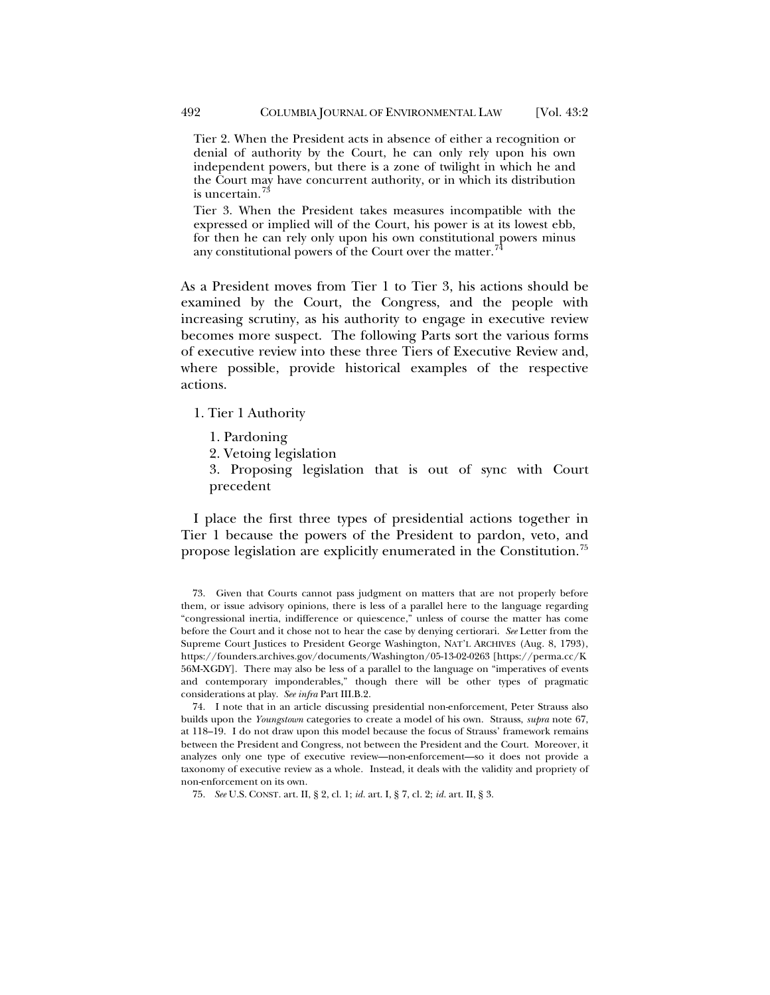Tier 2. When the President acts in absence of either a recognition or denial of authority by the Court, he can only rely upon his own independent powers, but there is a zone of twilight in which he and the Court may have concurrent authority, or in which its distribution is uncertain.<sup>7</sup>

<span id="page-17-3"></span>Tier 3. When the President takes measures incompatible with the expressed or implied will of the Court, his power is at its lowest ebb, for then he can rely only upon his own constitutional powers minus any constitutional powers of the Court over the matter.<sup>7</sup>

As a President moves from Tier 1 to Tier 3, his actions should be examined by the Court, the Congress, and the people with increasing scrutiny, as his authority to engage in executive review becomes more suspect. The following Parts sort the various forms of executive review into these three Tiers of Executive Review and, where possible, provide historical examples of the respective actions.

- 1. Tier 1 Authority
	- 1. Pardoning
	- 2. Vetoing legislation

3. Proposing legislation that is out of sync with Court precedent

I place the first three types of presidential actions together in Tier 1 because the powers of the President to pardon, veto, and propose legislation are explicitly enumerated in the Constitution.<sup>[75](#page-17-2)</sup>

<span id="page-17-1"></span>74. I note that in an article discussing presidential non-enforcement, Peter Strauss also builds upon the *Youngstown* categories to create a model of his own. Strauss, *supra* note [67,](#page-16-6)  at 118–19. I do not draw upon this model because the focus of Strauss' framework remains between the President and Congress, not between the President and the Court. Moreover, it analyzes only one type of executive review—non-enforcement—so it does not provide a taxonomy of executive review as a whole. Instead, it deals with the validity and propriety of non-enforcement on its own.

<span id="page-17-0"></span><sup>73.</sup> Given that Courts cannot pass judgment on matters that are not properly before them, or issue advisory opinions, there is less of a parallel here to the language regarding "congressional inertia, indifference or quiescence," unless of course the matter has come before the Court and it chose not to hear the case by denying certiorari. *See* Letter from the Supreme Court Justices to President George Washington, NAT'L ARCHIVES (Aug. 8, 1793), https://founders.archives.gov/documents/Washington/05-13-02-0263 [https://perma.cc/K 56M-XGDY]. There may also be less of a parallel to the language on "imperatives of events and contemporary imponderables," though there will be other types of pragmatic considerations at play. *See infra* Part III.B.2.

<span id="page-17-2"></span><sup>75.</sup> *See* U.S. CONST. art. II, § 2, cl. 1; *id.* art. I, § 7, cl. 2; *id.* art. II, § 3.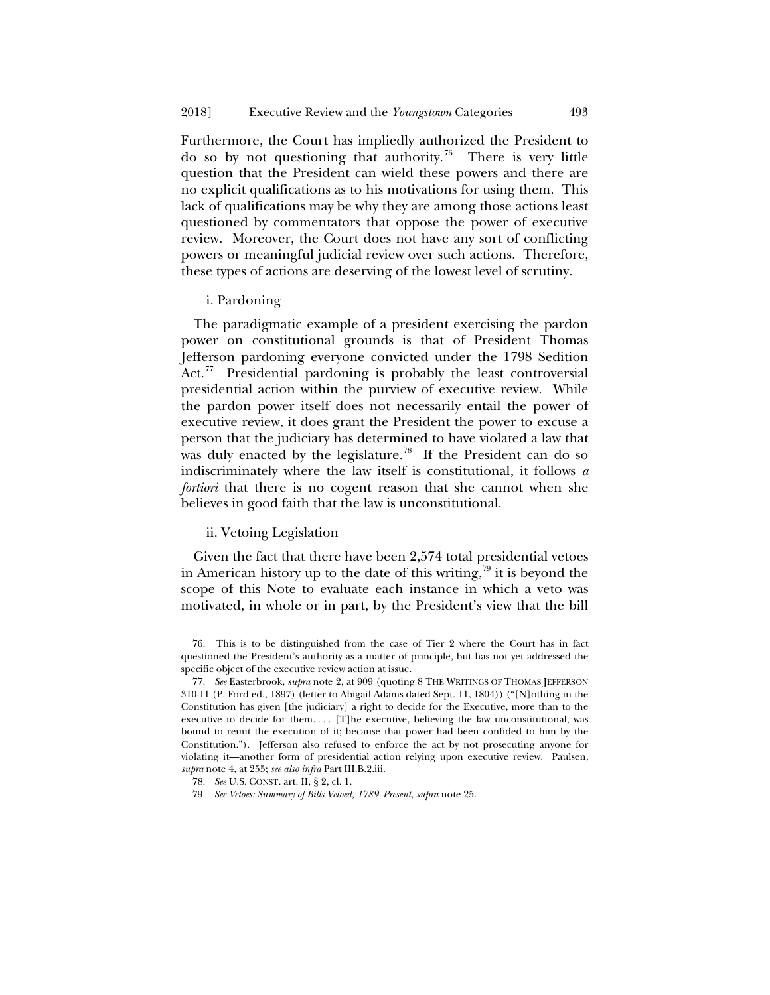Furthermore, the Court has impliedly authorized the President to do so by not questioning that authority.<sup>[76](#page-18-0)</sup> There is very little question that the President can wield these powers and there are no explicit qualifications as to his motivations for using them. This lack of qualifications may be why they are among those actions least questioned by commentators that oppose the power of executive review. Moreover, the Court does not have any sort of conflicting powers or meaningful judicial review over such actions. Therefore, these types of actions are deserving of the lowest level of scrutiny.

#### i. Pardoning

The paradigmatic example of a president exercising the pardon power on constitutional grounds is that of President Thomas Jefferson pardoning everyone convicted under the 1798 Sedition Act.<sup>77</sup> Presidential pardoning is probably the least controversial presidential action within the purview of executive review. While the pardon power itself does not necessarily entail the power of executive review, it does grant the President the power to excuse a person that the judiciary has determined to have violated a law that was duly enacted by the legislature.<sup>78</sup> If the President can do so indiscriminately where the law itself is constitutional, it follows *a fortiori* that there is no cogent reason that she cannot when she believes in good faith that the law is unconstitutional.

## ii. Vetoing Legislation

Given the fact that there have been 2,574 total presidential vetoes in American history up to the date of this writing,  $\frac{79}{11}$  $\frac{79}{11}$  $\frac{79}{11}$  it is beyond the scope of this Note to evaluate each instance in which a veto was motivated, in whole or in part, by the President's view that the bill

<span id="page-18-0"></span><sup>76.</sup> This is to be distinguished from the case of Tier 2 where the Court has in fact questioned the President's authority as a matter of principle, but has not yet addressed the specific object of the executive review action at issue.

<span id="page-18-1"></span><sup>77.</sup> *See* Easterbrook, *supra* note [2,](#page-1-2) at 909 (quoting 8 THE WRITINGS OF THOMAS JEFFERSON 310-11 (P. Ford ed., 1897) (letter to Abigail Adams dated Sept. 11, 1804)) ("[N]othing in the Constitution has given [the judiciary] a right to decide for the Executive, more than to the executive to decide for them.... [T]he executive, believing the law unconstitutional, was bound to remit the execution of it; because that power had been confided to him by the Constitution."). Jefferson also refused to enforce the act by not prosecuting anyone for violating it—another form of presidential action relying upon executive review. Paulsen, *supra* note 4, at 255; *see also infra* Part III.B.2.iii.

<span id="page-18-2"></span><sup>78.</sup> *See* U.S. CONST. art. II, § 2, cl. 1.

<span id="page-18-3"></span><sup>79.</sup> *See Vetoes: Summary of Bills Vetoed, 1789–Present*, *supra* not[e 25.](#page-6-6)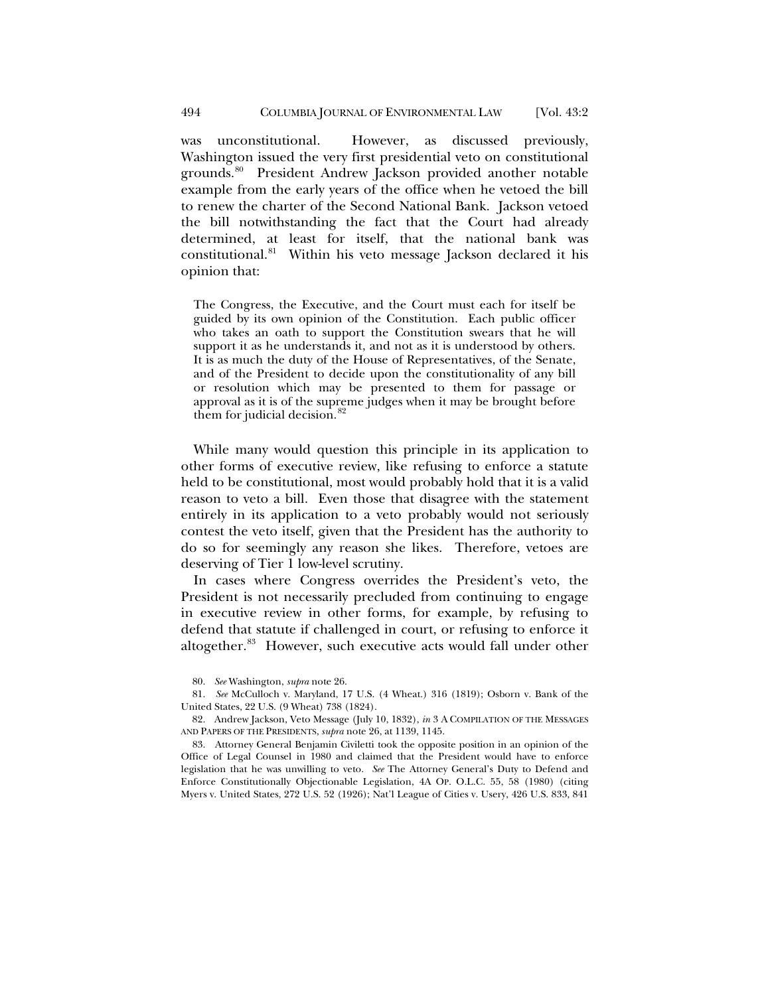was unconstitutional. However, as discussed previously, Washington issued the very first presidential veto on constitutional grounds.<sup>80</sup> President Andrew Jackson provided another notable example from the early years of the office when he vetoed the bill to renew the charter of the Second National Bank. Jackson vetoed the bill notwithstanding the fact that the Court had already determined, at least for itself, that the national bank was constitutional.<sup>[81](#page-19-1)</sup> Within his veto message Jackson declared it his opinion that:

The Congress, the Executive, and the Court must each for itself be guided by its own opinion of the Constitution. Each public officer who takes an oath to support the Constitution swears that he will support it as he understands it, and not as it is understood by others. It is as much the duty of the House of Representatives, of the Senate, and of the President to decide upon the constitutionality of any bill or resolution which may be presented to them for passage or approval as it is of the supreme judges when it may be brought before them for judicial decision.<sup>[82](#page-19-2)</sup>

While many would question this principle in its application to other forms of executive review, like refusing to enforce a statute held to be constitutional, most would probably hold that it is a valid reason to veto a bill. Even those that disagree with the statement entirely in its application to a veto probably would not seriously contest the veto itself, given that the President has the authority to do so for seemingly any reason she likes. Therefore, vetoes are deserving of Tier 1 low-level scrutiny.

In cases where Congress overrides the President's veto, the President is not necessarily precluded from continuing to engage in executive review in other forms, for example, by refusing to defend that statute if challenged in court, or refusing to enforce it altogether.<sup>[83](#page-19-3)</sup> However, such executive acts would fall under other

<span id="page-19-2"></span>82. Andrew Jackson, Veto Message (July 10, 1832), *in* 3 A COMPILATION OF THE MESSAGES AND PAPERS OF THE PRESIDENTS, *supra* not[e 26,](#page-6-7) at 1139, 1145.

<span id="page-19-3"></span>83. Attorney General Benjamin Civiletti took the opposite position in an opinion of the Office of Legal Counsel in 1980 and claimed that the President would have to enforce legislation that he was unwilling to veto. *See* The Attorney General's Duty to Defend and Enforce Constitutionally Objectionable Legislation, 4A OP. O.L.C. 55, 58 (1980) (citing Myers v. United States, 272 U.S. 52 (1926); Nat'l League of Cities v. Usery, 426 U.S. 833, 841

<span id="page-19-4"></span><sup>80.</sup> *See* Washington, *supra* not[e 26.](#page-6-7)

<span id="page-19-1"></span><span id="page-19-0"></span><sup>81.</sup> *See* McCulloch v. Maryland, 17 U.S. (4 Wheat.) 316 (1819); Osborn v. Bank of the United States, 22 U.S. (9 Wheat) 738 (1824).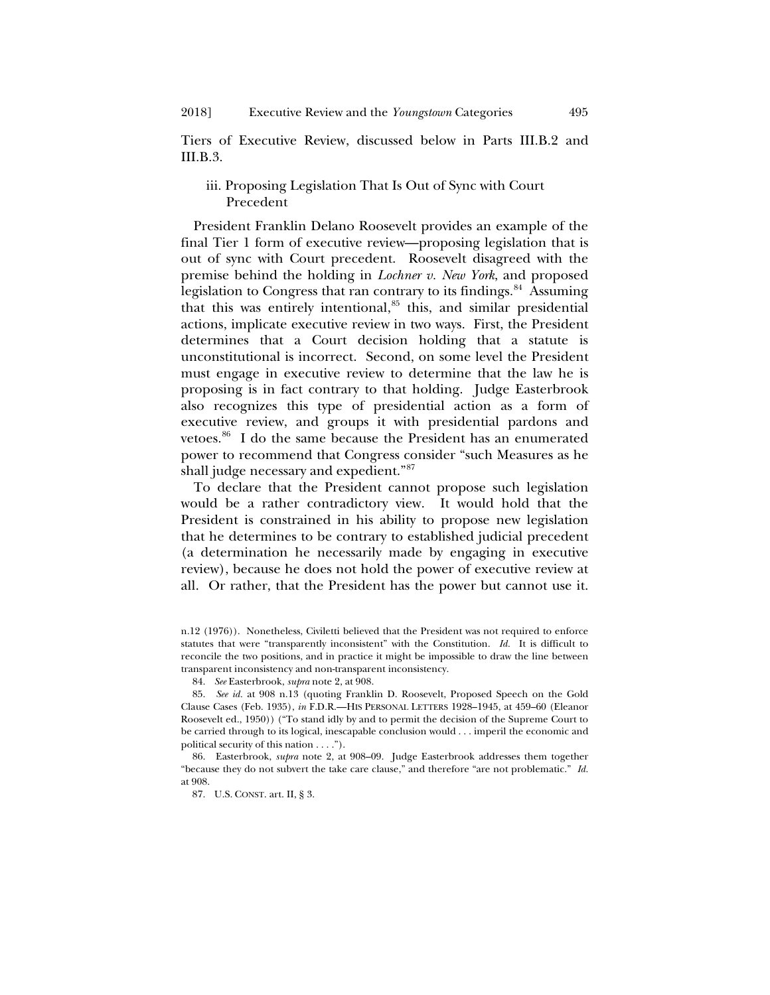Tiers of Executive Review, discussed below in Parts III.B.2 and III.B.3.

# iii. Proposing Legislation That Is Out of Sync with Court Precedent

President Franklin Delano Roosevelt provides an example of the final Tier 1 form of executive review—proposing legislation that is out of sync with Court precedent. Roosevelt disagreed with the premise behind the holding in *Lochner v. New York*, and proposed legislation to Congress that ran contrary to its findings.<sup>[84](#page-20-0)</sup> Assuming that this was entirely intentional,<sup>85</sup> this, and similar presidential actions, implicate executive review in two ways. First, the President determines that a Court decision holding that a statute is unconstitutional is incorrect. Second, on some level the President must engage in executive review to determine that the law he is proposing is in fact contrary to that holding. Judge Easterbrook also recognizes this type of presidential action as a form of executive review, and groups it with presidential pardons and vetoes.<sup>[86](#page-20-2)</sup> I do the same because the President has an enumerated power to recommend that Congress consider "such Measures as he shall judge necessary and expedient.["87](#page-20-3)

To declare that the President cannot propose such legislation would be a rather contradictory view. It would hold that the President is constrained in his ability to propose new legislation that he determines to be contrary to established judicial precedent (a determination he necessarily made by engaging in executive review), because he does not hold the power of executive review at all. Or rather, that the President has the power but cannot use it.

n.12 (1976)). Nonetheless, Civiletti believed that the President was not required to enforce statutes that were "transparently inconsistent" with the Constitution. *Id.* It is difficult to reconcile the two positions, and in practice it might be impossible to draw the line between transparent inconsistency and non-transparent inconsistency.

<sup>84.</sup> *See* Easterbrook, *supra* not[e 2,](#page-1-2) at 908.

<span id="page-20-1"></span><span id="page-20-0"></span><sup>85.</sup> *See id.* at 908 n.13 (quoting Franklin D. Roosevelt, Proposed Speech on the Gold Clause Cases (Feb. 1935), *in* F.D.R.—HIS PERSONAL LETTERS 1928–1945, at 459–60 (Eleanor Roosevelt ed., 1950)) ("To stand idly by and to permit the decision of the Supreme Court to be carried through to its logical, inescapable conclusion would . . . imperil the economic and political security of this nation . . . .").

<span id="page-20-3"></span><span id="page-20-2"></span><sup>86.</sup> Easterbrook, *supra* note [2,](#page-1-2) at 908–09. Judge Easterbrook addresses them together "because they do not subvert the take care clause," and therefore "are not problematic." *Id.* at 908.

<sup>87.</sup> U.S. CONST. art. II, § 3.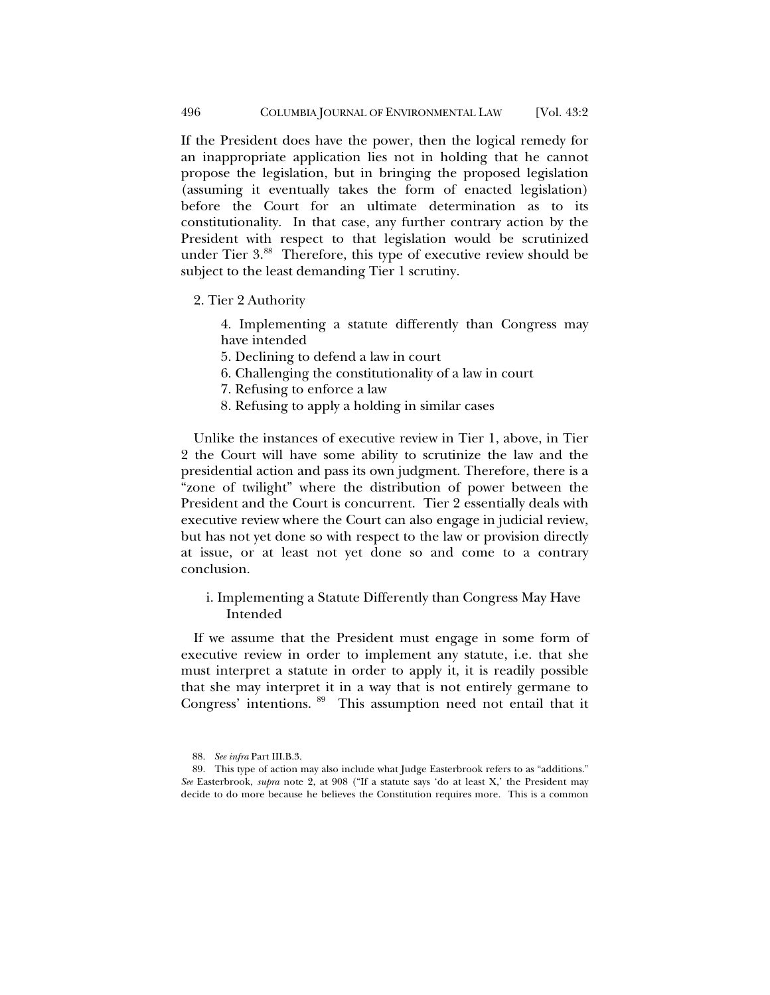If the President does have the power, then the logical remedy for an inappropriate application lies not in holding that he cannot propose the legislation, but in bringing the proposed legislation (assuming it eventually takes the form of enacted legislation) before the Court for an ultimate determination as to its constitutionality. In that case, any further contrary action by the President with respect to that legislation would be scrutinized under Tier 3.[88](#page-21-1) Therefore, this type of executive review should be subject to the least demanding Tier 1 scrutiny.

2. Tier 2 Authority

4. Implementing a statute differently than Congress may have intended

- 5. Declining to defend a law in court
- 6. Challenging the constitutionality of a law in court
- 7. Refusing to enforce a law
- 8. Refusing to apply a holding in similar cases

Unlike the instances of executive review in Tier 1, above, in Tier 2 the Court will have some ability to scrutinize the law and the presidential action and pass its own judgment. Therefore, there is a "zone of twilight" where the distribution of power between the President and the Court is concurrent. Tier 2 essentially deals with executive review where the Court can also engage in judicial review, but has not yet done so with respect to the law or provision directly at issue, or at least not yet done so and come to a contrary conclusion.

# i. Implementing a Statute Differently than Congress May Have Intended

If we assume that the President must engage in some form of executive review in order to implement any statute, i.e. that she must interpret a statute in order to apply it, it is readily possible that she may interpret it in a way that is not entirely germane to Congress' intentions. <sup>89</sup> This assumption need not entail that it

<span id="page-21-0"></span><sup>88.</sup> *See infra* Part III.B.3.

<span id="page-21-2"></span><span id="page-21-1"></span><sup>89.</sup> This type of action may also include what Judge Easterbrook refers to as "additions." *See* Easterbrook, *supra* note [2,](#page-1-2) at 908 ("If a statute says 'do at least X,' the President may decide to do more because he believes the Constitution requires more. This is a common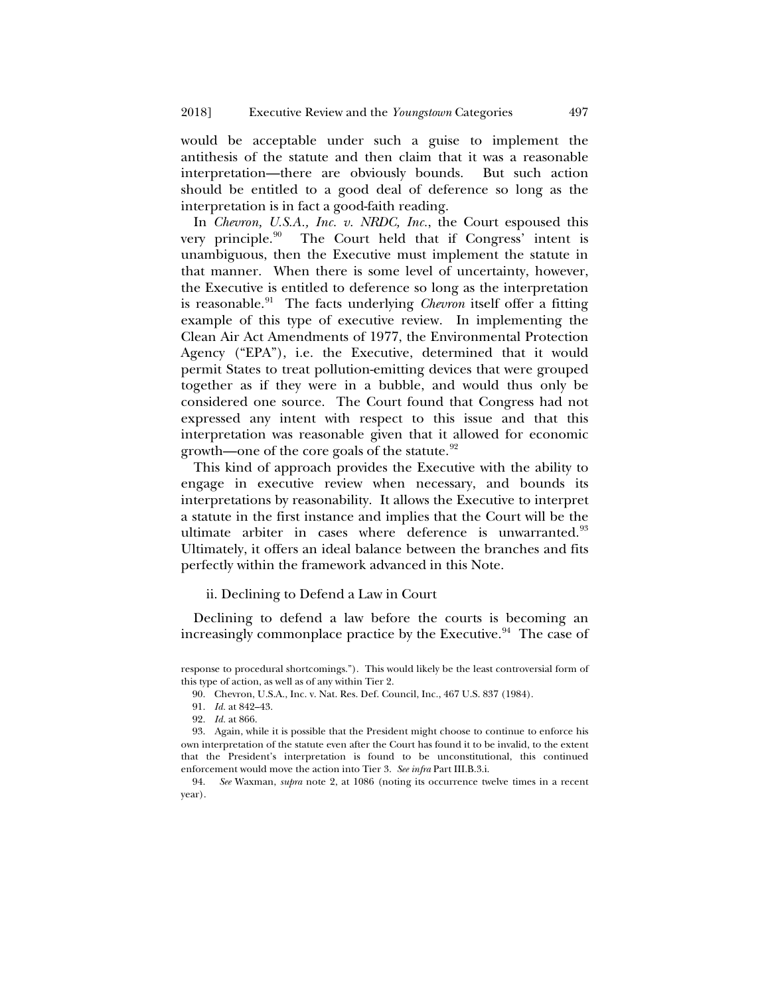would be acceptable under such a guise to implement the antithesis of the statute and then claim that it was a reasonable interpretation—there are obviously bounds. But such action should be entitled to a good deal of deference so long as the interpretation is in fact a good-faith reading.

In *Chevron, U.S.A., Inc. v. NRDC, Inc.*, the Court espoused this very principle.<sup>90</sup> The Court held that if Congress' intent is unambiguous, then the Executive must implement the statute in that manner. When there is some level of uncertainty, however, the Executive is entitled to deference so long as the interpretation is reasonable.<sup>91</sup> The facts underlying *Chevron* itself offer a fitting example of this type of executive review. In implementing the Clean Air Act Amendments of 1977, the Environmental Protection Agency ("EPA"), i.e. the Executive, determined that it would permit States to treat pollution-emitting devices that were grouped together as if they were in a bubble, and would thus only be considered one source. The Court found that Congress had not expressed any intent with respect to this issue and that this interpretation was reasonable given that it allowed for economic growth—one of the core goals of the statute.<sup>[92](#page-22-2)</sup>

This kind of approach provides the Executive with the ability to engage in executive review when necessary, and bounds its interpretations by reasonability. It allows the Executive to interpret a statute in the first instance and implies that the Court will be the ultimate arbiter in cases where deference is unwarranted.<sup>[93](#page-22-3)</sup> Ultimately, it offers an ideal balance between the branches and fits perfectly within the framework advanced in this Note.

# ii. Declining to Defend a Law in Court

Declining to defend a law before the courts is becoming an increasingly commonplace practice by the Executive.<sup>94</sup> The case of

<span id="page-22-0"></span>response to procedural shortcomings."). This would likely be the least controversial form of this type of action, as well as of any within Tier 2.

<sup>90.</sup> Chevron, U.S.A., Inc. v. Nat. Res. Def. Council, Inc., 467 U.S. 837 (1984).

<sup>91.</sup> *Id.* at 842–43.

<sup>92.</sup> *Id.* at 866.

<span id="page-22-3"></span><span id="page-22-2"></span><span id="page-22-1"></span><sup>93.</sup> Again, while it is possible that the President might choose to continue to enforce his own interpretation of the statute even after the Court has found it to be invalid, to the extent that the President's interpretation is found to be unconstitutional, this continued enforcement would move the action into Tier 3. *See infra* Part III.B.3.i.

<span id="page-22-4"></span><sup>94.</sup> *See* Waxman, *supra* note [2,](#page-1-2) at 1086 (noting its occurrence twelve times in a recent year).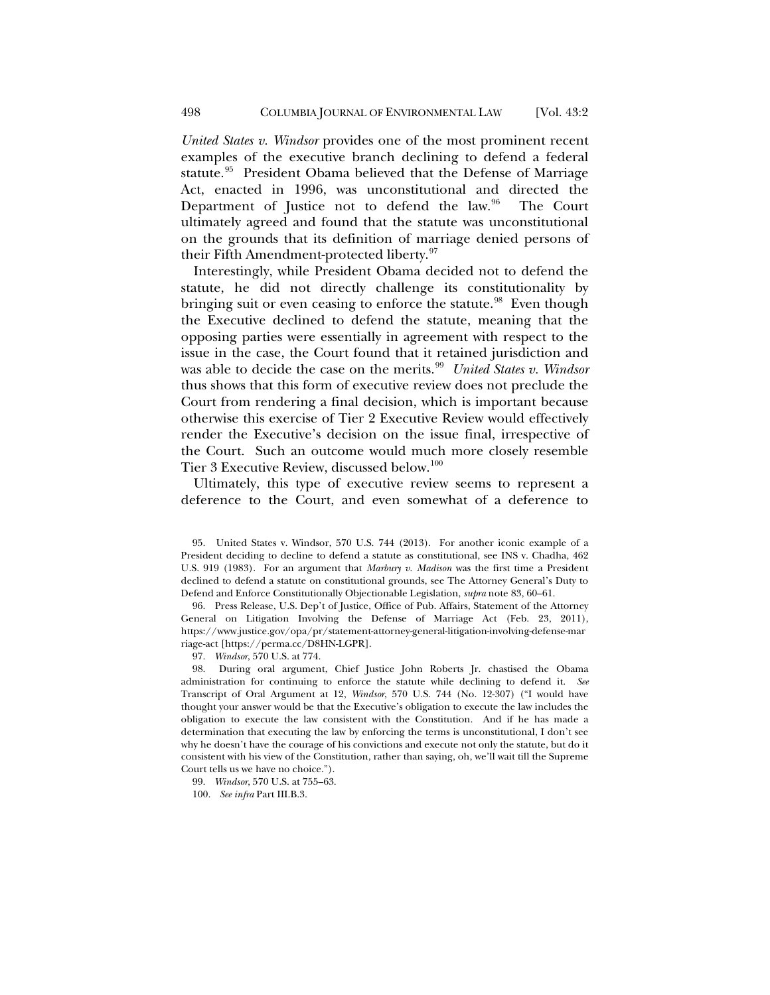*United States v. Windsor* provides one of the most prominent recent examples of the executive branch declining to defend a federal statute.<sup>95</sup> President Obama believed that the Defense of Marriage Act, enacted in 1996, was unconstitutional and directed the Department of Justice not to defend the law. $96$  The Court ultimately agreed and found that the statute was unconstitutional on the grounds that its definition of marriage denied persons of their Fifth Amendment-protected liberty.<sup>[97](#page-23-2)</sup>

Interestingly, while President Obama decided not to defend the statute, he did not directly challenge its constitutionality by bringing suit or even ceasing to enforce the statute.<sup>98</sup> Even though the Executive declined to defend the statute, meaning that the opposing parties were essentially in agreement with respect to the issue in the case, the Court found that it retained jurisdiction and was able to decide the case on the merits.<sup>[99](#page-23-4)</sup> *United States v. Windsor* thus shows that this form of executive review does not preclude the Court from rendering a final decision, which is important because otherwise this exercise of Tier 2 Executive Review would effectively render the Executive's decision on the issue final, irrespective of the Court. Such an outcome would much more closely resemble Tier 3 Executive Review, discussed below.<sup>[100](#page-23-5)</sup>

Ultimately, this type of executive review seems to represent a deference to the Court, and even somewhat of a deference to

<span id="page-23-1"></span>96. Press Release, U.S. Dep't of Justice, Office of Pub. Affairs, Statement of the Attorney General on Litigation Involving the Defense of Marriage Act (Feb. 23, 2011), https://www.justice.gov/opa/pr/statement-attorney-general-litigation-involving-defense-mar riage-act [https://perma.cc/D8HN-LGPR].

97. *Windsor*, 570 U.S. at 774.

<span id="page-23-3"></span><span id="page-23-2"></span>98. During oral argument, Chief Justice John Roberts Jr. chastised the Obama administration for continuing to enforce the statute while declining to defend it. *See*  Transcript of Oral Argument at 12, *Windsor*, 570 U.S. 744 (No. 12-307) ("I would have thought your answer would be that the Executive's obligation to execute the law includes the obligation to execute the law consistent with the Constitution. And if he has made a determination that executing the law by enforcing the terms is unconstitutional, I don't see why he doesn't have the courage of his convictions and execute not only the statute, but do it consistent with his view of the Constitution, rather than saying, oh, we'll wait till the Supreme Court tells us we have no choice.").

<span id="page-23-5"></span><span id="page-23-4"></span>99. *Windsor*, 570 U.S. at 755–63.

100. *See infra* Part III.B.3.

<span id="page-23-0"></span><sup>95.</sup> United States v. Windsor, 570 U.S. 744 (2013). For another iconic example of a President deciding to decline to defend a statute as constitutional, see INS v. Chadha, 462 U.S. 919 (1983). For an argument that *Marbury v. Madison* was the first time a President declined to defend a statute on constitutional grounds, see The Attorney General's Duty to Defend and Enforce Constitutionally Objectionable Legislation, *supra* not[e 83,](#page-19-4) 60–61.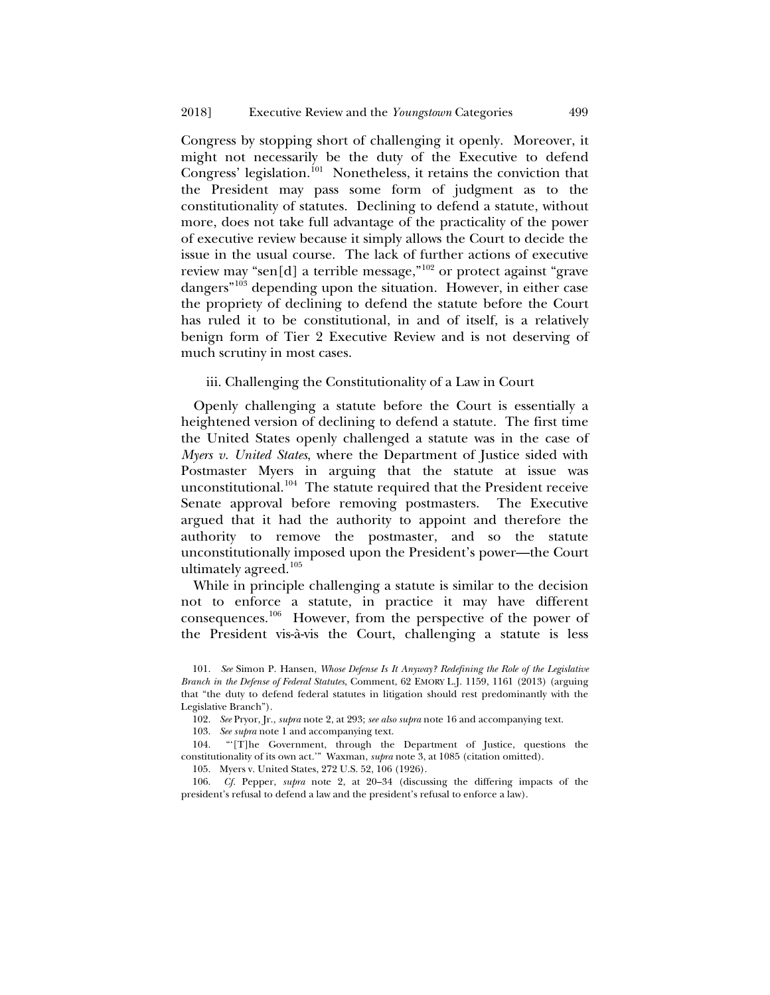<span id="page-24-0"></span>Congress by stopping short of challenging it openly. Moreover, it might not necessarily be the duty of the Executive to defend Congress' legislation.<sup>[101](#page-24-1)</sup> Nonetheless, it retains the conviction that the President may pass some form of judgment as to the constitutionality of statutes. Declining to defend a statute, without more, does not take full advantage of the practicality of the power of executive review because it simply allows the Court to decide the issue in the usual course. The lack of further actions of executive review may "sen[d] a terrible message,"[102](#page-24-2) or protect against "grave dangers"<sup>[103](#page-24-3)</sup> depending upon the situation. However, in either case the propriety of declining to defend the statute before the Court has ruled it to be constitutional, in and of itself, is a relatively benign form of Tier 2 Executive Review and is not deserving of much scrutiny in most cases.

## iii. Challenging the Constitutionality of a Law in Court

Openly challenging a statute before the Court is essentially a heightened version of declining to defend a statute. The first time the United States openly challenged a statute was in the case of *Myers v. United States*, where the Department of Justice sided with Postmaster Myers in arguing that the statute at issue was unconstitutional.<sup>[104](#page-24-4)</sup> The statute required that the President receive Senate approval before removing postmasters. The Executive argued that it had the authority to appoint and therefore the authority to remove the postmaster, and so the statute unconstitutionally imposed upon the President's power—the Court ultimately agreed.[105](#page-24-5)

While in principle challenging a statute is similar to the decision not to enforce a statute, in practice it may have different consequences.[106](#page-24-6) However, from the perspective of the power of the President vis-à-vis the Court, challenging a statute is less

103. *See supra* note [1](#page-1-3) and accompanying text.

105. Myers v. United States, 272 U.S. 52, 106 (1926).

<span id="page-24-6"></span><span id="page-24-5"></span>106. *Cf.* Pepper, *supra* note [2,](#page-1-2) at 20–34 (discussing the differing impacts of the president's refusal to defend a law and the president's refusal to enforce a law).

<span id="page-24-1"></span><sup>101.</sup> *See* Simon P. Hansen, *Whose Defense Is It Anyway? Redefining the Role of the Legislative Branch in the Defense of Federal Statutes*, Comment, 62 EMORY L.J. 1159, 1161 (2013) (arguing that "the duty to defend federal statutes in litigation should rest predominantly with the Legislative Branch").

<sup>102.</sup> *See* Pryor, Jr., *supra* not[e 2,](#page-1-2) at 293; *see also supra* not[e 16](#page-4-8) and accompanying text.

<span id="page-24-4"></span><span id="page-24-3"></span><span id="page-24-2"></span><sup>104.</sup> "'[T]he Government, through the Department of Justice, questions the constitutionality of its own act*.*'"Waxman, *supra* note 3, at 1085 (citation omitted).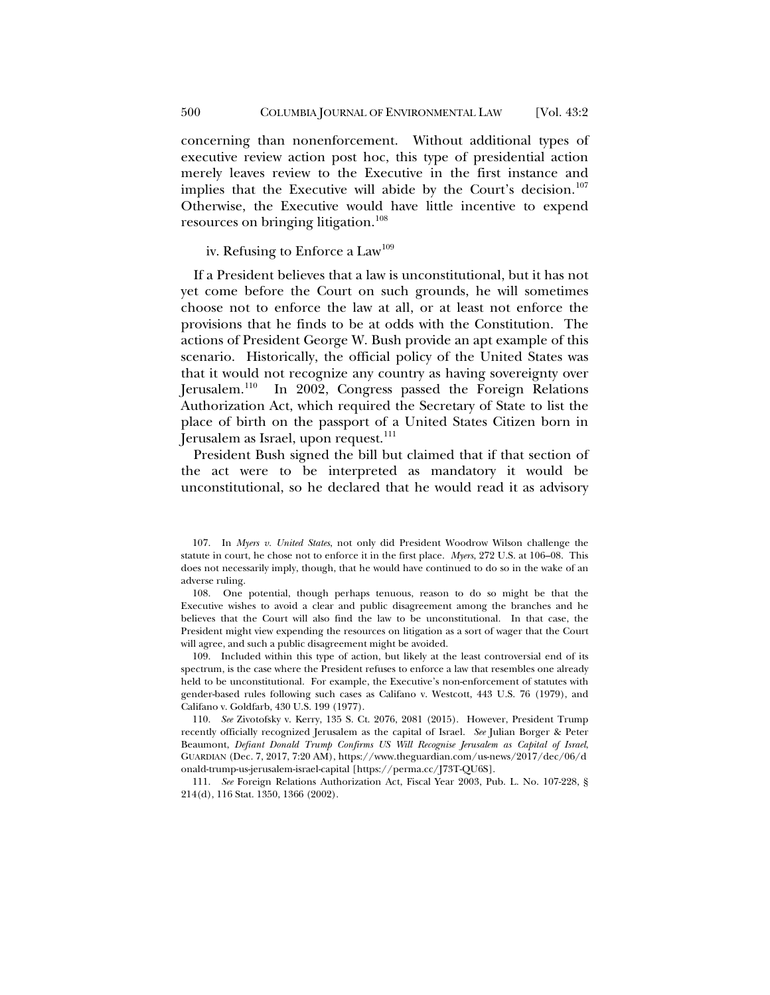concerning than nonenforcement. Without additional types of executive review action post hoc, this type of presidential action merely leaves review to the Executive in the first instance and implies that the Executive will abide by the Court's decision.<sup>[107](#page-25-0)</sup> Otherwise, the Executive would have little incentive to expend resources on bringing litigation.<sup>[108](#page-25-1)</sup>

iv. Refusing to Enforce a Law<sup>[109](#page-25-2)</sup>

If a President believes that a law is unconstitutional, but it has not yet come before the Court on such grounds, he will sometimes choose not to enforce the law at all, or at least not enforce the provisions that he finds to be at odds with the Constitution. The actions of President George W. Bush provide an apt example of this scenario. Historically, the official policy of the United States was that it would not recognize any country as having sovereignty over Jerusalem.<sup>110</sup> In 2002, Congress passed the Foreign Relations Authorization Act, which required the Secretary of State to list the place of birth on the passport of a United States Citizen born in Jerusalem as Israel, upon request.<sup>[111](#page-25-4)</sup>

President Bush signed the bill but claimed that if that section of the act were to be interpreted as mandatory it would be unconstitutional, so he declared that he would read it as advisory

<span id="page-25-2"></span>109. Included within this type of action, but likely at the least controversial end of its spectrum, is the case where the President refuses to enforce a law that resembles one already held to be unconstitutional. For example, the Executive's non-enforcement of statutes with gender-based rules following such cases as Califano v. Westcott, 443 U.S. 76 (1979), and Califano v. Goldfarb, 430 U.S. 199 (1977).

<span id="page-25-3"></span>110. *See* Zivotofsky v. Kerry, 135 S. Ct. 2076, 2081 (2015). However, President Trump recently officially recognized Jerusalem as the capital of Israel. *See* Julian Borger & Peter Beaumont, *Defiant Donald Trump Confirms US Will Recognise Jerusalem as Capital of Israel*, GUARDIAN (Dec. 7, 2017, 7:20 AM), https://www.theguardian.com/us-news/2017/dec/06/d onald-trump-us-jerusalem-israel-capital [https://perma.cc/J73T-QU6S].

<span id="page-25-4"></span>111. *See* Foreign Relations Authorization Act, Fiscal Year 2003, Pub. L. No. 107-228, § 214(d), 116 Stat. 1350, 1366 (2002).

<span id="page-25-0"></span><sup>107.</sup> In *Myers v. United States*, not only did President Woodrow Wilson challenge the statute in court, he chose not to enforce it in the first place. *Myers*, 272 U.S. at 106–08. This does not necessarily imply, though, that he would have continued to do so in the wake of an adverse ruling.

<span id="page-25-1"></span><sup>108.</sup> One potential, though perhaps tenuous, reason to do so might be that the Executive wishes to avoid a clear and public disagreement among the branches and he believes that the Court will also find the law to be unconstitutional. In that case, the President might view expending the resources on litigation as a sort of wager that the Court will agree, and such a public disagreement might be avoided.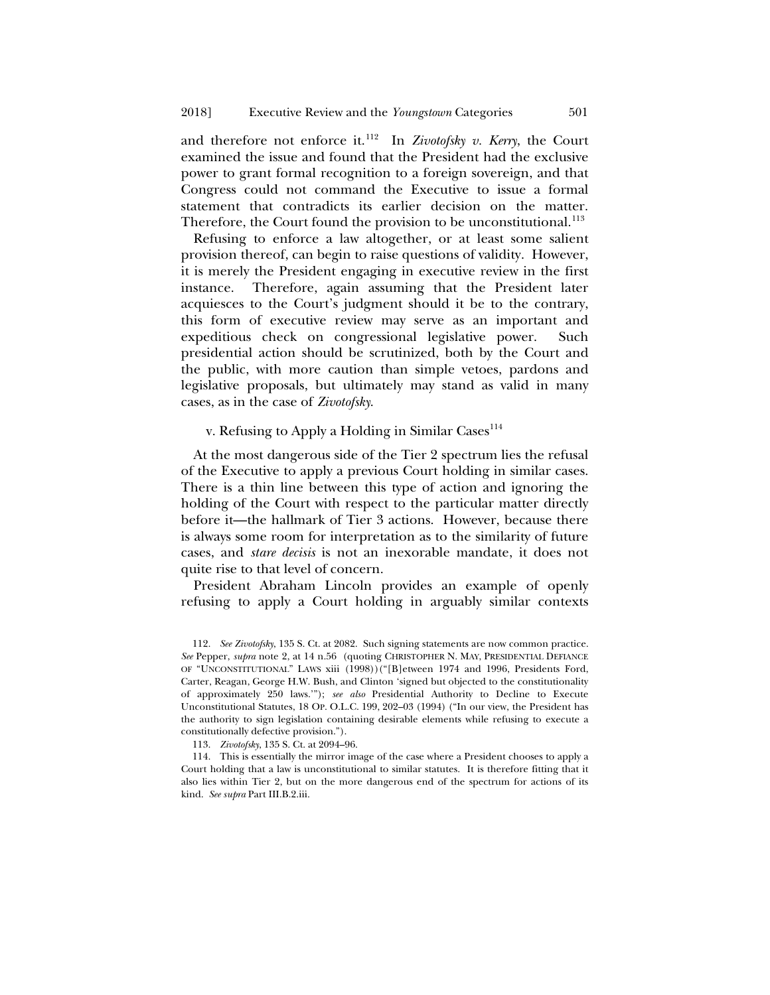and therefore not enforce it.<sup>[112](#page-26-0)</sup> In *Zivotofsky v. Kerry*, the Court examined the issue and found that the President had the exclusive power to grant formal recognition to a foreign sovereign, and that Congress could not command the Executive to issue a formal statement that contradicts its earlier decision on the matter. Therefore, the Court found the provision to be unconstitutional.<sup>[113](#page-26-1)</sup>

Refusing to enforce a law altogether, or at least some salient provision thereof, can begin to raise questions of validity. However, it is merely the President engaging in executive review in the first instance. Therefore, again assuming that the President later acquiesces to the Court's judgment should it be to the contrary, this form of executive review may serve as an important and expeditious check on congressional legislative power. Such presidential action should be scrutinized, both by the Court and the public, with more caution than simple vetoes, pardons and legislative proposals, but ultimately may stand as valid in many cases, as in the case of *Zivotofsky*.

# v. Refusing to Apply a Holding in Similar Cases<sup>[114](#page-26-2)</sup>

At the most dangerous side of the Tier 2 spectrum lies the refusal of the Executive to apply a previous Court holding in similar cases. There is a thin line between this type of action and ignoring the holding of the Court with respect to the particular matter directly before it—the hallmark of Tier 3 actions. However, because there is always some room for interpretation as to the similarity of future cases, and *stare decisis* is not an inexorable mandate, it does not quite rise to that level of concern.

President Abraham Lincoln provides an example of openly refusing to apply a Court holding in arguably similar contexts

113. *Zivotofsky*, 135 S. Ct. at 2094–96.

<span id="page-26-0"></span><sup>112.</sup> *See Zivotofsky*, 135 S. Ct. at 2082. Such signing statements are now common practice. *See* Pepper, *supra* note [2,](#page-1-2) at 14 n.56 (quoting CHRISTOPHER N. MAY, PRESIDENTIAL DEFIANCE OF "UNCONSTITUTIONAL" LAWS xiii (1998))("[B]etween 1974 and 1996, Presidents Ford, Carter, Reagan, George H.W. Bush, and Clinton 'signed but objected to the constitutionality of approximately 250 laws.'"); *see also* Presidential Authority to Decline to Execute Unconstitutional Statutes, 18 OP. O.L.C. 199, 202–03 (1994) ("In our view, the President has the authority to sign legislation containing desirable elements while refusing to execute a constitutionally defective provision.").

<span id="page-26-2"></span><span id="page-26-1"></span><sup>114.</sup> This is essentially the mirror image of the case where a President chooses to apply a Court holding that a law is unconstitutional to similar statutes. It is therefore fitting that it also lies within Tier 2, but on the more dangerous end of the spectrum for actions of its kind. *See supra* Part III.B.2.iii.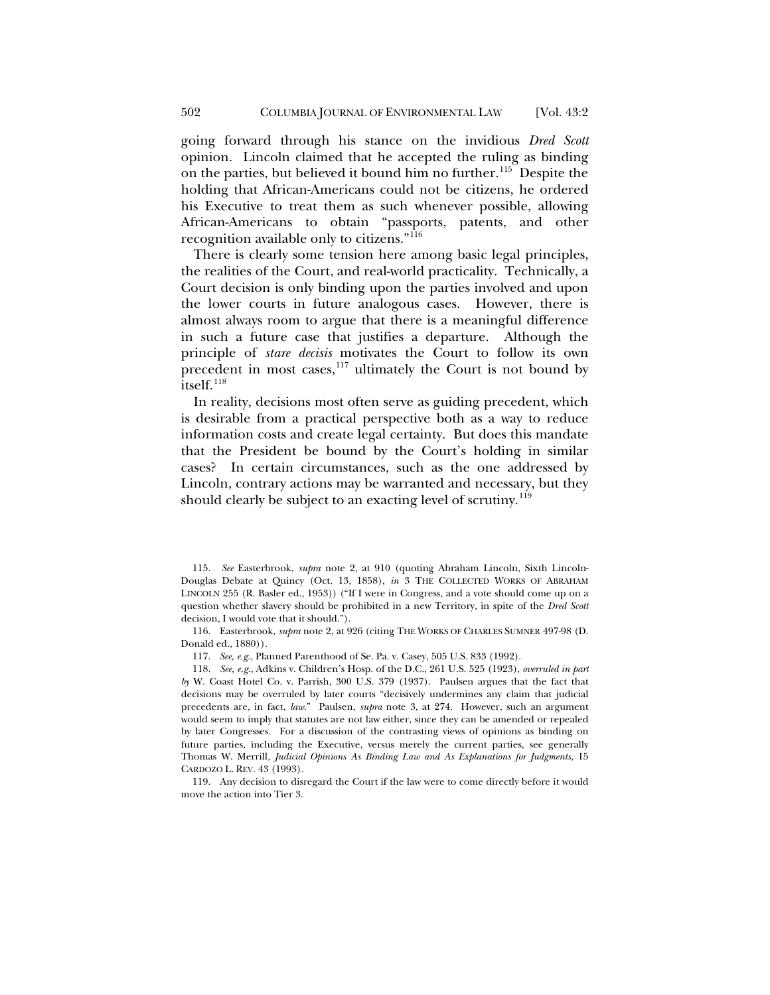going forward through his stance on the invidious *Dred Scott* opinion. Lincoln claimed that he accepted the ruling as binding on the parties, but believed it bound him no further.<sup>115</sup> Despite the holding that African-Americans could not be citizens, he ordered his Executive to treat them as such whenever possible, allowing African-Americans to obtain "passports, patents, and other recognition available only to citizens."[116](#page-27-1)

There is clearly some tension here among basic legal principles, the realities of the Court, and real-world practicality. Technically, a Court decision is only binding upon the parties involved and upon the lower courts in future analogous cases. However, there is almost always room to argue that there is a meaningful difference in such a future case that justifies a departure. Although the principle of *stare decisis* motivates the Court to follow its own precedent in most cases, $117$  ultimately the Court is not bound by itself. $118$ 

In reality, decisions most often serve as guiding precedent, which is desirable from a practical perspective both as a way to reduce information costs and create legal certainty. But does this mandate that the President be bound by the Court's holding in similar cases? In certain circumstances, such as the one addressed by Lincoln, contrary actions may be warranted and necessary, but they should clearly be subject to an exacting level of scrutiny.<sup>[119](#page-27-4)</sup>

<span id="page-27-0"></span>115. *See* Easterbrook, *supra* note [2,](#page-1-2) at 910 (quoting Abraham Lincoln, Sixth Lincoln-Douglas Debate at Quincy (Oct. 13, 1858), *in* 3 THE COLLECTED WORKS OF ABRAHAM LINCOLN 255 (R. Basler ed., 1953)) ("If I were in Congress, and a vote should come up on a question whether slavery should be prohibited in a new Territory, in spite of the *Dred Scott* decision, I would vote that it should.").

<span id="page-27-1"></span>116. Easterbrook, *supra* note [2,](#page-1-2) at 926 (citing THE WORKS OF CHARLES SUMNER 497-98 (D. Donald ed., 1880))*.*

117. *See, e.g.*, Planned Parenthood of Se. Pa. v. Casey, 505 U.S. 833 (1992).

<span id="page-27-3"></span><span id="page-27-2"></span>118. *See, e.g.*, Adkins v. Children's Hosp. of the D.C., 261 U.S. 525 (1923), *overruled in part by* W. Coast Hotel Co. v. Parrish, 300 U.S. 379 (1937). Paulsen argues that the fact that decisions may be overruled by later courts "decisively undermines any claim that judicial precedents are, in fact, *law*." Paulsen, *supra* note [3,](#page-2-0) at 274. However, such an argument would seem to imply that statutes are not law either, since they can be amended or repealed by later Congresses. For a discussion of the contrasting views of opinions as binding on future parties, including the Executive, versus merely the current parties, see generally Thomas W. Merrill, *Judicial Opinions As Binding Law and As Explanations for Judgments*, 15 CARDOZO L. REV. 43 (1993).

<span id="page-27-4"></span>119. Any decision to disregard the Court if the law were to come directly before it would move the action into Tier 3.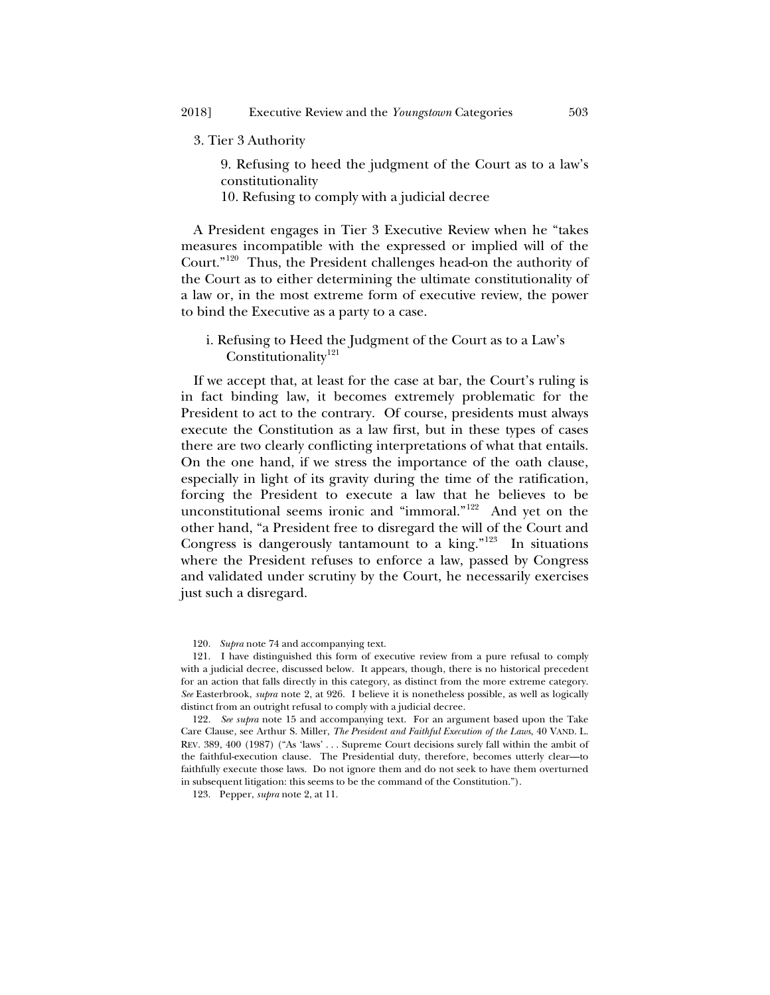#### 3. Tier 3 Authority

9. Refusing to heed the judgment of the Court as to a law's constitutionality

10. Refusing to comply with a judicial decree

A President engages in Tier 3 Executive Review when he "takes measures incompatible with the expressed or implied will of the Court."[120](#page-28-0) Thus, the President challenges head-on the authority of the Court as to either determining the ultimate constitutionality of a law or, in the most extreme form of executive review, the power to bind the Executive as a party to a case.

# i. Refusing to Heed the Judgment of the Court as to a Law's Constitutionality<sup>[121](#page-28-1)</sup>

If we accept that, at least for the case at bar, the Court's ruling is in fact binding law, it becomes extremely problematic for the President to act to the contrary. Of course, presidents must always execute the Constitution as a law first, but in these types of cases there are two clearly conflicting interpretations of what that entails. On the one hand, if we stress the importance of the oath clause, especially in light of its gravity during the time of the ratification, forcing the President to execute a law that he believes to be unconstitutional seems ironic and "immoral."[122](#page-28-2) And yet on the other hand, "a President free to disregard the will of the Court and Congress is dangerously tantamount to a king." $123$  In situations where the President refuses to enforce a law, passed by Congress and validated under scrutiny by the Court, he necessarily exercises just such a disregard.

<span id="page-28-3"></span>123. Pepper, *supra* not[e 2,](#page-1-2) at 11.

<sup>120.</sup> *Supra* not[e 74](#page-17-3) and accompanying text.

<span id="page-28-1"></span><span id="page-28-0"></span><sup>121.</sup> I have distinguished this form of executive review from a pure refusal to comply with a judicial decree, discussed below. It appears, though, there is no historical precedent for an action that falls directly in this category, as distinct from the more extreme category. *See* Easterbrook, *supra* note [2,](#page-1-2) at 926. I believe it is nonetheless possible, as well as logically distinct from an outright refusal to comply with a judicial decree.

<span id="page-28-2"></span><sup>122.</sup> *See supra* note [15](#page-4-9) and accompanying text. For an argument based upon the Take Care Clause, see Arthur S. Miller, *The President and Faithful Execution of the Laws*, 40 VAND. L. REV. 389, 400 (1987) ("As 'laws' . . . Supreme Court decisions surely fall within the ambit of the faithful-execution clause. The Presidential duty, therefore, becomes utterly clear—to faithfully execute those laws. Do not ignore them and do not seek to have them overturned in subsequent litigation: this seems to be the command of the Constitution.").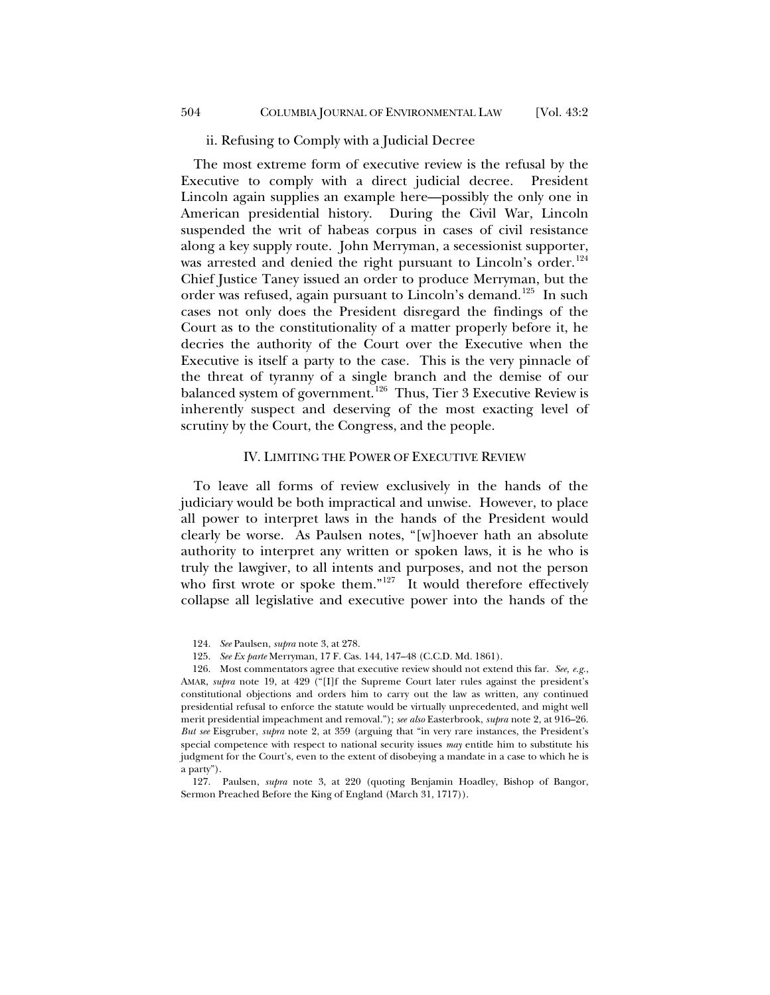#### ii. Refusing to Comply with a Judicial Decree

The most extreme form of executive review is the refusal by the Executive to comply with a direct judicial decree. President Lincoln again supplies an example here—possibly the only one in American presidential history. During the Civil War, Lincoln suspended the writ of habeas corpus in cases of civil resistance along a key supply route. John Merryman, a secessionist supporter, was arrested and denied the right pursuant to Lincoln's order.<sup>[124](#page-29-0)</sup> Chief Justice Taney issued an order to produce Merryman, but the order was refused, again pursuant to Lincoln's demand.<sup>[125](#page-29-1)</sup> In such cases not only does the President disregard the findings of the Court as to the constitutionality of a matter properly before it, he decries the authority of the Court over the Executive when the Executive is itself a party to the case. This is the very pinnacle of the threat of tyranny of a single branch and the demise of our balanced system of government.<sup>[126](#page-29-2)</sup> Thus, Tier 3 Executive Review is inherently suspect and deserving of the most exacting level of scrutiny by the Court, the Congress, and the people.

#### <span id="page-29-4"></span>IV. LIMITING THE POWER OF EXECUTIVE REVIEW

To leave all forms of review exclusively in the hands of the judiciary would be both impractical and unwise. However, to place all power to interpret laws in the hands of the President would clearly be worse. As Paulsen notes, "[w]hoever hath an absolute authority to interpret any written or spoken laws, it is he who is truly the lawgiver, to all intents and purposes, and not the person who first wrote or spoke them."<sup>[127](#page-29-3)</sup> It would therefore effectively collapse all legislative and executive power into the hands of the

<span id="page-29-2"></span><span id="page-29-1"></span><span id="page-29-0"></span>126. Most commentators agree that executive review should not extend this far. *See, e.g.*, AMAR, *supra* note [19,](#page-5-4) at 429 ("[I]f the Supreme Court later rules against the president's constitutional objections and orders him to carry out the law as written, any continued presidential refusal to enforce the statute would be virtually unprecedented, and might well merit presidential impeachment and removal."); *see also* Easterbrook, *supra* not[e 2,](#page-1-2) at 916–26. *But see* Eisgruber, *supra* note [2,](#page-1-2) at 359 (arguing that "in very rare instances, the President's special competence with respect to national security issues *may* entitle him to substitute his judgment for the Court's, even to the extent of disobeying a mandate in a case to which he is a party").

<span id="page-29-3"></span>127. Paulsen, *supra* note [3,](#page-2-0) at 220 (quoting Benjamin Hoadley, Bishop of Bangor, Sermon Preached Before the King of England (March 31, 1717)).

<sup>124.</sup> *See* Paulsen, *supra* not[e 3,](#page-2-0) at 278.

<sup>125.</sup> *See Ex parte* Merryman, 17 F. Cas. 144, 147–48 (C.C.D. Md. 1861).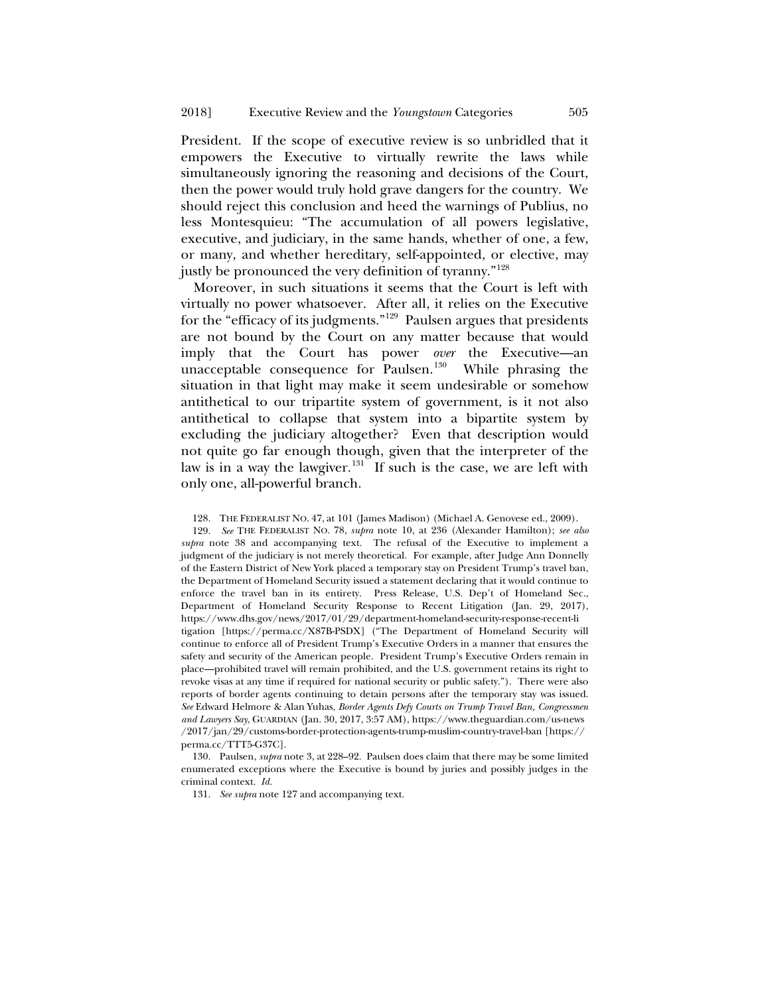President. If the scope of executive review is so unbridled that it empowers the Executive to virtually rewrite the laws while simultaneously ignoring the reasoning and decisions of the Court, then the power would truly hold grave dangers for the country. We should reject this conclusion and heed the warnings of Publius, no less Montesquieu: "The accumulation of all powers legislative, executive, and judiciary, in the same hands, whether of one, a few, or many, and whether hereditary, self-appointed, or elective, may justly be pronounced the very definition of tyranny."[128](#page-30-0)

Moreover, in such situations it seems that the Court is left with virtually no power whatsoever. After all, it relies on the Executive for the "efficacy of its judgments."[129](#page-30-1) Paulsen argues that presidents are not bound by the Court on any matter because that would imply that the Court has power *over* the Executive—an unacceptable consequence for Paulsen.<sup>[130](#page-30-2)</sup> While phrasing the situation in that light may make it seem undesirable or somehow antithetical to our tripartite system of government, is it not also antithetical to collapse that system into a bipartite system by excluding the judiciary altogether? Even that description would not quite go far enough though, given that the interpreter of the law is in a way the lawgiver. $131$  If such is the case, we are left with only one, all-powerful branch.

<span id="page-30-1"></span><span id="page-30-0"></span>129. *See* THE FEDERALIST NO. 78, *supra* note [10,](#page-4-0) at 236 (Alexander Hamilton); *see also supra* note [38](#page-9-5) and accompanying text. The refusal of the Executive to implement a judgment of the judiciary is not merely theoretical. For example, after Judge Ann Donnelly of the Eastern District of New York placed a temporary stay on President Trump's travel ban, the Department of Homeland Security issued a statement declaring that it would continue to enforce the travel ban in its entirety. Press Release, U.S. Dep't of Homeland Sec., Department of Homeland Security Response to Recent Litigation (Jan. 29, 2017), https://www.dhs.gov/news/2017/01/29/department-homeland-security-response-recent-li tigation [https://perma.cc/X87B-PSDX] ("The Department of Homeland Security will continue to enforce all of President Trump's Executive Orders in a manner that ensures the safety and security of the American people. President Trump's Executive Orders remain in place—prohibited travel will remain prohibited, and the U.S. government retains its right to revoke visas at any time if required for national security or public safety."). There were also reports of border agents continuing to detain persons after the temporary stay was issued. *See* Edward Helmore & Alan Yuhas, *Border Agents Defy Courts on Trump Travel Ban, Congressmen and Lawyers Say*, GUARDIAN (Jan. 30, 2017, 3:57 AM), https://www.theguardian.com/us-news /2017/jan/29/customs-border-protection-agents-trump-muslim-country-travel-ban [https:// perma.cc/TTT5-G37C].

<span id="page-30-3"></span><span id="page-30-2"></span>130. Paulsen, *supra* not[e 3,](#page-2-0) at 228–92. Paulsen does claim that there may be some limited enumerated exceptions where the Executive is bound by juries and possibly judges in the criminal context. *Id.*

131. *See supra* note [127](#page-29-4) and accompanying text.

<sup>128.</sup> THE FEDERALIST NO. 47, at 101 (James Madison) (Michael A. Genovese ed., 2009).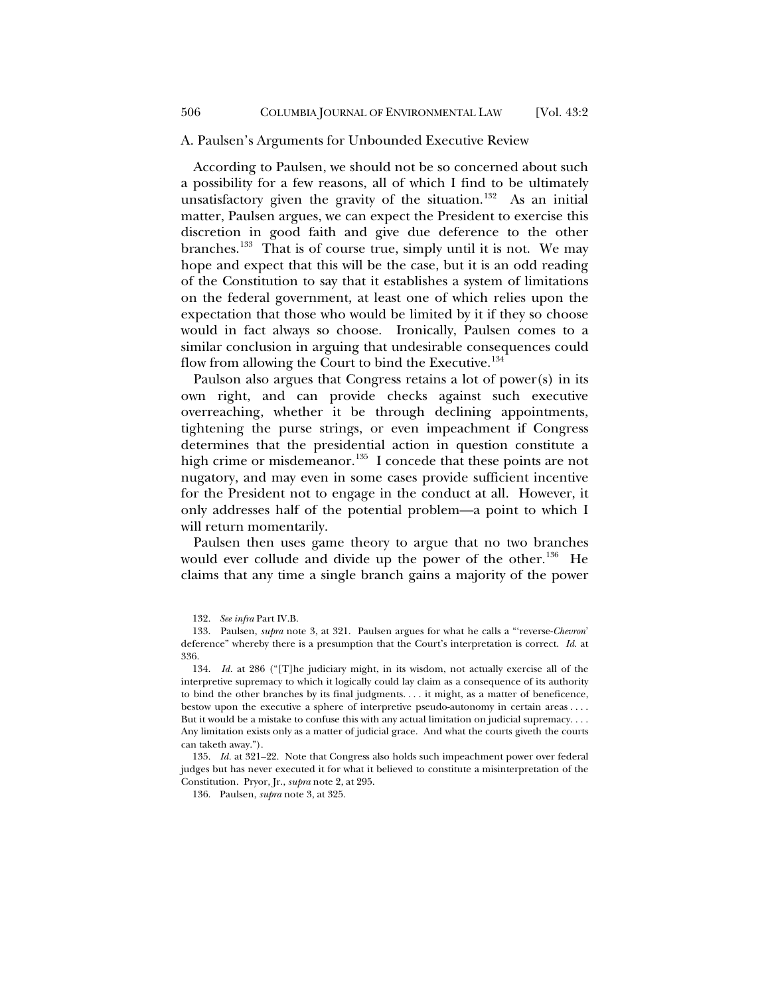#### A. Paulsen's Arguments for Unbounded Executive Review

According to Paulsen, we should not be so concerned about such a possibility for a few reasons, all of which I find to be ultimately unsatisfactory given the gravity of the situation.<sup>[132](#page-31-0)</sup> As an initial matter, Paulsen argues, we can expect the President to exercise this discretion in good faith and give due deference to the other branches.<sup>[133](#page-31-1)</sup> That is of course true, simply until it is not. We may hope and expect that this will be the case, but it is an odd reading of the Constitution to say that it establishes a system of limitations on the federal government, at least one of which relies upon the expectation that those who would be limited by it if they so choose would in fact always so choose. Ironically, Paulsen comes to a similar conclusion in arguing that undesirable consequences could flow from allowing the Court to bind the Executive.<sup>[134](#page-31-2)</sup>

Paulson also argues that Congress retains a lot of power(s) in its own right, and can provide checks against such executive overreaching, whether it be through declining appointments, tightening the purse strings, or even impeachment if Congress determines that the presidential action in question constitute a high crime or misdemeanor.<sup>135</sup> I concede that these points are not nugatory, and may even in some cases provide sufficient incentive for the President not to engage in the conduct at all. However, it only addresses half of the potential problem—a point to which I will return momentarily.

Paulsen then uses game theory to argue that no two branches would ever collude and divide up the power of the other.<sup>[136](#page-31-4)</sup> He claims that any time a single branch gains a majority of the power

<span id="page-31-4"></span><span id="page-31-3"></span>135. *Id.* at 321–22. Note that Congress also holds such impeachment power over federal judges but has never executed it for what it believed to constitute a misinterpretation of the Constitution. Pryor, Jr., *supra* note [2,](#page-1-2) at 295.

136. Paulsen, *supra* not[e 3,](#page-2-0) at 325.

<sup>132.</sup> *See infra* Part IV.B.

<span id="page-31-1"></span><span id="page-31-0"></span><sup>133.</sup> Paulsen, *supra* note [3,](#page-2-0) at 321. Paulsen argues for what he calls a "'reverse-*Chevron*' deference" whereby there is a presumption that the Court's interpretation is correct. *Id.* at 336.

<span id="page-31-2"></span><sup>134.</sup> *Id.* at 286 ("[T]he judiciary might, in its wisdom, not actually exercise all of the interpretive supremacy to which it logically could lay claim as a consequence of its authority to bind the other branches by its final judgments. . . . it might, as a matter of beneficence, bestow upon the executive a sphere of interpretive pseudo-autonomy in certain areas . . . . But it would be a mistake to confuse this with any actual limitation on judicial supremacy. . . . Any limitation exists only as a matter of judicial grace. And what the courts giveth the courts can taketh away.").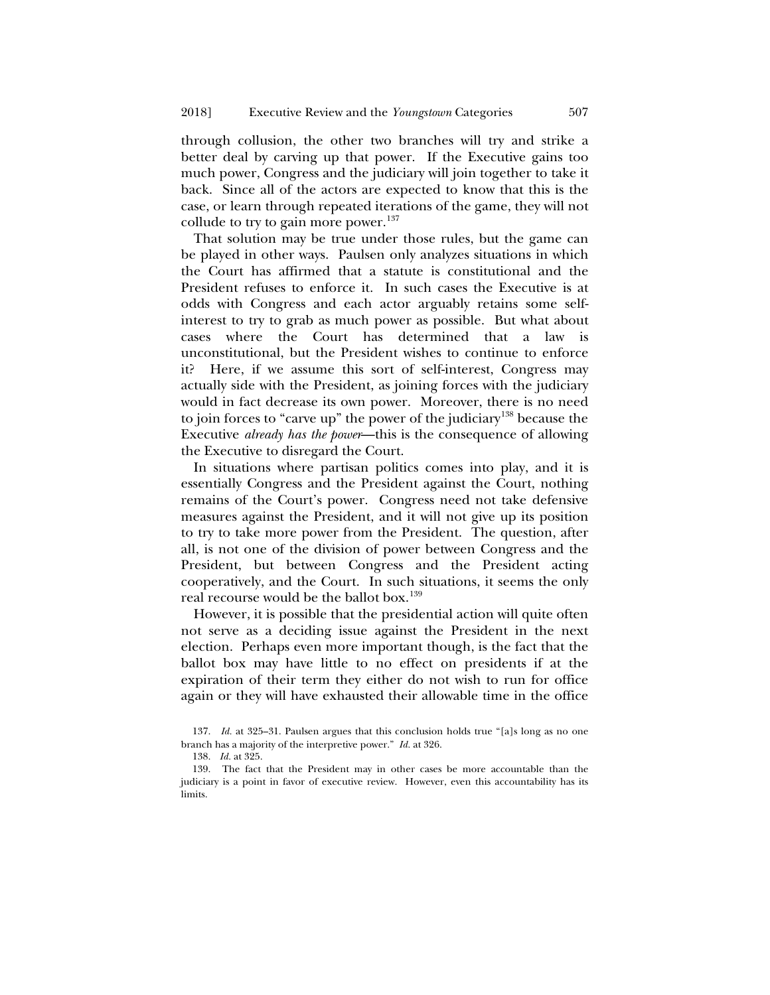through collusion, the other two branches will try and strike a better deal by carving up that power. If the Executive gains too much power, Congress and the judiciary will join together to take it back. Since all of the actors are expected to know that this is the case, or learn through repeated iterations of the game, they will not collude to try to gain more power. $137$ 

That solution may be true under those rules, but the game can be played in other ways. Paulsen only analyzes situations in which the Court has affirmed that a statute is constitutional and the President refuses to enforce it. In such cases the Executive is at odds with Congress and each actor arguably retains some selfinterest to try to grab as much power as possible. But what about cases where the Court has determined that a law is unconstitutional, but the President wishes to continue to enforce it? Here, if we assume this sort of self-interest, Congress may actually side with the President, as joining forces with the judiciary would in fact decrease its own power. Moreover, there is no need to join forces to "carve up" the power of the judiciary<sup>[138](#page-32-1)</sup> because the Executive *already has the power*—this is the consequence of allowing the Executive to disregard the Court.

In situations where partisan politics comes into play, and it is essentially Congress and the President against the Court, nothing remains of the Court's power. Congress need not take defensive measures against the President, and it will not give up its position to try to take more power from the President. The question, after all, is not one of the division of power between Congress and the President, but between Congress and the President acting cooperatively, and the Court. In such situations, it seems the only real recourse would be the ballot box.<sup>[139](#page-32-2)</sup>

However, it is possible that the presidential action will quite often not serve as a deciding issue against the President in the next election. Perhaps even more important though, is the fact that the ballot box may have little to no effect on presidents if at the expiration of their term they either do not wish to run for office again or they will have exhausted their allowable time in the office

<span id="page-32-0"></span><sup>137.</sup> *Id.* at 325–31. Paulsen argues that this conclusion holds true "[a]s long as no one branch has a majority of the interpretive power." *Id.* at 326.

<sup>138.</sup> *Id.* at 325.

<span id="page-32-2"></span><span id="page-32-1"></span><sup>139.</sup> The fact that the President may in other cases be more accountable than the judiciary is a point in favor of executive review. However, even this accountability has its limits.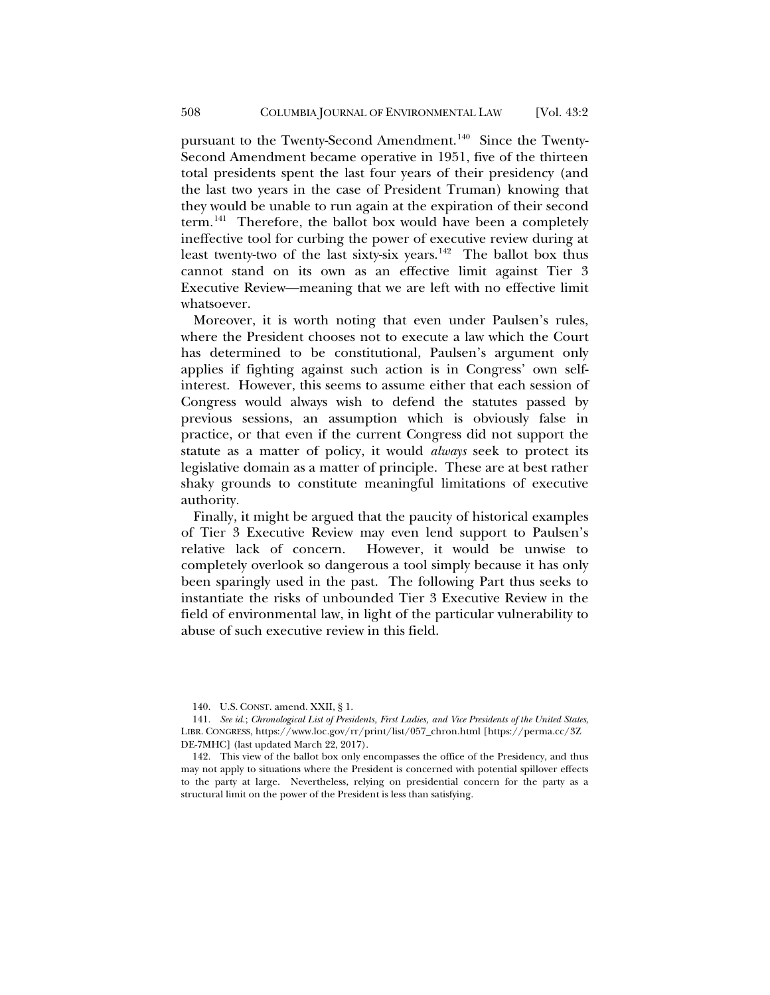pursuant to the Twenty-Second Amendment.<sup>140</sup> Since the Twenty-Second Amendment became operative in 1951, five of the thirteen total presidents spent the last four years of their presidency (and the last two years in the case of President Truman) knowing that they would be unable to run again at the expiration of their second term.<sup>[141](#page-33-1)</sup> Therefore, the ballot box would have been a completely ineffective tool for curbing the power of executive review during at least twenty-two of the last sixty-six years.<sup>142</sup> The ballot box thus cannot stand on its own as an effective limit against Tier 3 Executive Review—meaning that we are left with no effective limit whatsoever.

Moreover, it is worth noting that even under Paulsen's rules, where the President chooses not to execute a law which the Court has determined to be constitutional, Paulsen's argument only applies if fighting against such action is in Congress' own selfinterest. However, this seems to assume either that each session of Congress would always wish to defend the statutes passed by previous sessions, an assumption which is obviously false in practice, or that even if the current Congress did not support the statute as a matter of policy, it would *always* seek to protect its legislative domain as a matter of principle. These are at best rather shaky grounds to constitute meaningful limitations of executive authority.

Finally, it might be argued that the paucity of historical examples of Tier 3 Executive Review may even lend support to Paulsen's relative lack of concern. However, it would be unwise to completely overlook so dangerous a tool simply because it has only been sparingly used in the past. The following Part thus seeks to instantiate the risks of unbounded Tier 3 Executive Review in the field of environmental law, in light of the particular vulnerability to abuse of such executive review in this field.

<sup>140.</sup> U.S. CONST. amend. XXII, § 1.

<span id="page-33-1"></span><span id="page-33-0"></span><sup>141.</sup> *See id.*; *Chronological List of Presidents, First Ladies, and Vice Presidents of the United States*, LIBR. CONGRESS, https://www.loc.gov/rr/print/list/057\_chron.html [https://perma.cc/3Z DE-7MHC] (last updated March 22, 2017).

<span id="page-33-2"></span><sup>142.</sup> This view of the ballot box only encompasses the office of the Presidency, and thus may not apply to situations where the President is concerned with potential spillover effects to the party at large. Nevertheless, relying on presidential concern for the party as a structural limit on the power of the President is less than satisfying.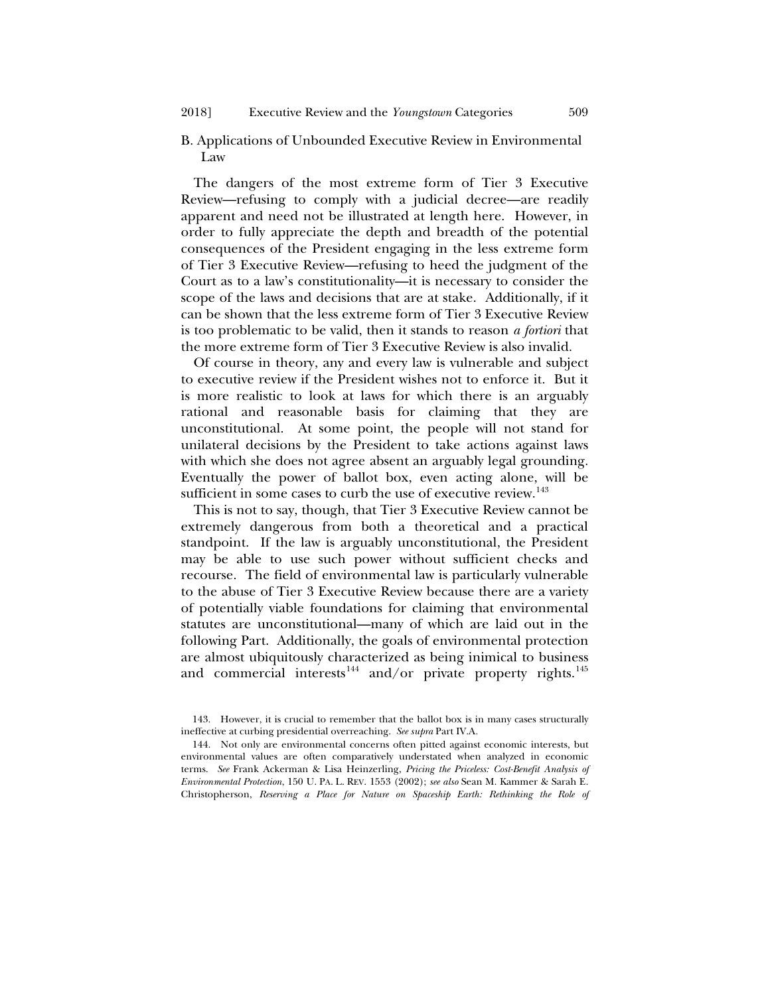B. Applications of Unbounded Executive Review in Environmental Law

The dangers of the most extreme form of Tier 3 Executive Review—refusing to comply with a judicial decree—are readily apparent and need not be illustrated at length here. However, in order to fully appreciate the depth and breadth of the potential consequences of the President engaging in the less extreme form of Tier 3 Executive Review—refusing to heed the judgment of the Court as to a law's constitutionality—it is necessary to consider the scope of the laws and decisions that are at stake. Additionally, if it can be shown that the less extreme form of Tier 3 Executive Review is too problematic to be valid, then it stands to reason *a fortiori* that the more extreme form of Tier 3 Executive Review is also invalid.

Of course in theory, any and every law is vulnerable and subject to executive review if the President wishes not to enforce it. But it is more realistic to look at laws for which there is an arguably rational and reasonable basis for claiming that they are unconstitutional. At some point, the people will not stand for unilateral decisions by the President to take actions against laws with which she does not agree absent an arguably legal grounding. Eventually the power of ballot box, even acting alone, will be sufficient in some cases to curb the use of executive review.<sup>143</sup>

This is not to say, though, that Tier 3 Executive Review cannot be extremely dangerous from both a theoretical and a practical standpoint. If the law is arguably unconstitutional, the President may be able to use such power without sufficient checks and recourse. The field of environmental law is particularly vulnerable to the abuse of Tier 3 Executive Review because there are a variety of potentially viable foundations for claiming that environmental statutes are unconstitutional—many of which are laid out in the following Part. Additionally, the goals of environmental protection are almost ubiquitously characterized as being inimical to business and commercial interests<sup>[144](#page-34-1)</sup> and/or private property rights.<sup>[145](#page-34-2)</sup>

<span id="page-34-2"></span><span id="page-34-0"></span><sup>143.</sup> However, it is crucial to remember that the ballot box is in many cases structurally ineffective at curbing presidential overreaching. *See supra* Part IV.A*.*

<span id="page-34-1"></span><sup>144.</sup> Not only are environmental concerns often pitted against economic interests, but environmental values are often comparatively understated when analyzed in economic terms. *See* Frank Ackerman & Lisa Heinzerling, *Pricing the Priceless: Cost-Benefit Analysis of Environmental Protection*, 150 U. PA. L. REV. 1553 (2002); *see also* Sean M. Kammer & Sarah E. Christopherson, *Reserving a Place for Nature on Spaceship Earth: Rethinking the Role of*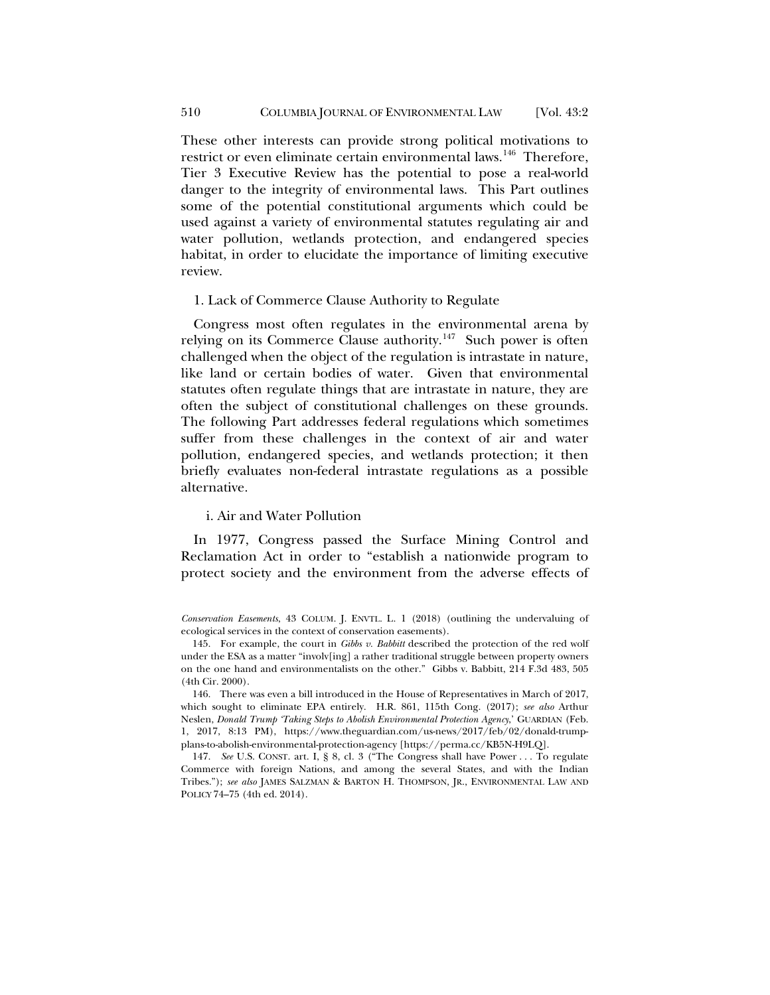These other interests can provide strong political motivations to restrict or even eliminate certain environmental laws.<sup>[146](#page-35-0)</sup> Therefore, Tier 3 Executive Review has the potential to pose a real-world danger to the integrity of environmental laws. This Part outlines some of the potential constitutional arguments which could be used against a variety of environmental statutes regulating air and water pollution, wetlands protection, and endangered species habitat, in order to elucidate the importance of limiting executive review.

#### <span id="page-35-2"></span>1. Lack of Commerce Clause Authority to Regulate

Congress most often regulates in the environmental arena by relying on its Commerce Clause authority.<sup>[147](#page-35-1)</sup> Such power is often challenged when the object of the regulation is intrastate in nature, like land or certain bodies of water. Given that environmental statutes often regulate things that are intrastate in nature, they are often the subject of constitutional challenges on these grounds. The following Part addresses federal regulations which sometimes suffer from these challenges in the context of air and water pollution, endangered species, and wetlands protection; it then briefly evaluates non-federal intrastate regulations as a possible alternative.

# i. Air and Water Pollution

In 1977, Congress passed the Surface Mining Control and Reclamation Act in order to "establish a nationwide program to protect society and the environment from the adverse effects of

*Conservation Easements*, 43 COLUM. J. ENVTL. L. 1 (2018) (outlining the undervaluing of ecological services in the context of conservation easements).

<sup>145.</sup> For example, the court in *Gibbs v. Babbitt* described the protection of the red wolf under the ESA as a matter "involv[ing] a rather traditional struggle between property owners on the one hand and environmentalists on the other." Gibbs v. Babbitt, 214 F.3d 483, 505 (4th Cir. 2000).

<span id="page-35-0"></span><sup>146.</sup> There was even a bill introduced in the House of Representatives in March of 2017, which sought to eliminate EPA entirely. H.R. 861, 115th Cong. (2017); *see also* Arthur Neslen, *Donald Trump 'Taking Steps to Abolish Environmental Protection Agency*,' GUARDIAN (Feb. 1, 2017, 8:13 PM), https://www.theguardian.com/us-news/2017/feb/02/donald-trumpplans-to-abolish-environmental-protection-agency [https://perma.cc/KB5N-H9LQ].

<span id="page-35-1"></span><sup>147.</sup> *See* U.S. CONST. art. I, § 8, cl. 3 ("The Congress shall have Power . . . To regulate Commerce with foreign Nations, and among the several States, and with the Indian Tribes."); *see also* JAMES SALZMAN & BARTON H. THOMPSON, JR., ENVIRONMENTAL LAW AND POLICY 74–75 (4th ed. 2014).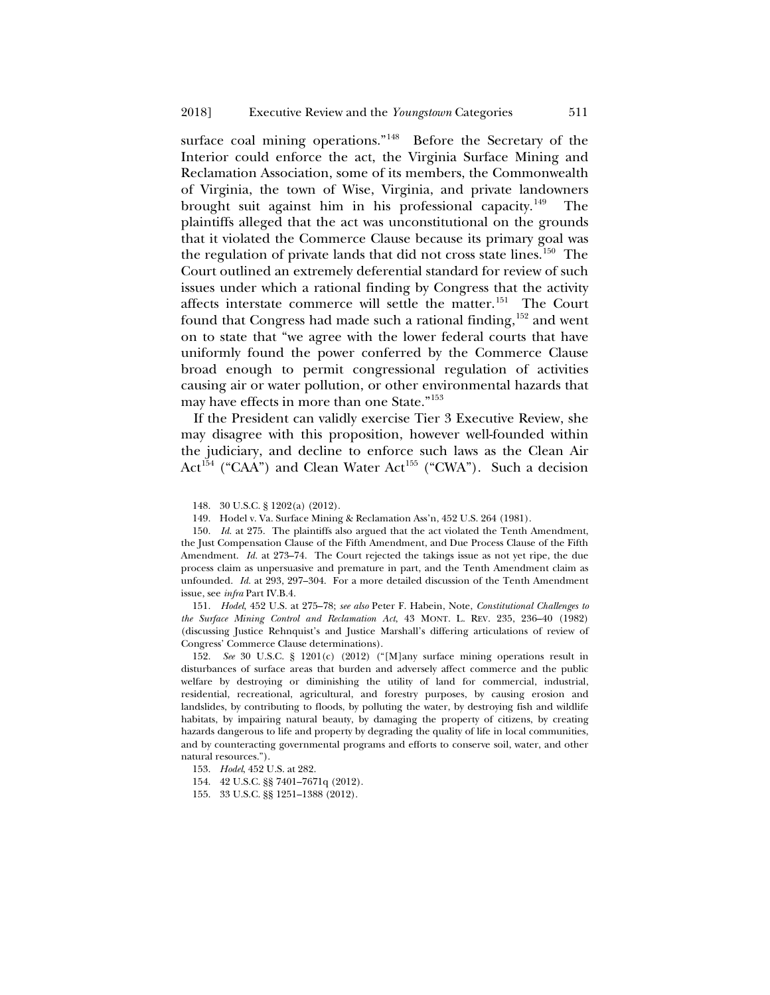surface coal mining operations."<sup>148</sup> Before the Secretary of the Interior could enforce the act, the Virginia Surface Mining and Reclamation Association, some of its members, the Commonwealth of Virginia, the town of Wise, Virginia, and private landowners brought suit against him in his professional capacity.<sup>149</sup> The plaintiffs alleged that the act was unconstitutional on the grounds that it violated the Commerce Clause because its primary goal was the regulation of private lands that did not cross state lines.<sup>150</sup> The Court outlined an extremely deferential standard for review of such issues under which a rational finding by Congress that the activity affects interstate commerce will settle the matter.<sup>[151](#page-36-3)</sup> The Court found that Congress had made such a rational finding,  $152$  and went on to state that "we agree with the lower federal courts that have uniformly found the power conferred by the Commerce Clause broad enough to permit congressional regulation of activities causing air or water pollution, or other environmental hazards that may have effects in more than one State."[153](#page-36-5)

If the President can validly exercise Tier 3 Executive Review, she may disagree with this proposition, however well-founded within the judiciary, and decline to enforce such laws as the Clean Air  $Act^{154}$  $Act^{154}$  $Act^{154}$  ("CAA") and Clean Water Act<sup>[155](#page-36-7)</sup> ("CWA"). Such a decision

148. 30 U.S.C. § 1202(a) (2012).

149. Hodel v. Va. Surface Mining & Reclamation Ass'n, 452 U.S. 264 (1981).

<span id="page-36-2"></span><span id="page-36-1"></span><span id="page-36-0"></span>150. *Id.* at 275. The plaintiffs also argued that the act violated the Tenth Amendment, the Just Compensation Clause of the Fifth Amendment, and Due Process Clause of the Fifth Amendment. *Id.* at 273–74. The Court rejected the takings issue as not yet ripe, the due process claim as unpersuasive and premature in part, and the Tenth Amendment claim as unfounded. *Id.* at 293, 297–304. For a more detailed discussion of the Tenth Amendment issue, see *infra* Part IV.B.4.

<span id="page-36-3"></span>151. *Hodel*, 452 U.S. at 275–78; *see also* Peter F. Habein, Note, *Constitutional Challenges to the Surface Mining Control and Reclamation Act*, 43 MONT. L. REV. 235, 236–40 (1982) (discussing Justice Rehnquist's and Justice Marshall's differing articulations of review of Congress' Commerce Clause determinations).

<span id="page-36-4"></span>152. *See* 30 U.S.C. § 1201(c) (2012) ("[M]any surface mining operations result in disturbances of surface areas that burden and adversely affect commerce and the public welfare by destroying or diminishing the utility of land for commercial, industrial, residential, recreational, agricultural, and forestry purposes, by causing erosion and landslides, by contributing to floods, by polluting the water, by destroying fish and wildlife habitats, by impairing natural beauty, by damaging the property of citizens, by creating hazards dangerous to life and property by degrading the quality of life in local communities, and by counteracting governmental programs and efforts to conserve soil, water, and other natural resources.").

<span id="page-36-5"></span>153. *Hodel*, 452 U.S. at 282.

<span id="page-36-6"></span>154. 42 U.S.C. §§ 7401–7671q (2012).

<span id="page-36-7"></span>155. 33 U.S.C. §§ 1251–1388 (2012).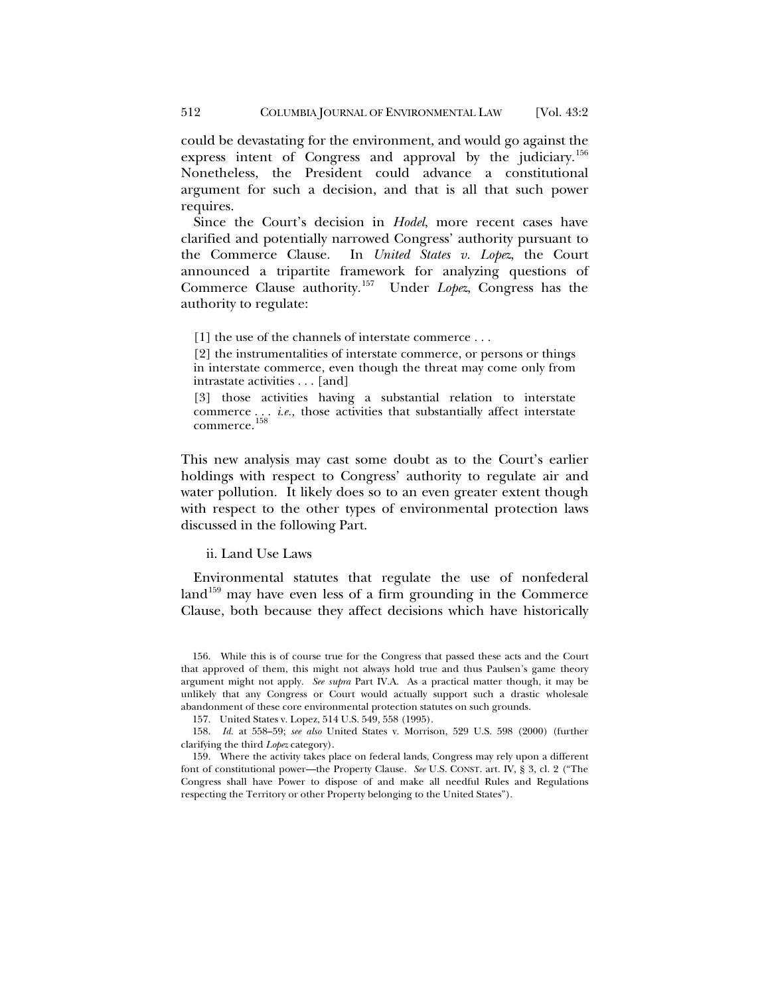could be devastating for the environment, and would go against the express intent of Congress and approval by the judiciary.<sup>[156](#page-37-0)</sup> Nonetheless, the President could advance a constitutional argument for such a decision, and that is all that such power requires.

Since the Court's decision in *Hodel*, more recent cases have clarified and potentially narrowed Congress' authority pursuant to the Commerce Clause. In *United States v. Lopez*, the Court announced a tripartite framework for analyzing questions of Commerce Clause authority.[157](#page-37-1) Under *Lopez*, Congress has the authority to regulate:

[1] the use of the channels of interstate commerce . . .

[2] the instrumentalities of interstate commerce, or persons or things in interstate commerce, even though the threat may come only from intrastate activities . . . [and]

<span id="page-37-4"></span>[3] those activities having a substantial relation to interstate commerce . . . *i.e.,* those activities that substantially affect interstate commerce. [158](#page-37-2)

This new analysis may cast some doubt as to the Court's earlier holdings with respect to Congress' authority to regulate air and water pollution. It likely does so to an even greater extent though with respect to the other types of environmental protection laws discussed in the following Part.

## ii. Land Use Laws

<span id="page-37-5"></span>Environmental statutes that regulate the use of nonfederal land<sup>[159](#page-37-3)</sup> may have even less of a firm grounding in the Commerce Clause, both because they affect decisions which have historically

<span id="page-37-0"></span><sup>156.</sup> While this is of course true for the Congress that passed these acts and the Court that approved of them, this might not always hold true and thus Paulsen's game theory argument might not apply. *See supra* Part IV.A. As a practical matter though, it may be unlikely that any Congress or Court would actually support such a drastic wholesale abandonment of these core environmental protection statutes on such grounds.

<sup>157.</sup> United States v. Lopez, 514 U.S. 549, 558 (1995).

<span id="page-37-2"></span><span id="page-37-1"></span><sup>158.</sup> *Id.* at 558–59; *see also* United States v. Morrison, 529 U.S. 598 (2000) (further clarifying the third *Lopez* category).

<span id="page-37-3"></span><sup>159.</sup> Where the activity takes place on federal lands, Congress may rely upon a different font of constitutional power—the Property Clause. *See* U.S. CONST. art. IV, § 3, cl. 2 ("The Congress shall have Power to dispose of and make all needful Rules and Regulations respecting the Territory or other Property belonging to the United States").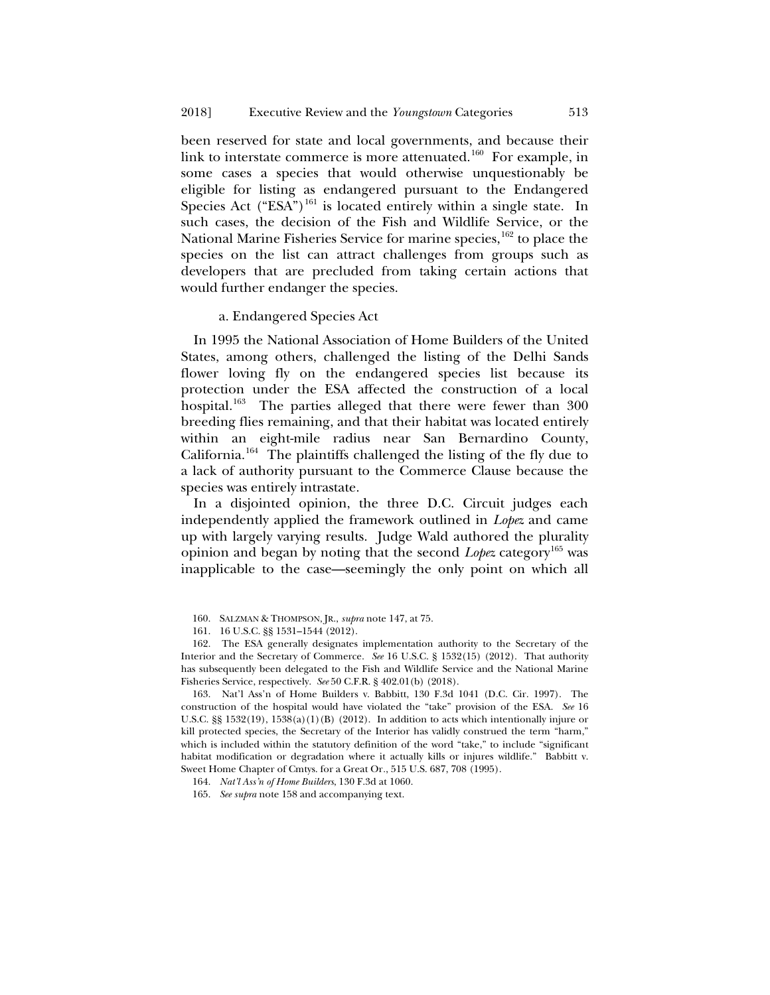been reserved for state and local governments, and because their link to interstate commerce is more attenuated.<sup>160</sup> For example, in some cases a species that would otherwise unquestionably be eligible for listing as endangered pursuant to the Endangered Species Act ("ESA")<sup>161</sup> is located entirely within a single state. In such cases, the decision of the Fish and Wildlife Service, or the National Marine Fisheries Service for marine species,<sup>[162](#page-38-2)</sup> to place the species on the list can attract challenges from groups such as developers that are precluded from taking certain actions that would further endanger the species.

#### a. Endangered Species Act

In 1995 the National Association of Home Builders of the United States, among others, challenged the listing of the Delhi Sands flower loving fly on the endangered species list because its protection under the ESA affected the construction of a local hospital.<sup>163</sup> The parties alleged that there were fewer than 300 breeding flies remaining, and that their habitat was located entirely within an eight-mile radius near San Bernardino County, California.[164](#page-38-4) The plaintiffs challenged the listing of the fly due to a lack of authority pursuant to the Commerce Clause because the species was entirely intrastate.

In a disjointed opinion, the three D.C. Circuit judges each independently applied the framework outlined in *Lopez* and came up with largely varying results. Judge Wald authored the plurality opinion and began by noting that the second *Lopez* category<sup>[165](#page-38-5)</sup> was inapplicable to the case—seemingly the only point on which all

<span id="page-38-2"></span><span id="page-38-1"></span><span id="page-38-0"></span>162. The ESA generally designates implementation authority to the Secretary of the Interior and the Secretary of Commerce. *See* 16 U.S.C. § 1532(15) (2012). That authority has subsequently been delegated to the Fish and Wildlife Service and the National Marine Fisheries Service, respectively. *See* 50 C.F.R. § 402.01(b) (2018).

<span id="page-38-3"></span>163. Nat'l Ass'n of Home Builders v. Babbitt, 130 F.3d 1041 (D.C. Cir. 1997). The construction of the hospital would have violated the "take" provision of the ESA. *See* 16 U.S.C. §§ 1532(19), 1538(a)(1)(B) (2012). In addition to acts which intentionally injure or kill protected species, the Secretary of the Interior has validly construed the term "harm," which is included within the statutory definition of the word "take," to include "significant habitat modification or degradation where it actually kills or injures wildlife." Babbitt v. Sweet Home Chapter of Cmtys. for a Great Or*.*, 515 U.S. 687, 708 (1995).

<sup>160.</sup> SALZMAN & THOMPSON, JR., *supra* not[e 147,](#page-35-2) at 75.

<sup>161.</sup> 16 U.S.C. §§ 1531–1544 (2012).

<span id="page-38-4"></span><sup>164.</sup> *Nat'l Ass'n of Home Builders*, 130 F.3d at 1060.

<span id="page-38-5"></span><sup>165.</sup> *See supra* note [158](#page-37-4) and accompanying text.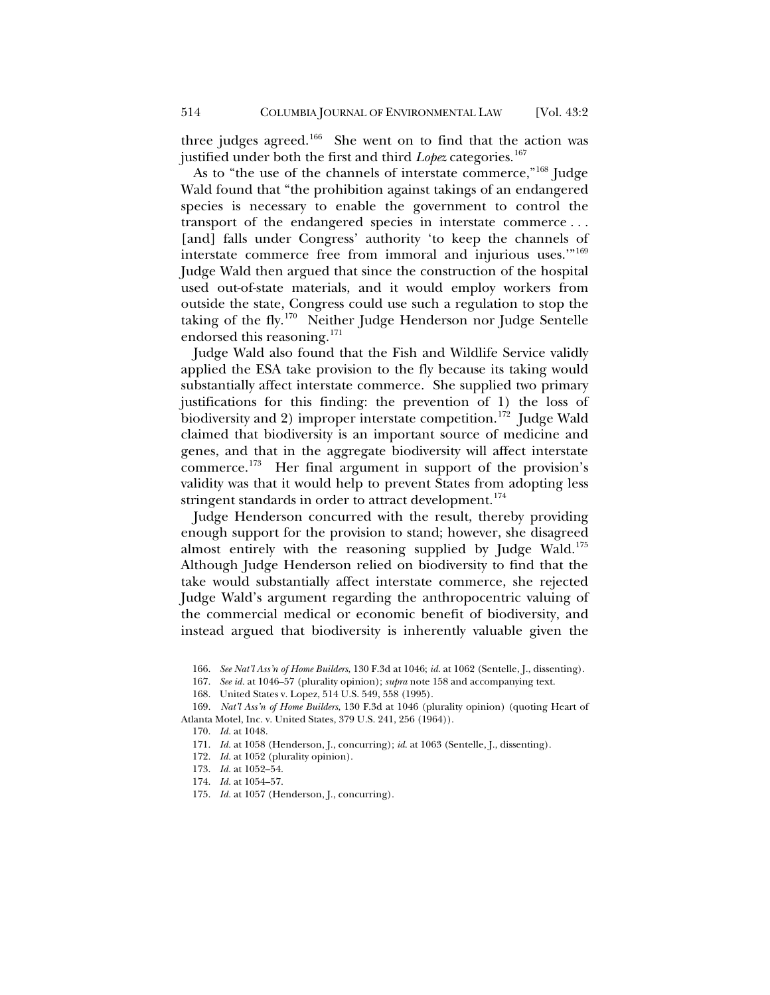three judges agreed.<sup>[166](#page-39-0)</sup> She went on to find that the action was justified under both the first and third *Lopez* categories.<sup>[167](#page-39-1)</sup>

As to "the use of the channels of interstate commerce,"<sup>[168](#page-39-2)</sup> Judge Wald found that "the prohibition against takings of an endangered species is necessary to enable the government to control the transport of the endangered species in interstate commerce . . . [and] falls under Congress' authority 'to keep the channels of interstate commerce free from immoral and injurious uses.'"[169](#page-39-3) Judge Wald then argued that since the construction of the hospital used out-of-state materials, and it would employ workers from outside the state, Congress could use such a regulation to stop the taking of the fly.[170](#page-39-4) Neither Judge Henderson nor Judge Sentelle endorsed this reasoning.<sup>171</sup>

Judge Wald also found that the Fish and Wildlife Service validly applied the ESA take provision to the fly because its taking would substantially affect interstate commerce. She supplied two primary justifications for this finding: the prevention of 1) the loss of biodiversity and 2) improper interstate competition.<sup>[172](#page-39-6)</sup> Judge Wald claimed that biodiversity is an important source of medicine and genes, and that in the aggregate biodiversity will affect interstate commerce.[173](#page-39-7) Her final argument in support of the provision's validity was that it would help to prevent States from adopting less stringent standards in order to attract development.<sup>[174](#page-39-8)</sup>

Judge Henderson concurred with the result, thereby providing enough support for the provision to stand; however, she disagreed almost entirely with the reasoning supplied by Judge Wald.<sup>[175](#page-39-9)</sup> Although Judge Henderson relied on biodiversity to find that the take would substantially affect interstate commerce, she rejected Judge Wald's argument regarding the anthropocentric valuing of the commercial medical or economic benefit of biodiversity, and instead argued that biodiversity is inherently valuable given the

168. United States v. Lopez, 514 U.S. 549, 558 (1995).

<sup>166.</sup> *See Nat'l Ass'n of Home Builders*, 130 F.3d at 1046; *id*. at 1062 (Sentelle, J., dissenting).

<sup>167.</sup> *See id.* at 1046–57 (plurality opinion); *supra* note [158](#page-37-4) and accompanying text.

<span id="page-39-7"></span><span id="page-39-6"></span><span id="page-39-5"></span><span id="page-39-4"></span><span id="page-39-3"></span><span id="page-39-2"></span><span id="page-39-1"></span><span id="page-39-0"></span><sup>169.</sup> *Nat'l Ass'n of Home Builders*, 130 F.3d at 1046 (plurality opinion) (quoting Heart of Atlanta Motel, Inc. v. United States, 379 U.S. 241, 256 (1964)).

<sup>170.</sup> *Id.* at 1048.

<sup>171.</sup> *Id.* at 1058 (Henderson, J., concurring); *id*. at 1063 (Sentelle, J., dissenting).

<sup>172.</sup> *Id.* at 1052 (plurality opinion).

<sup>173.</sup> *Id.* at 1052–54.

<sup>174.</sup> *Id.* at 1054–57.

<span id="page-39-9"></span><span id="page-39-8"></span><sup>175.</sup> *Id.* at 1057 (Henderson, J., concurring).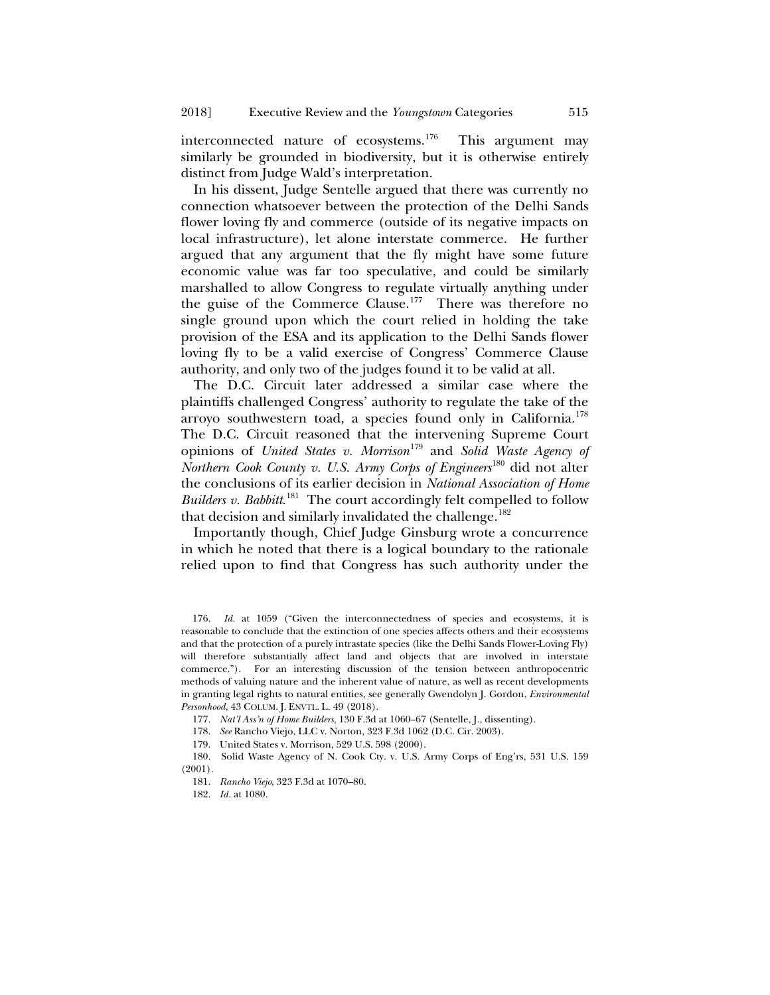interconnected nature of ecosystems.<sup>[176](#page-40-0)</sup> This argument may similarly be grounded in biodiversity, but it is otherwise entirely distinct from Judge Wald's interpretation.

In his dissent, Judge Sentelle argued that there was currently no connection whatsoever between the protection of the Delhi Sands flower loving fly and commerce (outside of its negative impacts on local infrastructure), let alone interstate commerce. He further argued that any argument that the fly might have some future economic value was far too speculative, and could be similarly marshalled to allow Congress to regulate virtually anything under the guise of the Commerce Clause.[177](#page-40-1) There was therefore no single ground upon which the court relied in holding the take provision of the ESA and its application to the Delhi Sands flower loving fly to be a valid exercise of Congress' Commerce Clause authority, and only two of the judges found it to be valid at all.

The D.C. Circuit later addressed a similar case where the plaintiffs challenged Congress' authority to regulate the take of the arroyo southwestern toad, a species found only in California.<sup>[178](#page-40-2)</sup> The D.C. Circuit reasoned that the intervening Supreme Court opinions of *United States v. Morrison*[179](#page-40-3) and *Solid Waste Agency of Northern Cook County v. U.S. Army Corps of Engineers*[180](#page-40-4) did not alter the conclusions of its earlier decision in *National Association of Home*  Builders v. Babbitt.<sup>181</sup> The court accordingly felt compelled to follow that decision and similarly invalidated the challenge.<sup>[182](#page-40-6)</sup>

Importantly though, Chief Judge Ginsburg wrote a concurrence in which he noted that there is a logical boundary to the rationale relied upon to find that Congress has such authority under the

<span id="page-40-0"></span><sup>176.</sup> *Id.* at 1059 ("Given the interconnectedness of species and ecosystems, it is reasonable to conclude that the extinction of one species affects others and their ecosystems and that the protection of a purely intrastate species (like the Delhi Sands Flower-Loving Fly) will therefore substantially affect land and objects that are involved in interstate commerce."). For an interesting discussion of the tension between anthropocentric methods of valuing nature and the inherent value of nature, as well as recent developments in granting legal rights to natural entities, see generally Gwendolyn J. Gordon, *Environmental Personhood*, 43 COLUM. J. ENVTL. L. 49 (2018).

<sup>177.</sup> *Nat'l Ass'n of Home Builders*, 130 F.3d at 1060–67 (Sentelle, J., dissenting).

<sup>178.</sup> *See* Rancho Viejo, LLC v. Norton, 323 F.3d 1062 (D.C. Cir. 2003).

<sup>179.</sup> United States v. Morrison, 529 U.S. 598 (2000).

<span id="page-40-6"></span><span id="page-40-5"></span><span id="page-40-4"></span><span id="page-40-3"></span><span id="page-40-2"></span><span id="page-40-1"></span><sup>180.</sup> Solid Waste Agency of N. Cook Cty. v. U.S. Army Corps of Eng'rs, 531 U.S. 159 (2001).

<sup>181.</sup> *Rancho Viejo*, 323 F.3d at 1070–80.

<sup>182.</sup> *Id.* at 1080.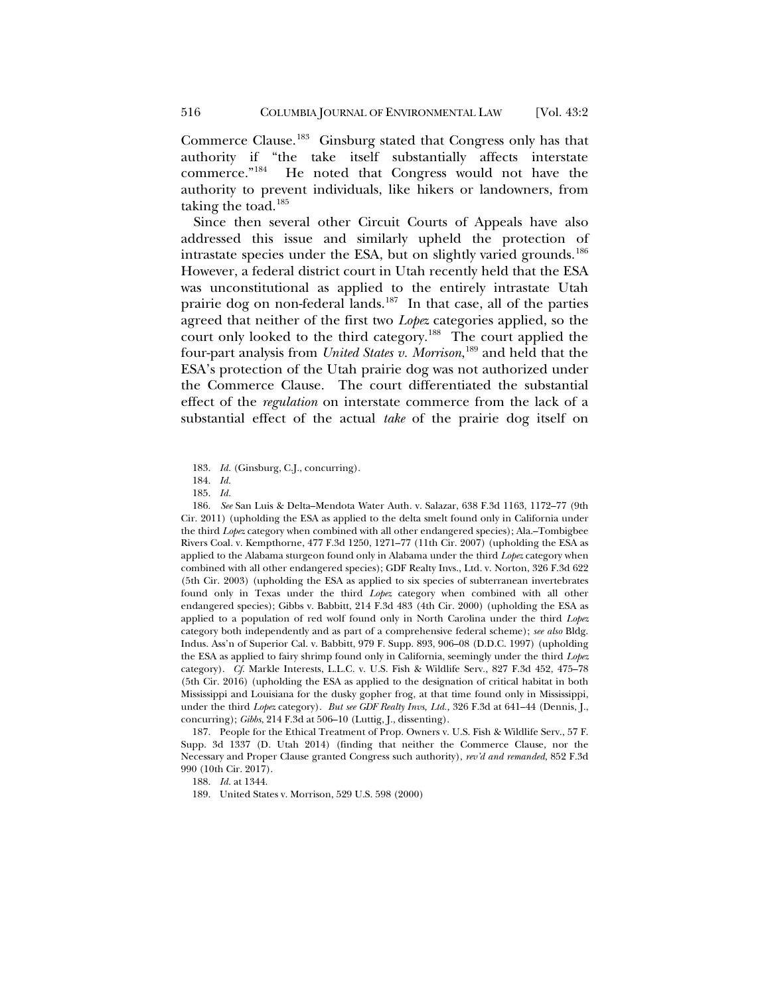Commerce Clause.[183](#page-41-0) Ginsburg stated that Congress only has that authority if "the take itself substantially affects interstate commerce."[184](#page-41-1) He noted that Congress would not have the authority to prevent individuals, like hikers or landowners, from taking the toad.<sup>[185](#page-41-2)</sup>

Since then several other Circuit Courts of Appeals have also addressed this issue and similarly upheld the protection of intrastate species under the ESA, but on slightly varied grounds.<sup>[186](#page-41-3)</sup> However, a federal district court in Utah recently held that the ESA was unconstitutional as applied to the entirely intrastate Utah prairie dog on non-federal lands.<sup>187</sup> In that case, all of the parties agreed that neither of the first two *Lopez* categories applied, so the court only looked to the third category.<sup>188</sup> The court applied the four-part analysis from *United States v. Morrison*, [189](#page-41-6) and held that the ESA's protection of the Utah prairie dog was not authorized under the Commerce Clause. The court differentiated the substantial effect of the *regulation* on interstate commerce from the lack of a substantial effect of the actual *take* of the prairie dog itself on

<span id="page-41-3"></span><span id="page-41-2"></span><span id="page-41-1"></span><span id="page-41-0"></span>186. *See* San Luis & Delta–Mendota Water Auth. v. Salazar, 638 F.3d 1163, 1172–77 (9th Cir. 2011) (upholding the ESA as applied to the delta smelt found only in California under the third *Lopez* category when combined with all other endangered species); Ala.–Tombigbee Rivers Coal. v. Kempthorne, 477 F.3d 1250, 1271–77 (11th Cir. 2007) (upholding the ESA as applied to the Alabama sturgeon found only in Alabama under the third *Lopez* category when combined with all other endangered species); GDF Realty Invs., Ltd. v. Norton, 326 F.3d 622 (5th Cir. 2003) (upholding the ESA as applied to six species of subterranean invertebrates found only in Texas under the third *Lopez* category when combined with all other endangered species); Gibbs v. Babbitt, 214 F.3d 483 (4th Cir. 2000) (upholding the ESA as applied to a population of red wolf found only in North Carolina under the third *Lopez* category both independently and as part of a comprehensive federal scheme); *see also* Bldg. Indus. Ass'n of Superior Cal. v. Babbitt, 979 F. Supp. 893, 906–08 (D.D.C. 1997) (upholding the ESA as applied to fairy shrimp found only in California, seemingly under the third *Lopez*  category). *Cf.* Markle Interests, L.L.C. v. U.S. Fish & Wildlife Serv*.*, 827 F.3d 452, 475–78 (5th Cir. 2016) (upholding the ESA as applied to the designation of critical habitat in both Mississippi and Louisiana for the dusky gopher frog, at that time found only in Mississippi, under the third *Lopez* category). *But see GDF Realty Invs, Ltd.,* 326 F.3d at 641–44 (Dennis, J., concurring); *Gibbs*, 214 F.3d at 506–10 (Luttig, J., dissenting).

<span id="page-41-6"></span><span id="page-41-5"></span><span id="page-41-4"></span>187. People for the Ethical Treatment of Prop. Owners v. U.S. Fish & Wildlife Serv., 57 F. Supp. 3d 1337 (D. Utah 2014) (finding that neither the Commerce Clause, nor the Necessary and Proper Clause granted Congress such authority), *rev'd and remanded*, 852 F.3d 990 (10th Cir. 2017).

188. *Id.* at 1344.

189. United States v. Morrison, 529 U.S. 598 (2000)

<sup>183.</sup> *Id.* (Ginsburg, C.J., concurring).

<sup>184.</sup> *Id.*

<sup>185.</sup> *Id.*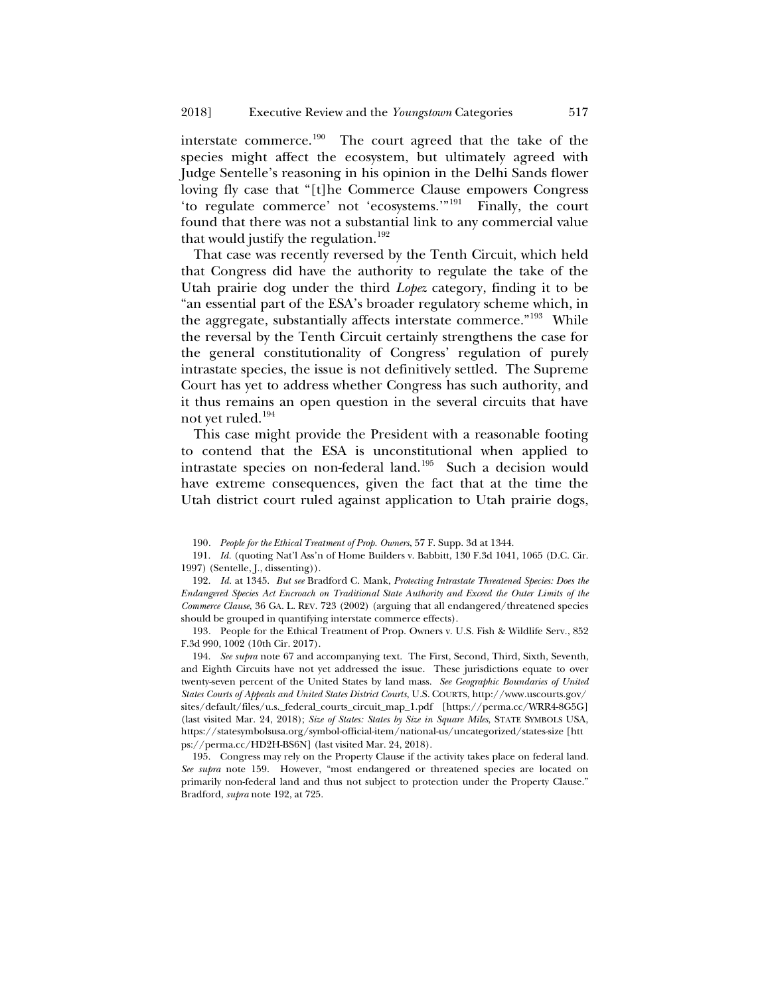interstate commerce.[190](#page-42-1) The court agreed that the take of the species might affect the ecosystem, but ultimately agreed with Judge Sentelle's reasoning in his opinion in the Delhi Sands flower loving fly case that "[t]he Commerce Clause empowers Congress 'to regulate commerce' not 'ecosystems.'"[191](#page-42-2) Finally, the court found that there was not a substantial link to any commercial value that would justify the regulation.<sup>[192](#page-42-3)</sup>

<span id="page-42-0"></span>That case was recently reversed by the Tenth Circuit, which held that Congress did have the authority to regulate the take of the Utah prairie dog under the third *Lopez* category, finding it to be "an essential part of the ESA's broader regulatory scheme which, in the aggregate, substantially affects interstate commerce."<sup>193</sup> While the reversal by the Tenth Circuit certainly strengthens the case for the general constitutionality of Congress' regulation of purely intrastate species, the issue is not definitively settled. The Supreme Court has yet to address whether Congress has such authority, and it thus remains an open question in the several circuits that have not yet ruled.<sup>[194](#page-42-5)</sup>

This case might provide the President with a reasonable footing to contend that the ESA is unconstitutional when applied to intrastate species on non-federal land.<sup>[195](#page-42-6)</sup> Such a decision would have extreme consequences, given the fact that at the time the Utah district court ruled against application to Utah prairie dogs,

<span id="page-42-5"></span>194. *See supra* note [67](#page-16-6) and accompanying text. The First, Second, Third, Sixth, Seventh, and Eighth Circuits have not yet addressed the issue. These jurisdictions equate to over twenty-seven percent of the United States by land mass. *See Geographic Boundaries of United States Courts of Appeals and United States District Courts*, U.S. COURTS, http://www.uscourts.gov/ sites/default/files/u.s.\_federal\_courts\_circuit\_map\_1.pdf [https://perma.cc/WRR4-8G5G] (last visited Mar. 24, 2018); *Size of States: States by Size in Square Miles*, STATE SYMBOLS USA, https://statesymbolsusa.org/symbol-official-item/national-us/uncategorized/states-size [htt ps://perma.cc/HD2H-BS6N] (last visited Mar. 24, 2018).

<span id="page-42-6"></span>195. Congress may rely on the Property Clause if the activity takes place on federal land. *See supra* note [159.](#page-37-5) However, "most endangered or threatened species are located on primarily non-federal land and thus not subject to protection under the Property Clause." Bradford, *supra* not[e 192,](#page-42-0) at 725.

<sup>190</sup>*. People for the Ethical Treatment of Prop. Owners*, 57 F. Supp. 3d at 1344.

<span id="page-42-1"></span><sup>191.</sup> *Id.* (quoting Nat'l Ass'n of Home Builders v. Babbitt, 130 F.3d 1041, 1065 (D.C. Cir. 1997) (Sentelle, J., dissenting)).

<span id="page-42-3"></span><span id="page-42-2"></span><sup>192.</sup> *Id.* at 1345. *But see* Bradford C. Mank, *Protecting Intrastate Threatened Species: Does the Endangered Species Act Encroach on Traditional State Authority and Exceed the Outer Limits of the Commerce Clause*, 36 GA. L. REV. 723 (2002) (arguing that all endangered/threatened species should be grouped in quantifying interstate commerce effects).

<span id="page-42-4"></span><sup>193</sup>*.* People for the Ethical Treatment of Prop. Owners v. U.S. Fish & Wildlife Serv*.*, 852 F.3d 990, 1002 (10th Cir. 2017).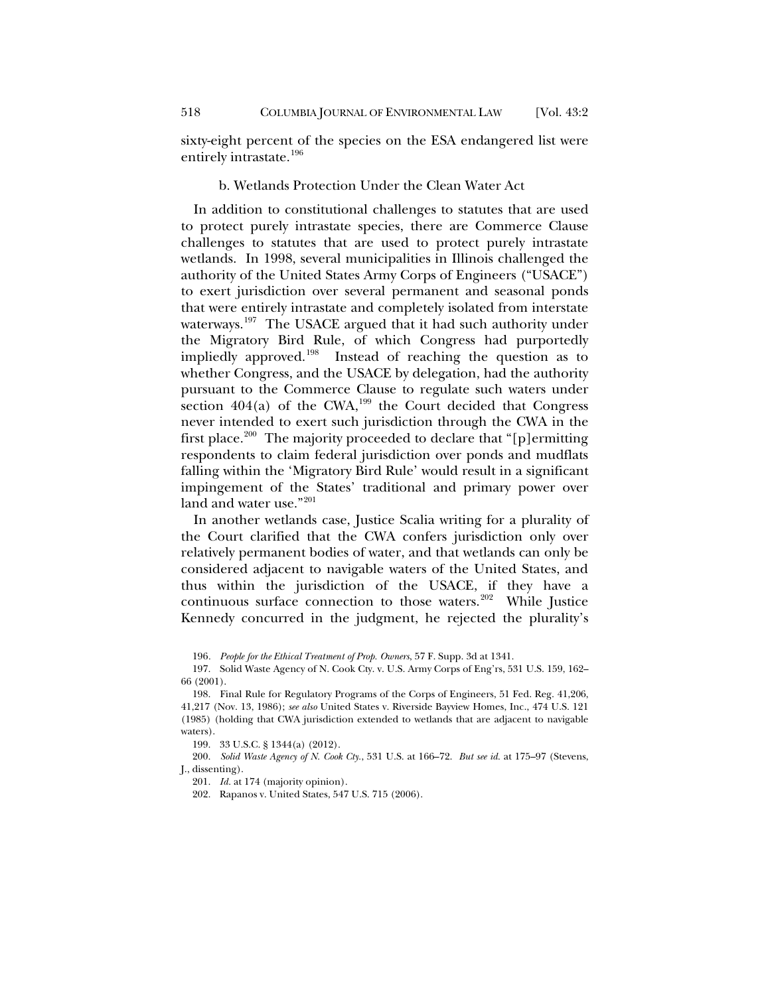sixty-eight percent of the species on the ESA endangered list were entirely intrastate.<sup>[196](#page-43-0)</sup>

## b. Wetlands Protection Under the Clean Water Act

In addition to constitutional challenges to statutes that are used to protect purely intrastate species, there are Commerce Clause challenges to statutes that are used to protect purely intrastate wetlands. In 1998, several municipalities in Illinois challenged the authority of the United States Army Corps of Engineers ("USACE") to exert jurisdiction over several permanent and seasonal ponds that were entirely intrastate and completely isolated from interstate waterways.<sup>[197](#page-43-1)</sup> The USACE argued that it had such authority under the Migratory Bird Rule, of which Congress had purportedly impliedly approved.<sup>198</sup> Instead of reaching the question as to whether Congress, and the USACE by delegation, had the authority pursuant to the Commerce Clause to regulate such waters under section  $404(a)$  of the CWA,<sup>199</sup> the Court decided that Congress never intended to exert such jurisdiction through the CWA in the first place.<sup>[200](#page-43-4)</sup> The majority proceeded to declare that "[p]ermitting respondents to claim federal jurisdiction over ponds and mudflats falling within the 'Migratory Bird Rule' would result in a significant impingement of the States' traditional and primary power over land and water use."<sup>[201](#page-43-5)</sup>

In another wetlands case, Justice Scalia writing for a plurality of the Court clarified that the CWA confers jurisdiction only over relatively permanent bodies of water, and that wetlands can only be considered adjacent to navigable waters of the United States, and thus within the jurisdiction of the USACE, if they have a continuous surface connection to those waters.<sup>[202](#page-43-6)</sup> While Justice Kennedy concurred in the judgment, he rejected the plurality's

196*. People for the Ethical Treatment of Prop. Owners*, 57 F. Supp. 3d at 1341.

<span id="page-43-1"></span><span id="page-43-0"></span>197. Solid Waste Agency of N. Cook Cty. v. U.S. Army Corps of Eng'rs, 531 U.S. 159, 162– 66 (2001).

199. 33 U.S.C. § 1344(a) (2012).

<span id="page-43-6"></span><span id="page-43-5"></span><span id="page-43-4"></span><span id="page-43-3"></span>200. *Solid Waste Agency of N. Cook Cty.*, 531 U.S. at 166–72. *But see id.* at 175–97 (Stevens, J., dissenting).

201. *Id.* at 174 (majority opinion).

202. Rapanos v. United States, 547 U.S. 715 (2006).

<span id="page-43-2"></span><sup>198.</sup> Final Rule for Regulatory Programs of the Corps of Engineers, 51 Fed. Reg. 41,206, 41,217 (Nov. 13, 1986); *see also* United States v. Riverside Bayview Homes, Inc., 474 U.S. 121 (1985) (holding that CWA jurisdiction extended to wetlands that are adjacent to navigable waters).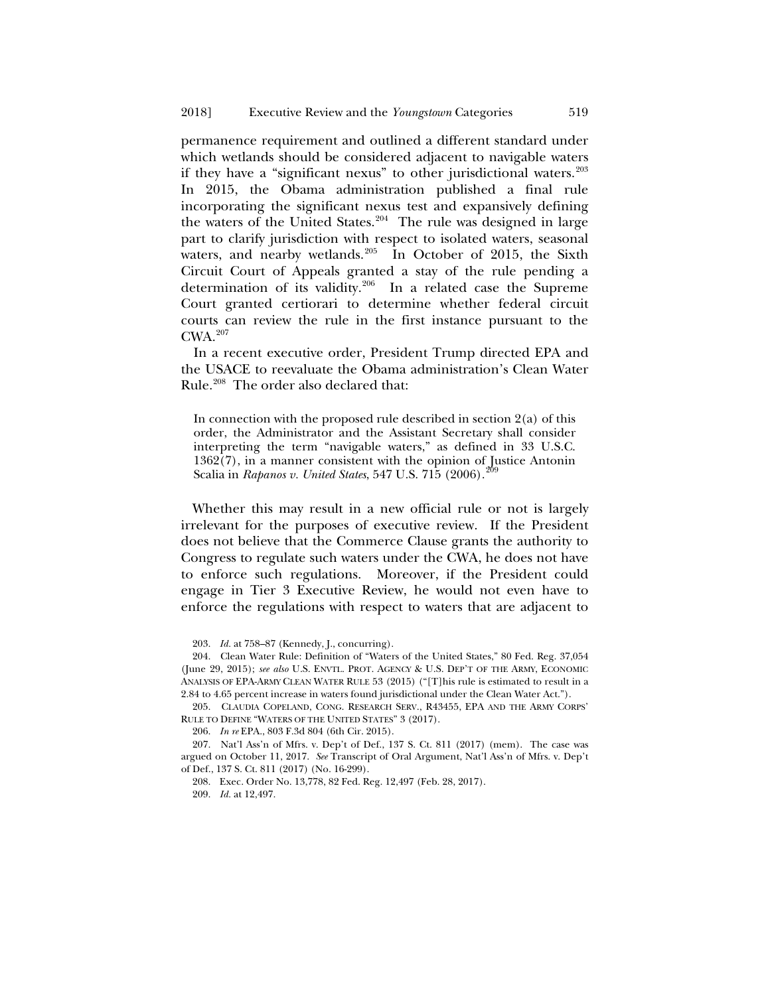permanence requirement and outlined a different standard under which wetlands should be considered adjacent to navigable waters if they have a "significant nexus" to other jurisdictional waters.<sup>[203](#page-44-0)</sup> In 2015, the Obama administration published a final rule incorporating the significant nexus test and expansively defining the waters of the United States.<sup>204</sup> The rule was designed in large part to clarify jurisdiction with respect to isolated waters, seasonal waters, and nearby wetlands. $205$  In October of 2015, the Sixth Circuit Court of Appeals granted a stay of the rule pending a determination of its validity.[206](#page-44-3) In a related case the Supreme Court granted certiorari to determine whether federal circuit courts can review the rule in the first instance pursuant to the CWA.[207](#page-44-4)

In a recent executive order, President Trump directed EPA and the USACE to reevaluate the Obama administration's Clean Water Rule.<sup>208</sup> The order also declared that:

In connection with the proposed rule described in section  $2(a)$  of this order, the Administrator and the Assistant Secretary shall consider interpreting the term "navigable waters," as defined in 33 U.S.C. 1362(7), in a manner consistent with the opinion of Justice Antonin Scalia in *Rapanos v. United States*, 547 U.S. 715 (2006).<sup>20</sup>

Whether this may result in a new official rule or not is largely irrelevant for the purposes of executive review. If the President does not believe that the Commerce Clause grants the authority to Congress to regulate such waters under the CWA, he does not have to enforce such regulations. Moreover, if the President could engage in Tier 3 Executive Review, he would not even have to enforce the regulations with respect to waters that are adjacent to

206. *In re* EPA., 803 F.3d 804 (6th Cir. 2015).

<sup>203.</sup> *Id.* at 758–87 (Kennedy, J., concurring).

<span id="page-44-1"></span><span id="page-44-0"></span><sup>204.</sup> Clean Water Rule: Definition of "Waters of the United States," 80 Fed. Reg. 37,054 (June 29, 2015); *see also* U.S. ENVTL. PROT. AGENCY & U.S. DEP'T OF THE ARMY, ECONOMIC ANALYSIS OF EPA-ARMY CLEAN WATER RULE 53 (2015) ("[T]his rule is estimated to result in a 2.84 to 4.65 percent increase in waters found jurisdictional under the Clean Water Act.").

<span id="page-44-2"></span><sup>205.</sup> CLAUDIA COPELAND, CONG. RESEARCH SERV., R43455, EPA AND THE ARMY CORPS' RULE TO DEFINE "WATERS OF THE UNITED STATES" 3 (2017).

<span id="page-44-6"></span><span id="page-44-5"></span><span id="page-44-4"></span><span id="page-44-3"></span><sup>207.</sup> Nat'l Ass'n of Mfrs. v. Dep't of Def., 137 S. Ct. 811 (2017) (mem). The case was argued on October 11, 2017. *See* Transcript of Oral Argument, Nat'l Ass'n of Mfrs. v. Dep't of Def., 137 S. Ct. 811 (2017) (No. 16-299).

<sup>208.</sup> Exec. Order No. 13,778, 82 Fed. Reg. 12,497 (Feb. 28, 2017).

<sup>209.</sup> *Id.* at 12,497.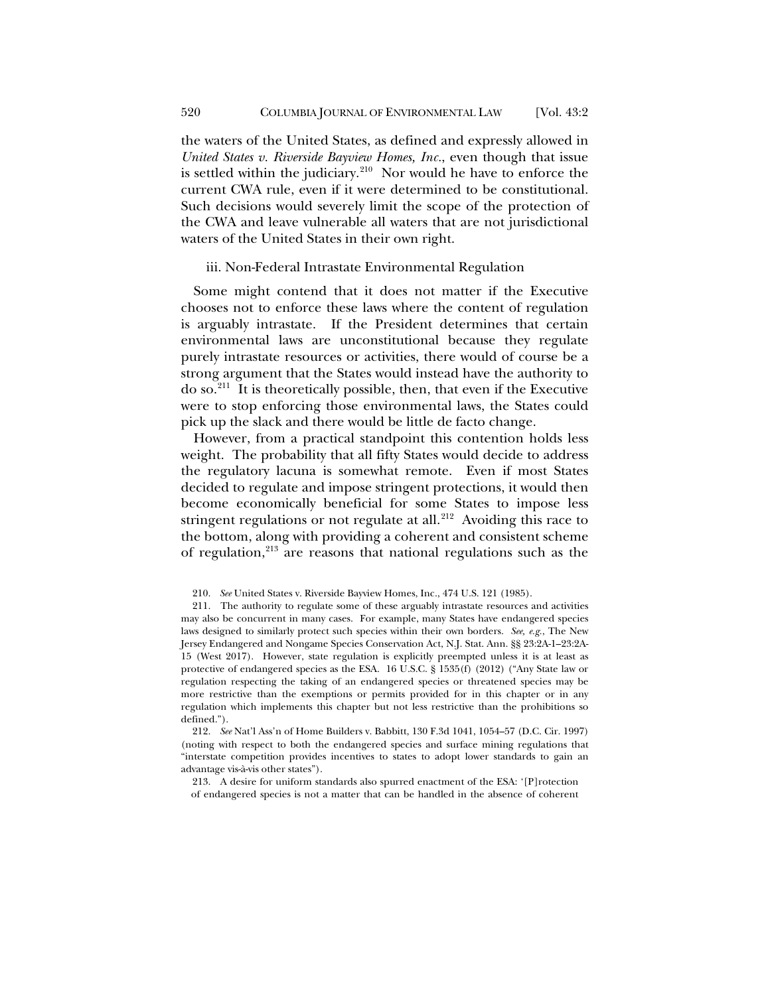the waters of the United States, as defined and expressly allowed in *United States v. Riverside Bayview Homes, Inc.*, even though that issue is settled within the judiciary.<sup>[210](#page-45-0)</sup> Nor would he have to enforce the current CWA rule, even if it were determined to be constitutional. Such decisions would severely limit the scope of the protection of the CWA and leave vulnerable all waters that are not jurisdictional waters of the United States in their own right.

#### iii. Non-Federal Intrastate Environmental Regulation

Some might contend that it does not matter if the Executive chooses not to enforce these laws where the content of regulation is arguably intrastate. If the President determines that certain environmental laws are unconstitutional because they regulate purely intrastate resources or activities, there would of course be a strong argument that the States would instead have the authority to do so.[211](#page-45-1) It is theoretically possible, then, that even if the Executive were to stop enforcing those environmental laws, the States could pick up the slack and there would be little de facto change.

However, from a practical standpoint this contention holds less weight. The probability that all fifty States would decide to address the regulatory lacuna is somewhat remote. Even if most States decided to regulate and impose stringent protections, it would then become economically beneficial for some States to impose less stringent regulations or not regulate at all.<sup>212</sup> Avoiding this race to the bottom, along with providing a coherent and consistent scheme of regulation,<sup>[213](#page-45-3)</sup> are reasons that national regulations such as the

<span id="page-45-3"></span><span id="page-45-2"></span>212. *See* Nat'l Ass'n of Home Builders v. Babbitt, 130 F.3d 1041, 1054–57 (D.C. Cir. 1997) (noting with respect to both the endangered species and surface mining regulations that "interstate competition provides incentives to states to adopt lower standards to gain an advantage vis-à-vis other states").

213. A desire for uniform standards also spurred enactment of the ESA: '[P]rotection of endangered species is not a matter that can be handled in the absence of coherent

<sup>210.</sup> *See* United States v. Riverside Bayview Homes, Inc., 474 U.S. 121 (1985).

<span id="page-45-1"></span><span id="page-45-0"></span><sup>211.</sup> The authority to regulate some of these arguably intrastate resources and activities may also be concurrent in many cases. For example, many States have endangered species laws designed to similarly protect such species within their own borders. *See, e.g.*, The New Jersey Endangered and Nongame Species Conservation Act, N.J. Stat. Ann. §§ 23:2A-1–23:2A-15 (West 2017). However, state regulation is explicitly preempted unless it is at least as protective of endangered species as the ESA. 16 U.S.C. § 1535(f) (2012) ("Any State law or regulation respecting the taking of an endangered species or threatened species may be more restrictive than the exemptions or permits provided for in this chapter or in any regulation which implements this chapter but not less restrictive than the prohibitions so defined.").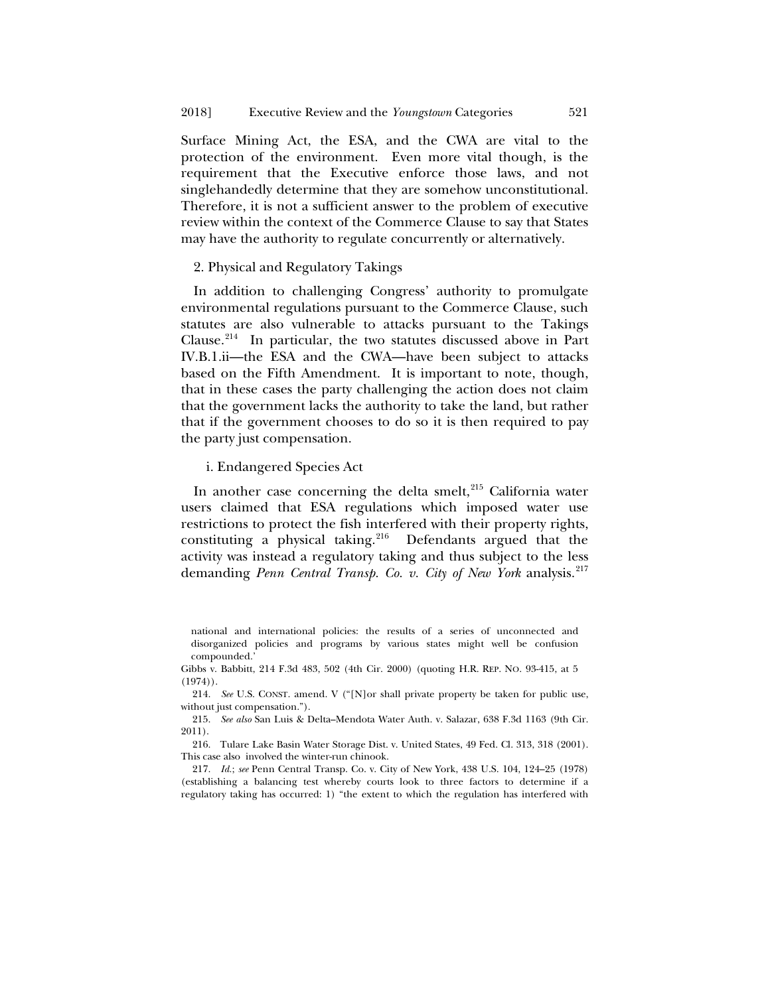Surface Mining Act, the ESA, and the CWA are vital to the protection of the environment. Even more vital though, is the requirement that the Executive enforce those laws, and not singlehandedly determine that they are somehow unconstitutional. Therefore, it is not a sufficient answer to the problem of executive review within the context of the Commerce Clause to say that States may have the authority to regulate concurrently or alternatively.

#### 2. Physical and Regulatory Takings

In addition to challenging Congress' authority to promulgate environmental regulations pursuant to the Commerce Clause, such statutes are also vulnerable to attacks pursuant to the Takings Clause.[214](#page-46-0) In particular, the two statutes discussed above in Part IV.B.1.ii—the ESA and the CWA—have been subject to attacks based on the Fifth Amendment. It is important to note, though, that in these cases the party challenging the action does not claim that the government lacks the authority to take the land, but rather that if the government chooses to do so it is then required to pay the party just compensation.

#### i. Endangered Species Act

In another case concerning the delta smelt,<sup>[215](#page-46-1)</sup> California water users claimed that ESA regulations which imposed water use restrictions to protect the fish interfered with their property rights, constituting a physical taking.<sup>[216](#page-46-2)</sup> Defendants argued that the activity was instead a regulatory taking and thus subject to the less demanding *Penn Central Transp. Co. v. City of New York* analysis. [217](#page-46-3)

national and international policies: the results of a series of unconnected and disorganized policies and programs by various states might well be confusion compounded.'

Gibbs v. Babbitt, 214 F.3d 483, 502 (4th Cir. 2000) (quoting H.R. REP. NO. 93-415, at 5  $(1974)$ .

<span id="page-46-0"></span>214. *See* U.S. CONST. amend. V ("[N]or shall private property be taken for public use, without just compensation.").

<span id="page-46-1"></span>215. *See also* San Luis & Delta–Mendota Water Auth. v. Salazar, 638 F.3d 1163 (9th Cir. 2011).

<span id="page-46-2"></span>216. Tulare Lake Basin Water Storage Dist. v. United States, 49 Fed. Cl. 313, 318 (2001). This case also involved the winter-run chinook.

<span id="page-46-3"></span>217. *Id.*; *see* Penn Central Transp. Co. v. City of New York, 438 U.S. 104, 124–25 (1978) (establishing a balancing test whereby courts look to three factors to determine if a regulatory taking has occurred: 1) "the extent to which the regulation has interfered with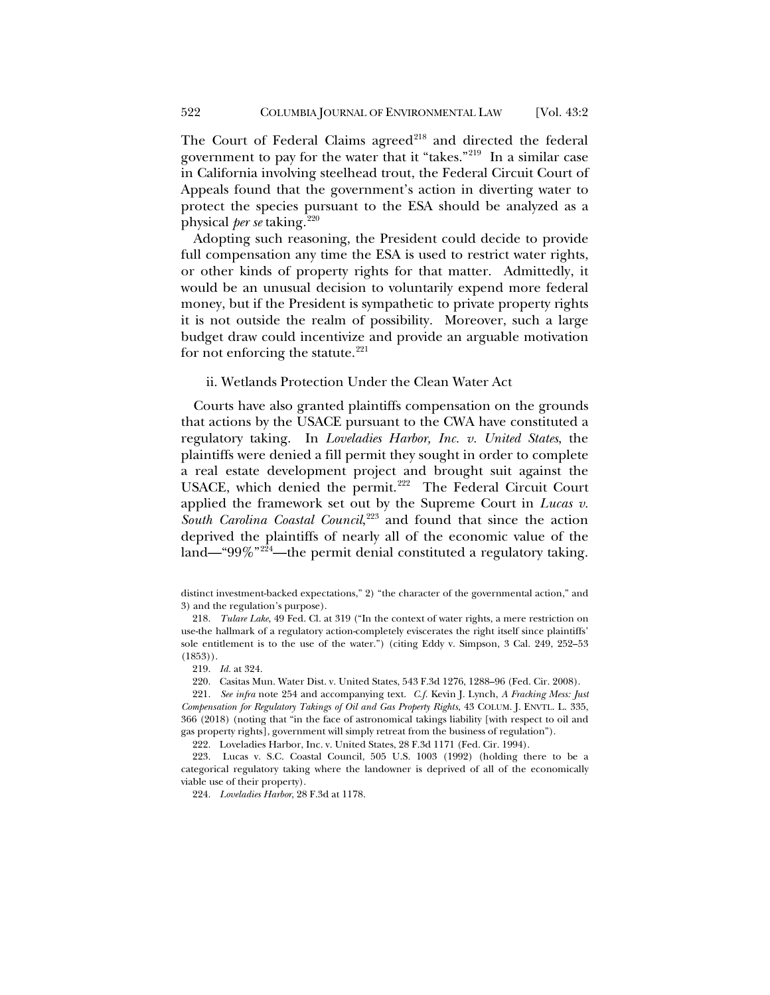The Court of Federal Claims agreed<sup>[218](#page-47-0)</sup> and directed the federal government to pay for the water that it "takes."[219](#page-47-1) In a similar case in California involving steelhead trout, the Federal Circuit Court of Appeals found that the government's action in diverting water to protect the species pursuant to the ESA should be analyzed as a physical *per se* taking.[220](#page-47-2)

Adopting such reasoning, the President could decide to provide full compensation any time the ESA is used to restrict water rights, or other kinds of property rights for that matter. Admittedly, it would be an unusual decision to voluntarily expend more federal money, but if the President is sympathetic to private property rights it is not outside the realm of possibility. Moreover, such a large budget draw could incentivize and provide an arguable motivation for not enforcing the statute. $221$ 

## ii. Wetlands Protection Under the Clean Water Act

Courts have also granted plaintiffs compensation on the grounds that actions by the USACE pursuant to the CWA have constituted a regulatory taking. In *Loveladies Harbor, Inc. v. United States*, the plaintiffs were denied a fill permit they sought in order to complete a real estate development project and brought suit against the USACE, which denied the permit.<sup>[222](#page-47-4)</sup> The Federal Circuit Court applied the framework set out by the Supreme Court in *Lucas v.*  South Carolina Coastal Council,<sup>[223](#page-47-5)</sup> and found that since the action deprived the plaintiffs of nearly all of the economic value of the land—"99%"<sup>[224](#page-47-6)</sup>—the permit denial constituted a regulatory taking.

220. Casitas Mun. Water Dist. v. United States, 543 F.3d 1276, 1288–96 (Fed. Cir. 2008).

222. Loveladies Harbor, Inc. v. United States, 28 F.3d 1171 (Fed. Cir. 1994).

<span id="page-47-6"></span><span id="page-47-5"></span><span id="page-47-4"></span>223. Lucas v. S.C. Coastal Council, 505 U.S. 1003 (1992) (holding there to be a categorical regulatory taking where the landowner is deprived of all of the economically viable use of their property).

224. *Loveladies Harbor*, 28 F.3d at 1178.

distinct investment-backed expectations," 2) "the character of the governmental action," and 3) and the regulation's purpose).

<span id="page-47-0"></span><sup>218.</sup> *Tulare Lake*, 49 Fed. Cl. at 319 ("In the context of water rights, a mere restriction on use-the hallmark of a regulatory action-completely eviscerates the right itself since plaintiffs' sole entitlement is to the use of the water.") (citing Eddy v. Simpson, 3 Cal. 249, 252–53 (1853)).

<sup>219.</sup> *Id.* at 324.

<span id="page-47-3"></span><span id="page-47-2"></span><span id="page-47-1"></span><sup>221.</sup> *See infra* note [254](#page-53-0) and accompanying text. *C.f.* Kevin J. Lynch, *A Fracking Mess: Just Compensation for Regulatory Takings of Oil and Gas Property Rights*, 43 COLUM. J. ENVTL. L. 335, 366 (2018) (noting that "in the face of astronomical takings liability [with respect to oil and gas property rights], government will simply retreat from the business of regulation").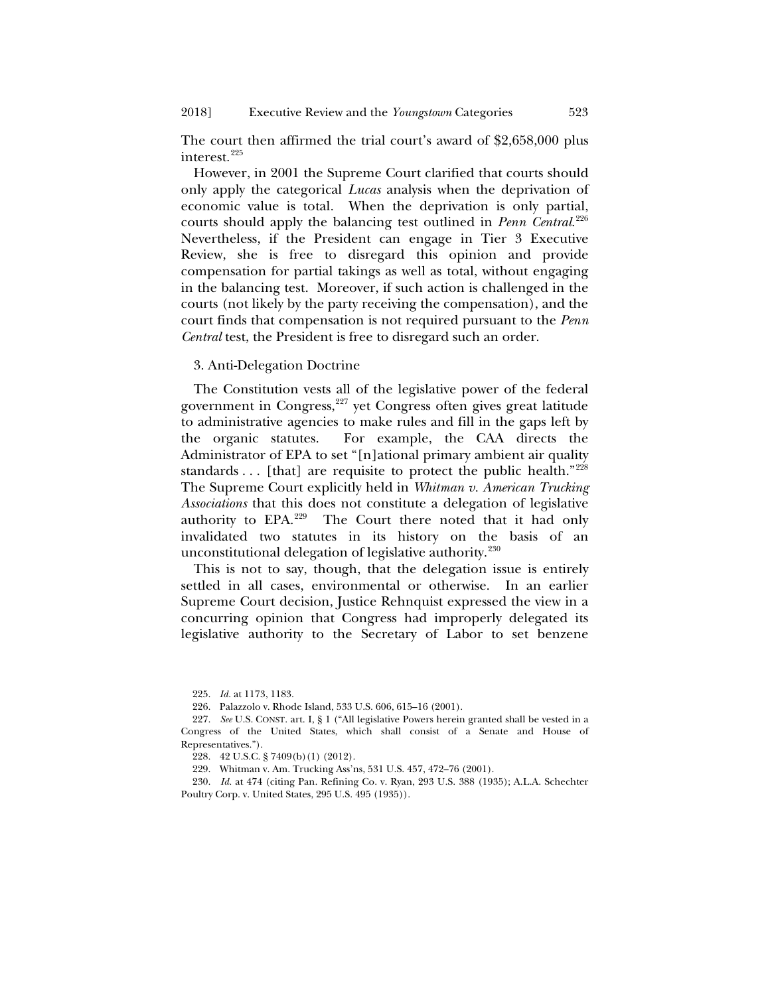The court then affirmed the trial court's award of \$2,658,000 plus interest.[225](#page-48-0)

However, in 2001 the Supreme Court clarified that courts should only apply the categorical *Lucas* analysis when the deprivation of economic value is total. When the deprivation is only partial, courts should apply the balancing test outlined in *Penn Central*. [226](#page-48-1) Nevertheless, if the President can engage in Tier 3 Executive Review, she is free to disregard this opinion and provide compensation for partial takings as well as total, without engaging in the balancing test. Moreover, if such action is challenged in the courts (not likely by the party receiving the compensation), and the court finds that compensation is not required pursuant to the *Penn Central* test, the President is free to disregard such an order.

3. Anti-Delegation Doctrine

The Constitution vests all of the legislative power of the federal government in Congress, $227$  yet Congress often gives great latitude to administrative agencies to make rules and fill in the gaps left by the organic statutes. For example, the CAA directs the Administrator of EPA to set "[n]ational primary ambient air quality standards . . . [that] are requisite to protect the public health."[228](#page-48-3) The Supreme Court explicitly held in *Whitman v. American Trucking Associations* that this does not constitute a delegation of legislative authority to EPA.[229](#page-48-4) The Court there noted that it had only invalidated two statutes in its history on the basis of an unconstitutional delegation of legislative authority.<sup>[230](#page-48-5)</sup>

This is not to say, though, that the delegation issue is entirely settled in all cases, environmental or otherwise. In an earlier Supreme Court decision, Justice Rehnquist expressed the view in a concurring opinion that Congress had improperly delegated its legislative authority to the Secretary of Labor to set benzene

225. *Id.* at 1173, 1183.

<span id="page-48-5"></span><span id="page-48-4"></span><span id="page-48-3"></span>230. *Id.* at 474 (citing Pan. Refining Co. v. Ryan, 293 U.S. 388 (1935); A.L.A. Schechter Poultry Corp. v. United States, 295 U.S. 495 (1935)).

<sup>226.</sup> Palazzolo v. Rhode Island, 533 U.S. 606, 615–16 (2001).

<span id="page-48-2"></span><span id="page-48-1"></span><span id="page-48-0"></span><sup>227.</sup> *See* U.S. CONST. art. I, § 1 ("All legislative Powers herein granted shall be vested in a Congress of the United States, which shall consist of a Senate and House of Representatives.").

<sup>228.</sup> 42 U.S.C. § 7409(b)(1) (2012).

<sup>229.</sup> Whitman v. Am. Trucking Ass'ns, 531 U.S. 457, 472–76 (2001).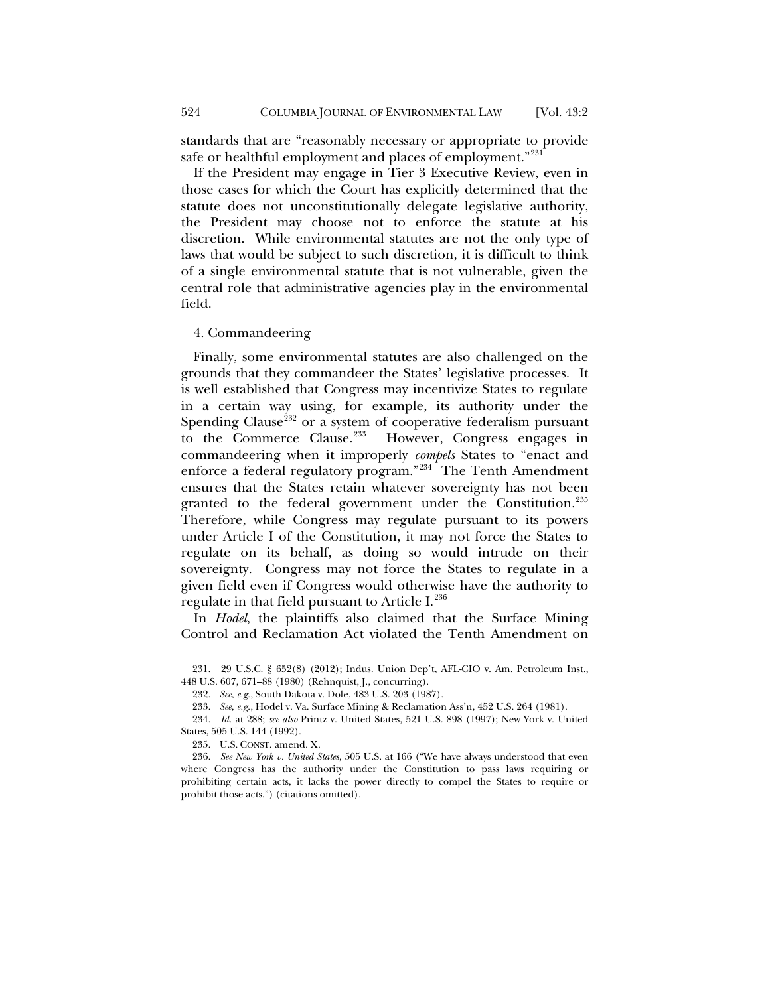standards that are "reasonably necessary or appropriate to provide safe or healthful employment and places of employment."<sup>[231](#page-49-0)</sup>

If the President may engage in Tier 3 Executive Review, even in those cases for which the Court has explicitly determined that the statute does not unconstitutionally delegate legislative authority, the President may choose not to enforce the statute at his discretion. While environmental statutes are not the only type of laws that would be subject to such discretion, it is difficult to think of a single environmental statute that is not vulnerable, given the central role that administrative agencies play in the environmental field.

#### 4. Commandeering

Finally, some environmental statutes are also challenged on the grounds that they commandeer the States' legislative processes. It is well established that Congress may incentivize States to regulate in a certain way using, for example, its authority under the Spending Clause<sup>[232](#page-49-1)</sup> or a system of cooperative federalism pursuant to the Commerce Clause. $233$  However, Congress engages in commandeering when it improperly *compels* States to "enact and enforce a federal regulatory program."<sup>234</sup> The Tenth Amendment ensures that the States retain whatever sovereignty has not been granted to the federal government under the Constitution.<sup>[235](#page-49-4)</sup> Therefore, while Congress may regulate pursuant to its powers under Article I of the Constitution, it may not force the States to regulate on its behalf, as doing so would intrude on their sovereignty. Congress may not force the States to regulate in a given field even if Congress would otherwise have the authority to regulate in that field pursuant to Article I.<sup>[236](#page-49-5)</sup>

In *Hodel*, the plaintiffs also claimed that the Surface Mining Control and Reclamation Act violated the Tenth Amendment on

<span id="page-49-1"></span><span id="page-49-0"></span>231. 29 U.S.C. § 652(8) (2012); Indus. Union Dep't, AFL-CIO v. Am. Petroleum Inst., 448 U.S. 607, 671–88 (1980) (Rehnquist, J., concurring).

232. *See, e.g.*, South Dakota v. Dole, 483 U.S. 203 (1987).

233. *See, e.g.*, Hodel v. Va. Surface Mining & Reclamation Ass'n, 452 U.S. 264 (1981).

<span id="page-49-3"></span><span id="page-49-2"></span>234. *Id.* at 288; *see also* Printz v. United States, 521 U.S. 898 (1997); New York v. United States, 505 U.S. 144 (1992).

235. U.S. CONST. amend. X.

<span id="page-49-5"></span><span id="page-49-4"></span>236. *See New York v. United States*, 505 U.S. at 166 ("We have always understood that even where Congress has the authority under the Constitution to pass laws requiring or prohibiting certain acts, it lacks the power directly to compel the States to require or prohibit those acts.") (citations omitted).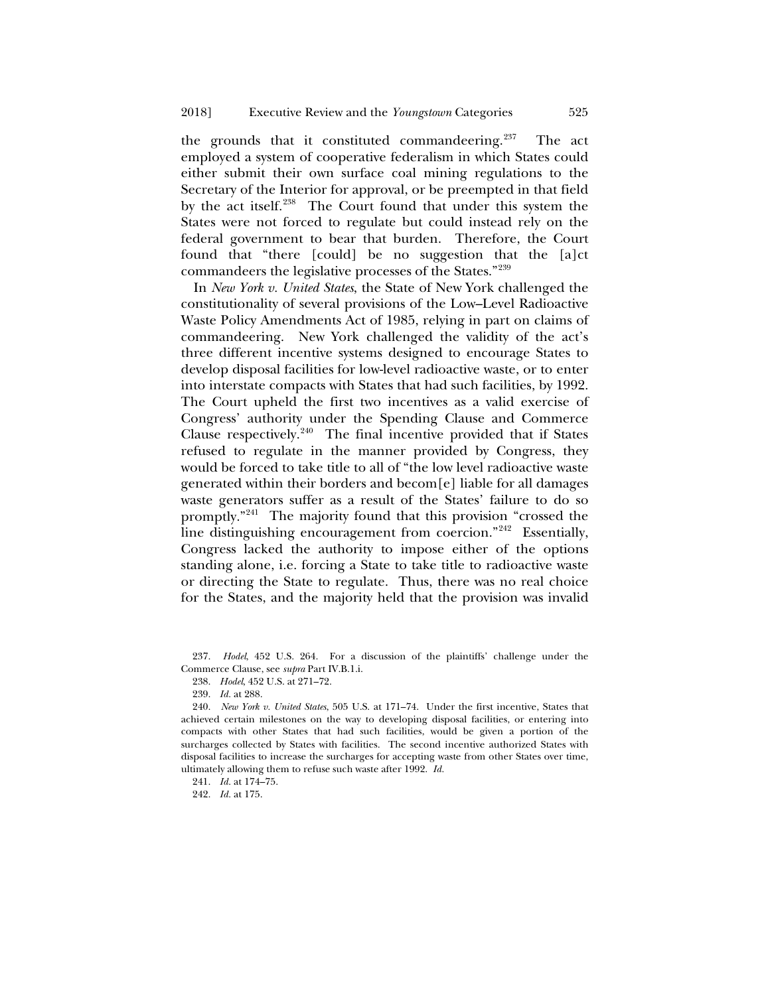the grounds that it constituted commandeering. $237$  The act employed a system of cooperative federalism in which States could either submit their own surface coal mining regulations to the Secretary of the Interior for approval, or be preempted in that field by the act itself.<sup>[238](#page-50-1)</sup> The Court found that under this system the States were not forced to regulate but could instead rely on the federal government to bear that burden. Therefore, the Court found that "there [could] be no suggestion that the [a]ct commandeers the legislative processes of the States."[239](#page-50-2)

In *New York v. United States*, the State of New York challenged the constitutionality of several provisions of the Low–Level Radioactive Waste Policy Amendments Act of 1985, relying in part on claims of commandeering. New York challenged the validity of the act's three different incentive systems designed to encourage States to develop disposal facilities for low-level radioactive waste, or to enter into interstate compacts with States that had such facilities, by 1992. The Court upheld the first two incentives as a valid exercise of Congress' authority under the Spending Clause and Commerce Clause respectively. $240$  The final incentive provided that if States refused to regulate in the manner provided by Congress, they would be forced to take title to all of "the low level radioactive waste generated within their borders and becom[e] liable for all damages waste generators suffer as a result of the States' failure to do so promptly."[241](#page-50-4) The majority found that this provision "crossed the line distinguishing encouragement from coercion."[242](#page-50-5) Essentially, Congress lacked the authority to impose either of the options standing alone, i.e. forcing a State to take title to radioactive waste or directing the State to regulate. Thus, there was no real choice for the States, and the majority held that the provision was invalid

<span id="page-50-1"></span><span id="page-50-0"></span>237. *Hodel*, 452 U.S. 264. For a discussion of the plaintiffs' challenge under the Commerce Clause, see *supra* Part IV.B.1.i.

238. *Hodel*, 452 U.S. at 271–72.

239. *Id.* at 288.

<span id="page-50-3"></span><span id="page-50-2"></span>240. *New York v. United States*, 505 U.S. at 171–74. Under the first incentive, States that achieved certain milestones on the way to developing disposal facilities, or entering into compacts with other States that had such facilities, would be given a portion of the surcharges collected by States with facilities. The second incentive authorized States with disposal facilities to increase the surcharges for accepting waste from other States over time, ultimately allowing them to refuse such waste after 1992. *Id.*

<span id="page-50-4"></span>241. *Id.* at 174–75.

<span id="page-50-5"></span>242. *Id.* at 175.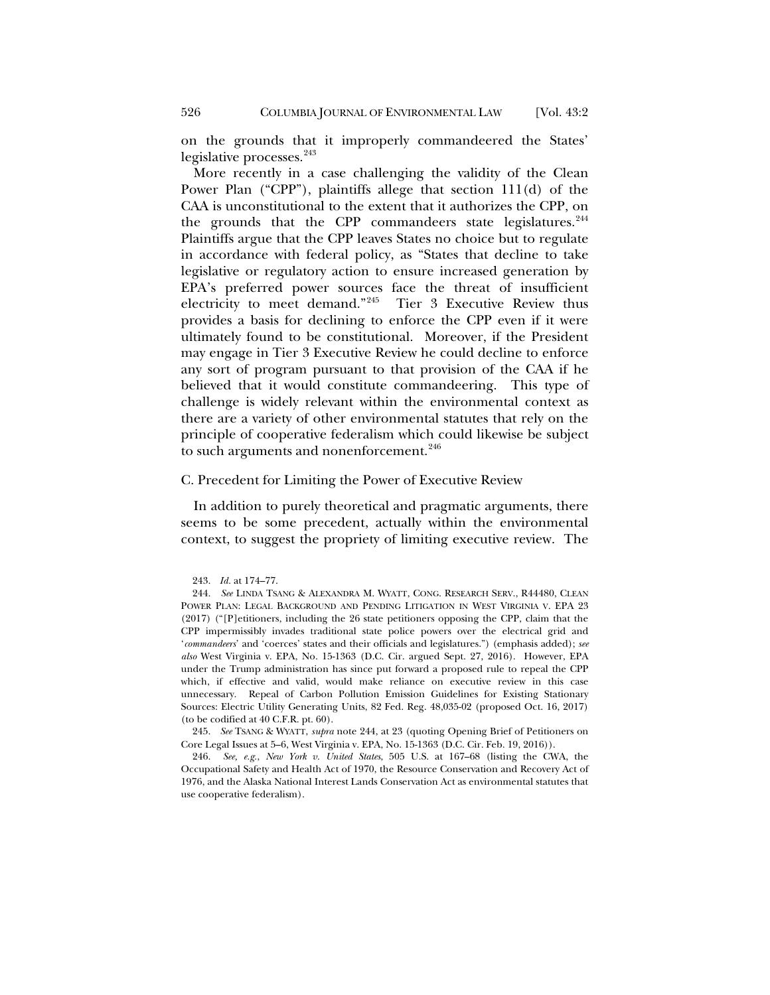on the grounds that it improperly commandeered the States' legislative processes.<sup>[243](#page-51-1)</sup>

<span id="page-51-0"></span>More recently in a case challenging the validity of the Clean Power Plan ("CPP"), plaintiffs allege that section 111(d) of the CAA is unconstitutional to the extent that it authorizes the CPP, on the grounds that the CPP commandeers state legislatures.<sup>[244](#page-51-2)</sup> Plaintiffs argue that the CPP leaves States no choice but to regulate in accordance with federal policy, as "States that decline to take legislative or regulatory action to ensure increased generation by EPA's preferred power sources face the threat of insufficient electricity to meet demand."[245](#page-51-3) Tier 3 Executive Review thus provides a basis for declining to enforce the CPP even if it were ultimately found to be constitutional. Moreover, if the President may engage in Tier 3 Executive Review he could decline to enforce any sort of program pursuant to that provision of the CAA if he believed that it would constitute commandeering. This type of challenge is widely relevant within the environmental context as there are a variety of other environmental statutes that rely on the principle of cooperative federalism which could likewise be subject to such arguments and nonenforcement.<sup>[246](#page-51-4)</sup>

#### C. Precedent for Limiting the Power of Executive Review

In addition to purely theoretical and pragmatic arguments, there seems to be some precedent, actually within the environmental context, to suggest the propriety of limiting executive review. The

<span id="page-51-3"></span>245. *See* TSANG & WYATT, *supra* note [244,](#page-51-0) at 23 (quoting Opening Brief of Petitioners on Core Legal Issues at 5–6, West Virginia v. EPA, No. 15-1363 (D.C. Cir. Feb. 19, 2016)).

<span id="page-51-4"></span>246. *See, e.g.*, *New York v. United States*, 505 U.S. at 167–68 (listing the CWA, the Occupational Safety and Health Act of 1970, the Resource Conservation and Recovery Act of 1976, and the Alaska National Interest Lands Conservation Act as environmental statutes that use cooperative federalism).

<sup>243.</sup> *Id.* at 174–77.

<span id="page-51-2"></span><span id="page-51-1"></span><sup>244.</sup> *See* LINDA TSANG & ALEXANDRA M. WYATT, CONG. RESEARCH SERV., R44480, CLEAN POWER PLAN: LEGAL BACKGROUND AND PENDING LITIGATION IN WEST VIRGINIA V. EPA 23 (2017) ("[P]etitioners, including the 26 state petitioners opposing the CPP, claim that the CPP impermissibly invades traditional state police powers over the electrical grid and '*commandeers*' and 'coerces' states and their officials and legislatures.") (emphasis added); *see also* West Virginia v. EPA, No. 15-1363 (D.C. Cir. argued Sept. 27, 2016). However, EPA under the Trump administration has since put forward a proposed rule to repeal the CPP which, if effective and valid, would make reliance on executive review in this case unnecessary. Repeal of Carbon Pollution Emission Guidelines for Existing Stationary Sources: Electric Utility Generating Units, 82 Fed. Reg. 48,035-02 (proposed Oct. 16, 2017) (to be codified at 40 C.F.R. pt. 60).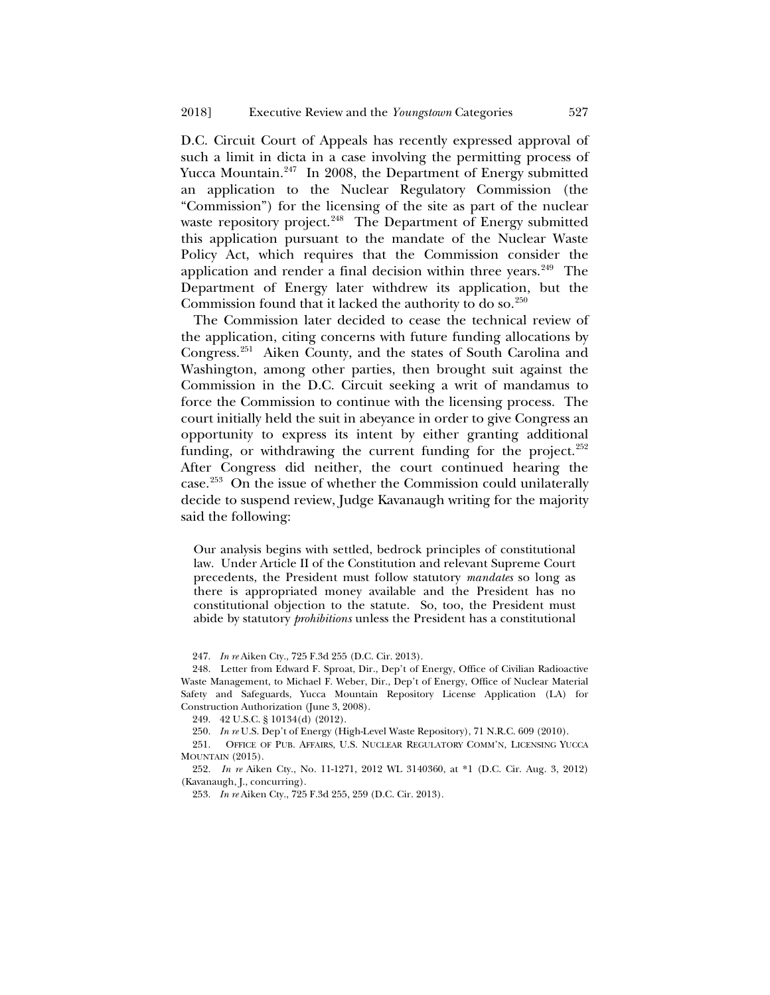D.C. Circuit Court of Appeals has recently expressed approval of such a limit in dicta in a case involving the permitting process of Yucca Mountain. $247$  In 2008, the Department of Energy submitted an application to the Nuclear Regulatory Commission (the "Commission") for the licensing of the site as part of the nuclear waste repository project.<sup>[248](#page-52-1)</sup> The Department of Energy submitted this application pursuant to the mandate of the Nuclear Waste Policy Act, which requires that the Commission consider the application and render a final decision within three years. $249$  The Department of Energy later withdrew its application, but the Commission found that it lacked the authority to do so.<sup>[250](#page-52-3)</sup>

The Commission later decided to cease the technical review of the application, citing concerns with future funding allocations by Congress.[251](#page-52-4) Aiken County, and the states of South Carolina and Washington, among other parties, then brought suit against the Commission in the D.C. Circuit seeking a writ of mandamus to force the Commission to continue with the licensing process. The court initially held the suit in abeyance in order to give Congress an opportunity to express its intent by either granting additional funding, or withdrawing the current funding for the project.<sup>[252](#page-52-5)</sup> After Congress did neither, the court continued hearing the case.[253](#page-52-6) On the issue of whether the Commission could unilaterally decide to suspend review, Judge Kavanaugh writing for the majority said the following:

Our analysis begins with settled, bedrock principles of constitutional law. Under Article II of the Constitution and relevant Supreme Court precedents, the President must follow statutory *mandates* so long as there is appropriated money available and the President has no constitutional objection to the statute. So, too, the President must abide by statutory *prohibitions* unless the President has a constitutional

247. *In re* Aiken Cty., 725 F.3d 255 (D.C. Cir. 2013).

<span id="page-52-1"></span><span id="page-52-0"></span>248. Letter from Edward F. Sproat, Dir., Dep't of Energy, Office of Civilian Radioactive Waste Management, to Michael F. Weber, Dir., Dep't of Energy, Office of Nuclear Material Safety and Safeguards, Yucca Mountain Repository License Application (LA) for Construction Authorization (June 3, 2008).

249. 42 U.S.C. § 10134(d) (2012).

250. *In re* U.S. Dep't of Energy (High-Level Waste Repository), 71 N.R.C. 609 (2010).

<span id="page-52-4"></span><span id="page-52-3"></span><span id="page-52-2"></span>251. OFFICE OF PUB. AFFAIRS, U.S. NUCLEAR REGULATORY COMM'N, LICENSING YUCCA MOUNTAIN (2015).

<span id="page-52-6"></span><span id="page-52-5"></span>252. *In re* Aiken Cty., No. 11-1271, 2012 WL 3140360, at \*1 (D.C. Cir. Aug. 3, 2012) (Kavanaugh, J., concurring).

253. *In re* Aiken Cty., 725 F.3d 255, 259 (D.C. Cir. 2013).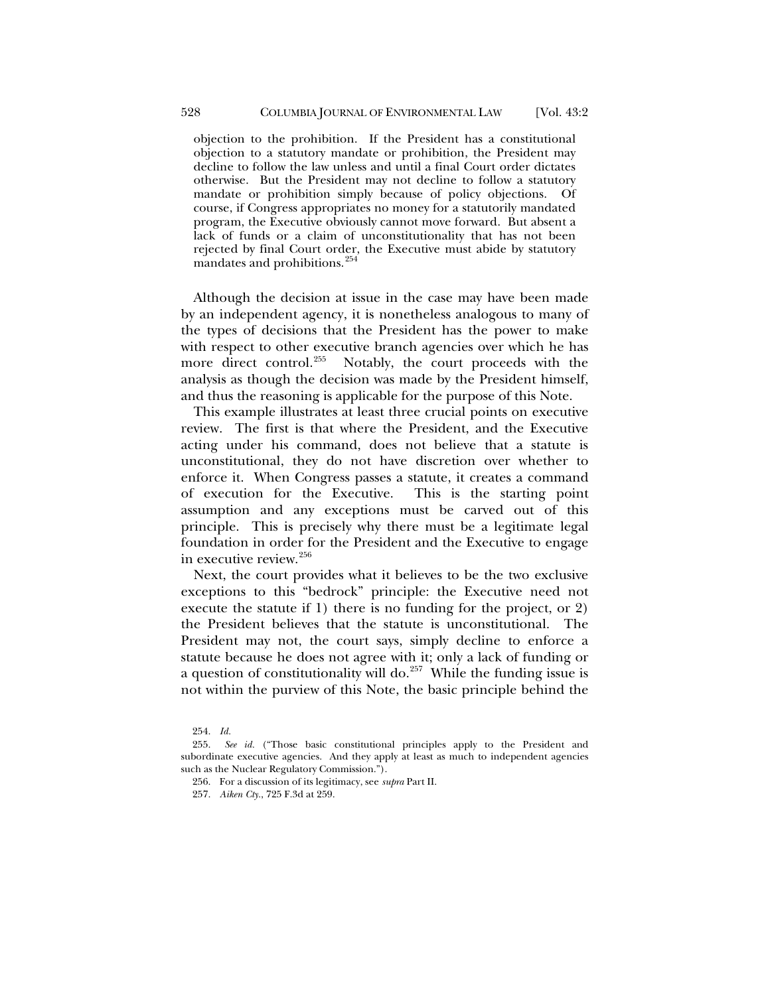objection to the prohibition. If the President has a constitutional objection to a statutory mandate or prohibition, the President may decline to follow the law unless and until a final Court order dictates otherwise. But the President may not decline to follow a statutory mandate or prohibition simply because of policy objections. Of course, if Congress appropriates no money for a statutorily mandated program, the Executive obviously cannot move forward. But absent a lack of funds or a claim of unconstitutionality that has not been rejected by final Court order, the Executive must abide by statutory mandates and prohibitions.<sup>[254](#page-53-1)</sup>

<span id="page-53-0"></span>Although the decision at issue in the case may have been made by an independent agency, it is nonetheless analogous to many of the types of decisions that the President has the power to make with respect to other executive branch agencies over which he has more direct control.<sup>255</sup> Notably, the court proceeds with the analysis as though the decision was made by the President himself, and thus the reasoning is applicable for the purpose of this Note.

This example illustrates at least three crucial points on executive review. The first is that where the President, and the Executive acting under his command, does not believe that a statute is unconstitutional, they do not have discretion over whether to enforce it. When Congress passes a statute, it creates a command of execution for the Executive. This is the starting point assumption and any exceptions must be carved out of this principle. This is precisely why there must be a legitimate legal foundation in order for the President and the Executive to engage in executive review.<sup>[256](#page-53-3)</sup>

Next, the court provides what it believes to be the two exclusive exceptions to this "bedrock" principle: the Executive need not execute the statute if 1) there is no funding for the project, or 2) the President believes that the statute is unconstitutional. The President may not, the court says, simply decline to enforce a statute because he does not agree with it; only a lack of funding or a question of constitutionality will do.<sup>[257](#page-53-4)</sup> While the funding issue is not within the purview of this Note, the basic principle behind the

<sup>254.</sup> *Id.*

<span id="page-53-4"></span><span id="page-53-3"></span><span id="page-53-2"></span><span id="page-53-1"></span><sup>255.</sup> *See id.* ("Those basic constitutional principles apply to the President and subordinate executive agencies. And they apply at least as much to independent agencies such as the Nuclear Regulatory Commission.").

<sup>256.</sup> For a discussion of its legitimacy, see *supra* Part II.

<sup>257.</sup> *Aiken Cty.*, 725 F.3d at 259.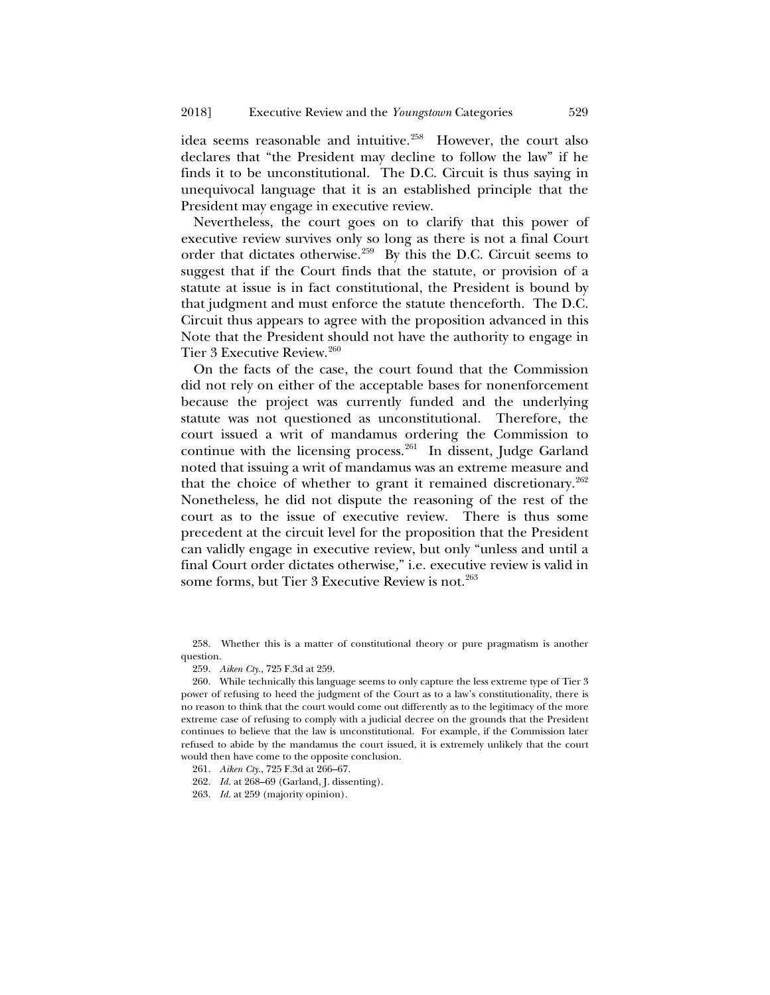idea seems reasonable and intuitive.<sup>258</sup> However, the court also declares that "the President may decline to follow the law" if he finds it to be unconstitutional. The D.C. Circuit is thus saying in unequivocal language that it is an established principle that the President may engage in executive review.

Nevertheless, the court goes on to clarify that this power of executive review survives only so long as there is not a final Court order that dictates otherwise.<sup>259</sup> By this the D.C. Circuit seems to suggest that if the Court finds that the statute, or provision of a statute at issue is in fact constitutional, the President is bound by that judgment and must enforce the statute thenceforth. The D.C. Circuit thus appears to agree with the proposition advanced in this Note that the President should not have the authority to engage in Tier 3 Executive Review.<sup>[260](#page-54-2)</sup>

On the facts of the case, the court found that the Commission did not rely on either of the acceptable bases for nonenforcement because the project was currently funded and the underlying statute was not questioned as unconstitutional. Therefore, the court issued a writ of mandamus ordering the Commission to continue with the licensing process.<sup>[261](#page-54-3)</sup> In dissent, Judge Garland noted that issuing a writ of mandamus was an extreme measure and that the choice of whether to grant it remained discretionary.<sup>[262](#page-54-4)</sup> Nonetheless, he did not dispute the reasoning of the rest of the court as to the issue of executive review. There is thus some precedent at the circuit level for the proposition that the President can validly engage in executive review, but only "unless and until a final Court order dictates otherwise," i.e. executive review is valid in some forms, but Tier 3 Executive Review is not.<sup>[263](#page-54-5)</sup>

<span id="page-54-0"></span>258. Whether this is a matter of constitutional theory or pure pragmatism is another question.

<sup>259.</sup> *Aiken Cty.*, 725 F.3d at 259.

<span id="page-54-2"></span><span id="page-54-1"></span><sup>260.</sup> While technically this language seems to only capture the less extreme type of Tier 3 power of refusing to heed the judgment of the Court as to a law's constitutionality, there is no reason to think that the court would come out differently as to the legitimacy of the more extreme case of refusing to comply with a judicial decree on the grounds that the President continues to believe that the law is unconstitutional. For example, if the Commission later refused to abide by the mandamus the court issued, it is extremely unlikely that the court would then have come to the opposite conclusion.

<span id="page-54-3"></span><sup>261.</sup> *Aiken Cty.*, 725 F.3d at 266–67.

<sup>262.</sup> *Id.* at 268–69 (Garland, J. dissenting).

<span id="page-54-5"></span><span id="page-54-4"></span><sup>263.</sup> *Id.* at 259 (majority opinion).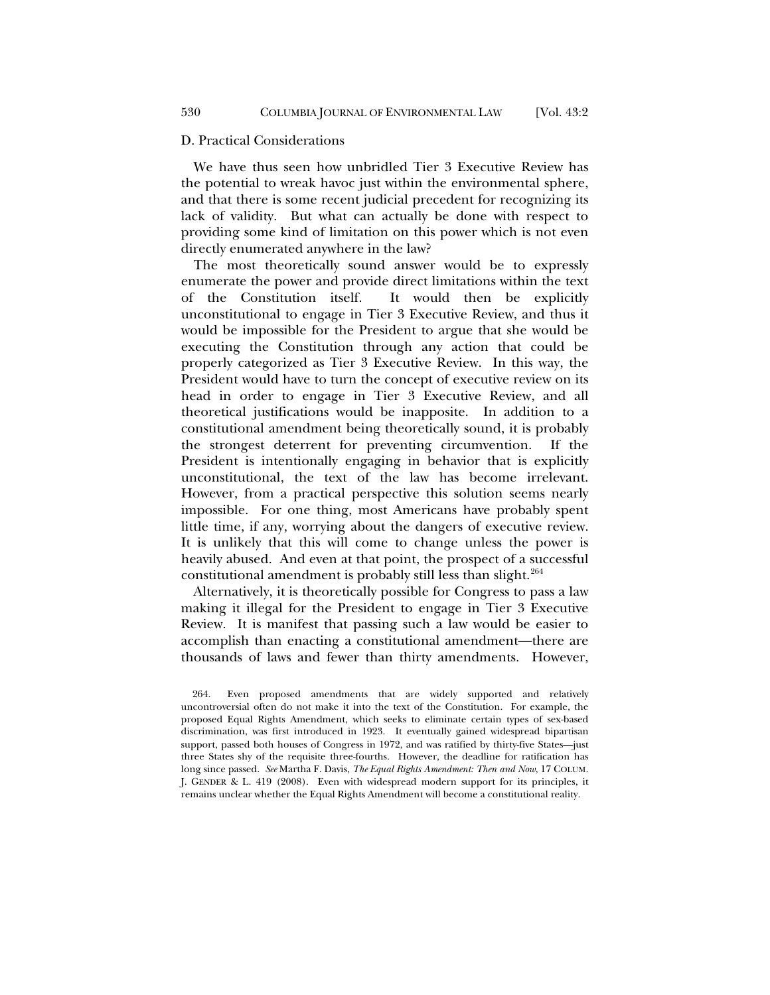#### D. Practical Considerations

We have thus seen how unbridled Tier 3 Executive Review has the potential to wreak havoc just within the environmental sphere, and that there is some recent judicial precedent for recognizing its lack of validity. But what can actually be done with respect to providing some kind of limitation on this power which is not even directly enumerated anywhere in the law?

The most theoretically sound answer would be to expressly enumerate the power and provide direct limitations within the text of the Constitution itself. It would then be explicitly unconstitutional to engage in Tier 3 Executive Review, and thus it would be impossible for the President to argue that she would be executing the Constitution through any action that could be properly categorized as Tier 3 Executive Review. In this way, the President would have to turn the concept of executive review on its head in order to engage in Tier 3 Executive Review, and all theoretical justifications would be inapposite. In addition to a constitutional amendment being theoretically sound, it is probably the strongest deterrent for preventing circumvention. If the President is intentionally engaging in behavior that is explicitly unconstitutional, the text of the law has become irrelevant. However, from a practical perspective this solution seems nearly impossible. For one thing, most Americans have probably spent little time, if any, worrying about the dangers of executive review. It is unlikely that this will come to change unless the power is heavily abused. And even at that point, the prospect of a successful constitutional amendment is probably still less than slight.<sup>[264](#page-55-0)</sup>

Alternatively, it is theoretically possible for Congress to pass a law making it illegal for the President to engage in Tier 3 Executive Review. It is manifest that passing such a law would be easier to accomplish than enacting a constitutional amendment—there are thousands of laws and fewer than thirty amendments. However,

<span id="page-55-0"></span><sup>264.</sup> Even proposed amendments that are widely supported and relatively uncontroversial often do not make it into the text of the Constitution. For example, the proposed Equal Rights Amendment, which seeks to eliminate certain types of sex-based discrimination, was first introduced in 1923. It eventually gained widespread bipartisan support, passed both houses of Congress in 1972, and was ratified by thirty-five States—just three States shy of the requisite three-fourths. However, the deadline for ratification has long since passed. *See* Martha F. Davis, *The Equal Rights Amendment: Then and Now*, 17 COLUM. J. GENDER & L. 419 (2008). Even with widespread modern support for its principles, it remains unclear whether the Equal Rights Amendment will become a constitutional reality.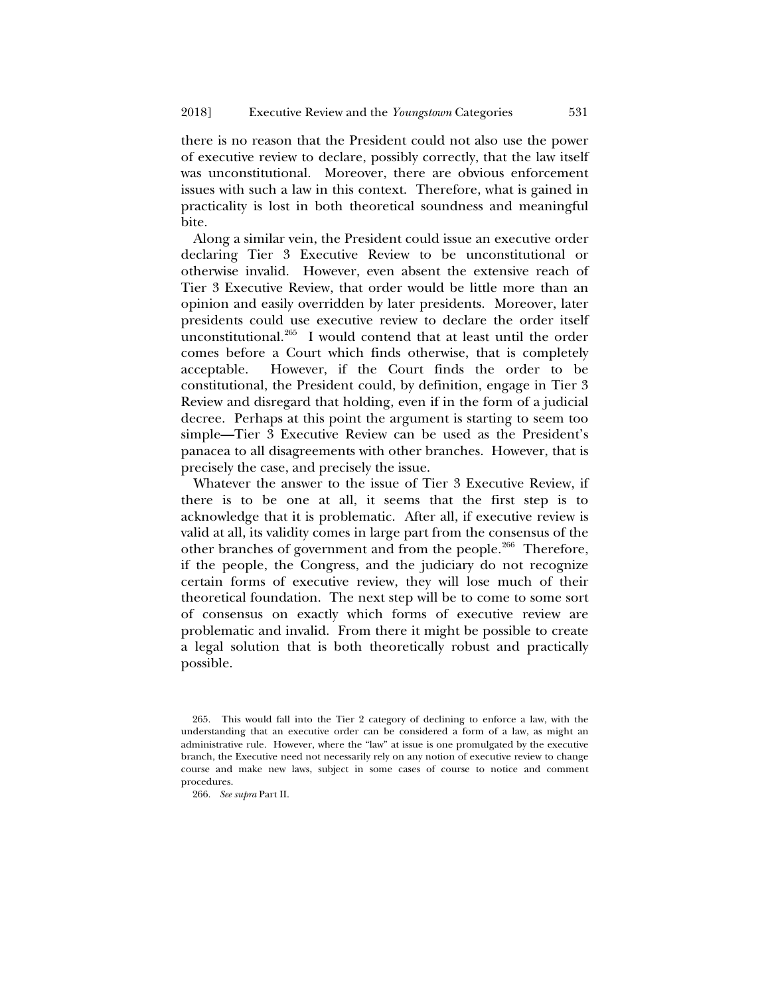there is no reason that the President could not also use the power of executive review to declare, possibly correctly, that the law itself was unconstitutional. Moreover, there are obvious enforcement issues with such a law in this context. Therefore, what is gained in practicality is lost in both theoretical soundness and meaningful bite.

Along a similar vein, the President could issue an executive order declaring Tier 3 Executive Review to be unconstitutional or otherwise invalid. However, even absent the extensive reach of Tier 3 Executive Review, that order would be little more than an opinion and easily overridden by later presidents. Moreover, later presidents could use executive review to declare the order itself unconstitutional.[265](#page-56-0) I would contend that at least until the order comes before a Court which finds otherwise, that is completely acceptable. However, if the Court finds the order to be constitutional, the President could, by definition, engage in Tier 3 Review and disregard that holding, even if in the form of a judicial decree. Perhaps at this point the argument is starting to seem too simple—Tier 3 Executive Review can be used as the President's panacea to all disagreements with other branches. However, that is precisely the case, and precisely the issue.

Whatever the answer to the issue of Tier 3 Executive Review, if there is to be one at all, it seems that the first step is to acknowledge that it is problematic. After all, if executive review is valid at all, its validity comes in large part from the consensus of the other branches of government and from the people.<sup>[266](#page-56-1)</sup> Therefore, if the people, the Congress, and the judiciary do not recognize certain forms of executive review, they will lose much of their theoretical foundation. The next step will be to come to some sort of consensus on exactly which forms of executive review are problematic and invalid. From there it might be possible to create a legal solution that is both theoretically robust and practically possible.

<span id="page-56-0"></span><sup>265.</sup> This would fall into the Tier 2 category of declining to enforce a law, with the understanding that an executive order can be considered a form of a law, as might an administrative rule. However, where the "law" at issue is one promulgated by the executive branch, the Executive need not necessarily rely on any notion of executive review to change course and make new laws, subject in some cases of course to notice and comment procedures.

<span id="page-56-1"></span><sup>266.</sup> *See supra* Part II.